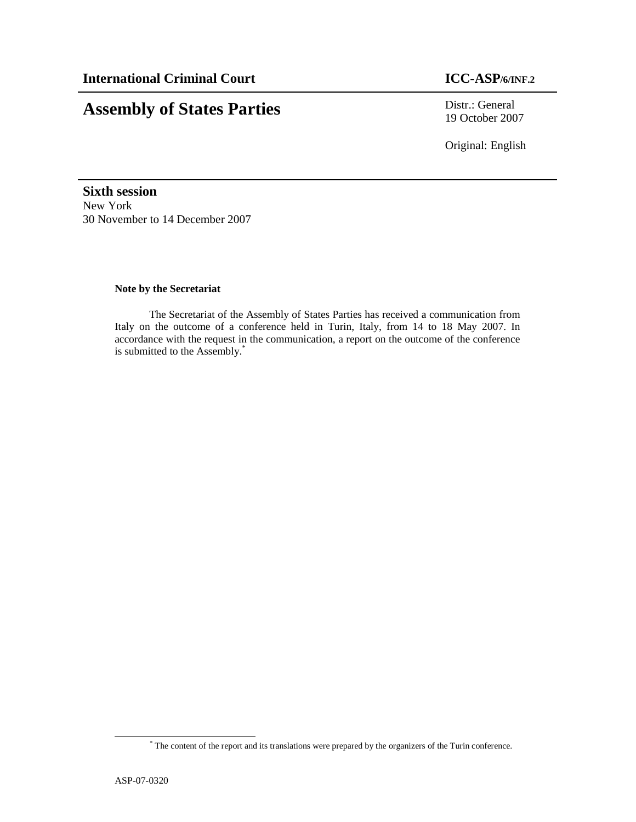# **Assembly of States Parties** Distr.: General

19 October 2007

Original: English

**Sixth session**  New York 30 November to 14 December 2007

# **Note by the Secretariat**

 The Secretariat of the Assembly of States Parties has received a communication from Italy on the outcome of a conference held in Turin, Italy, from 14 to 18 May 2007. In accordance with the request in the communication, a report on the outcome of the conference is submitted to the Assembly.\*

<u>.</u>

<sup>\*</sup> The content of the report and its translations were prepared by the organizers of the Turin conference.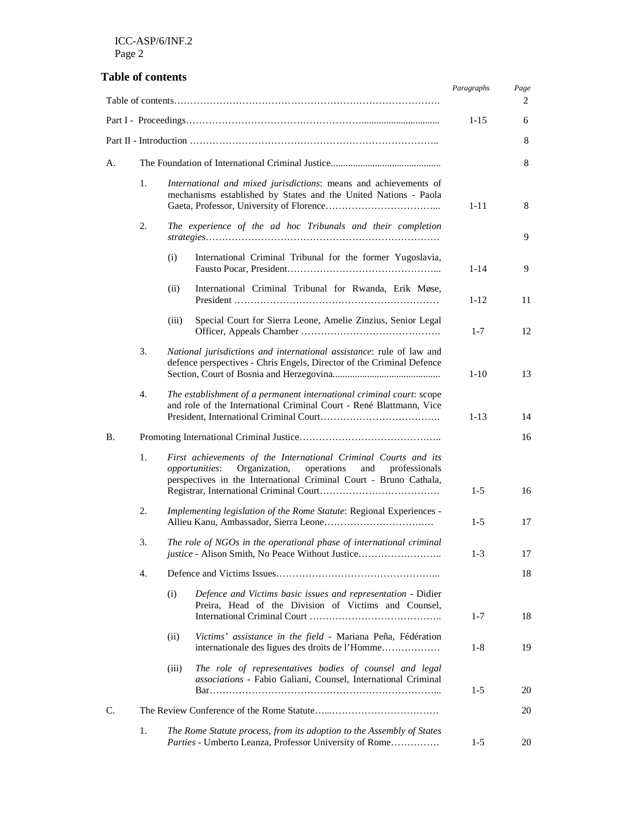# **Table of contents**

|                |                                                                                                                                                                                                                  |                                                                                                                                             |                                                                                                                                               | Paragraphs | Page<br>2 |
|----------------|------------------------------------------------------------------------------------------------------------------------------------------------------------------------------------------------------------------|---------------------------------------------------------------------------------------------------------------------------------------------|-----------------------------------------------------------------------------------------------------------------------------------------------|------------|-----------|
|                |                                                                                                                                                                                                                  |                                                                                                                                             |                                                                                                                                               |            |           |
|                |                                                                                                                                                                                                                  |                                                                                                                                             |                                                                                                                                               | $1 - 15$   | 6         |
|                |                                                                                                                                                                                                                  |                                                                                                                                             |                                                                                                                                               |            | 8         |
| А.             |                                                                                                                                                                                                                  |                                                                                                                                             |                                                                                                                                               |            | 8         |
|                | 1.<br>International and mixed jurisdictions: means and achievements of<br>mechanisms established by States and the United Nations - Paola                                                                        |                                                                                                                                             | $1 - 11$                                                                                                                                      | 8          |           |
|                | 2.                                                                                                                                                                                                               |                                                                                                                                             | The experience of the ad hoc Tribunals and their completion                                                                                   |            | 9         |
|                |                                                                                                                                                                                                                  | (i)                                                                                                                                         | International Criminal Tribunal for the former Yugoslavia,                                                                                    | $1 - 14$   | 9         |
|                |                                                                                                                                                                                                                  | (ii)                                                                                                                                        | International Criminal Tribunal for Rwanda, Erik Møse,                                                                                        | $1 - 12$   | 11        |
|                |                                                                                                                                                                                                                  | (iii)                                                                                                                                       | Special Court for Sierra Leone, Amelie Zinzius, Senior Legal                                                                                  | $1 - 7$    | 12        |
|                | 3.                                                                                                                                                                                                               |                                                                                                                                             | National jurisdictions and international assistance: rule of law and<br>defence perspectives - Chris Engels, Director of the Criminal Defence | $1-10$     | 13        |
|                | 4.                                                                                                                                                                                                               | The establishment of a permanent international criminal court: scope<br>and role of the International Criminal Court - René Blattmann, Vice |                                                                                                                                               | $1 - 13$   | 14        |
| В.             |                                                                                                                                                                                                                  |                                                                                                                                             |                                                                                                                                               |            | 16        |
|                | 1.<br>First achievements of the International Criminal Courts and its<br>Organization,<br>opportunities:<br>operations<br>and professionals<br>perspectives in the International Criminal Court - Bruno Cathala, |                                                                                                                                             | $1-5$                                                                                                                                         | 16         |           |
|                | 2.                                                                                                                                                                                                               | Implementing legislation of the Rome Statute: Regional Experiences -                                                                        |                                                                                                                                               | $1-5$      | 17        |
|                | 3.                                                                                                                                                                                                               |                                                                                                                                             | The role of NGOs in the operational phase of international criminal<br><i>justice</i> - Alison Smith, No Peace Without Justice                | $1 - 3$    | 17        |
|                | 4.                                                                                                                                                                                                               |                                                                                                                                             |                                                                                                                                               |            | 18        |
|                |                                                                                                                                                                                                                  | (i)                                                                                                                                         | Defence and Victims basic issues and representation - Didier<br>Preira, Head of the Division of Victims and Counsel,                          | $1 - 7$    | 18        |
|                |                                                                                                                                                                                                                  | (ii)                                                                                                                                        | Victims' assistance in the field - Mariana Peña, Fédération<br>internationale des ligues des droits de l'Homme                                | $1-8$      | 19        |
|                |                                                                                                                                                                                                                  | (iii)                                                                                                                                       | The role of representatives bodies of counsel and legal<br>associations - Fabio Galiani, Counsel, International Criminal                      | $1-5$      | 20        |
| $\mathbf{C}$ . |                                                                                                                                                                                                                  |                                                                                                                                             |                                                                                                                                               |            | 20        |
|                | 1.                                                                                                                                                                                                               |                                                                                                                                             | The Rome Statute process, from its adoption to the Assembly of States<br>Parties - Umberto Leanza, Professor University of Rome               | $1-5$      | 20        |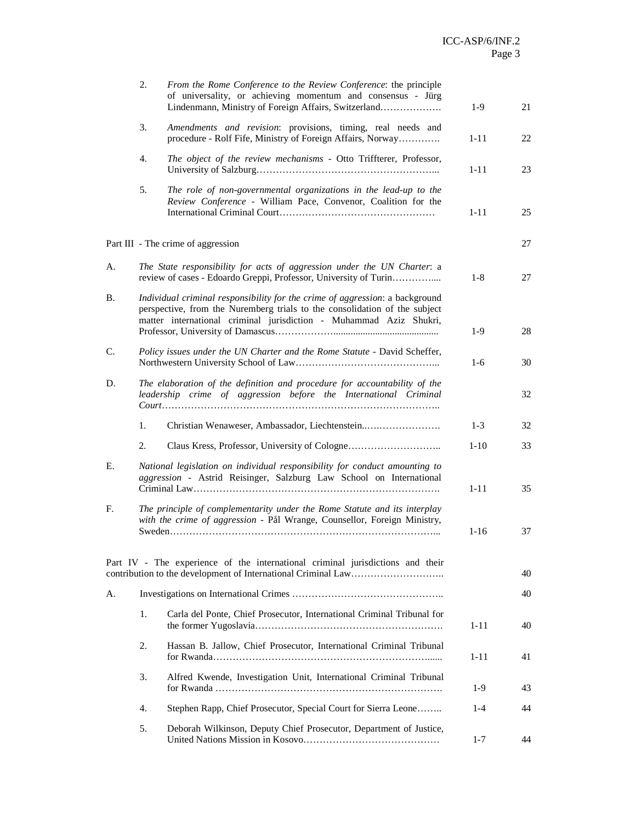|    | 2.                                                                                                                                                    | From the Rome Conference to the Review Conference: the principle<br>of universality, or achieving momentum and consensus - Jürg<br>Lindenmann, Ministry of Foreign Affairs, Switzerland                                          | $1-9$    | 21 |
|----|-------------------------------------------------------------------------------------------------------------------------------------------------------|----------------------------------------------------------------------------------------------------------------------------------------------------------------------------------------------------------------------------------|----------|----|
|    | 3.                                                                                                                                                    | Amendments and revision: provisions, timing, real needs and<br>procedure - Rolf Fife, Ministry of Foreign Affairs, Norway                                                                                                        | $1 - 11$ | 22 |
|    | 4.                                                                                                                                                    | The object of the review mechanisms - Otto Triffterer, Professor,                                                                                                                                                                | $1 - 11$ | 23 |
|    | 5.                                                                                                                                                    | The role of non-governmental organizations in the lead-up to the<br>Review Conference - William Pace, Convenor, Coalition for the                                                                                                | $1 - 11$ | 25 |
|    |                                                                                                                                                       | Part III - The crime of aggression                                                                                                                                                                                               |          | 27 |
| A. |                                                                                                                                                       | The State responsibility for acts of aggression under the UN Charter: a<br>review of cases - Edoardo Greppi, Professor, University of Turin                                                                                      | $1-8$    | 27 |
| В. |                                                                                                                                                       | Individual criminal responsibility for the crime of aggression: a background<br>perspective, from the Nuremberg trials to the consolidation of the subject<br>matter international criminal jurisdiction - Muhammad Aziz Shukri, | $1-9$    | 28 |
| C. |                                                                                                                                                       | Policy issues under the UN Charter and the Rome Statute - David Scheffer,                                                                                                                                                        | $1-6$    | 30 |
| D. |                                                                                                                                                       | The elaboration of the definition and procedure for accountability of the<br>leadership crime of aggression before the International Criminal                                                                                    |          | 32 |
|    | 1.                                                                                                                                                    | Christian Wenaweser, Ambassador, Liechtenstein                                                                                                                                                                                   | $1 - 3$  | 32 |
|    | 2.                                                                                                                                                    |                                                                                                                                                                                                                                  | $1-10$   | 33 |
| Е. |                                                                                                                                                       | National legislation on individual responsibility for conduct amounting to<br>aggression - Astrid Reisinger, Salzburg Law School on International                                                                                | $1 - 11$ | 35 |
| F. | The principle of complementarity under the Rome Statute and its interplay<br>with the crime of aggression - Pål Wrange, Counsellor, Foreign Ministry, |                                                                                                                                                                                                                                  |          | 37 |
|    |                                                                                                                                                       | Part IV - The experience of the international criminal jurisdictions and their                                                                                                                                                   |          | 40 |
| А. |                                                                                                                                                       |                                                                                                                                                                                                                                  |          | 40 |
|    | 1.                                                                                                                                                    | Carla del Ponte, Chief Prosecutor, International Criminal Tribunal for                                                                                                                                                           | $1 - 11$ | 40 |
|    | 2.                                                                                                                                                    | Hassan B. Jallow, Chief Prosecutor, International Criminal Tribunal                                                                                                                                                              | $1 - 11$ | 41 |
|    | 3.                                                                                                                                                    | Alfred Kwende, Investigation Unit, International Criminal Tribunal                                                                                                                                                               | $1-9$    | 43 |
|    | 4.                                                                                                                                                    | Stephen Rapp, Chief Prosecutor, Special Court for Sierra Leone                                                                                                                                                                   | $1 - 4$  | 44 |
|    | 5.                                                                                                                                                    | Deborah Wilkinson, Deputy Chief Prosecutor, Department of Justice,                                                                                                                                                               | $1 - 7$  | 44 |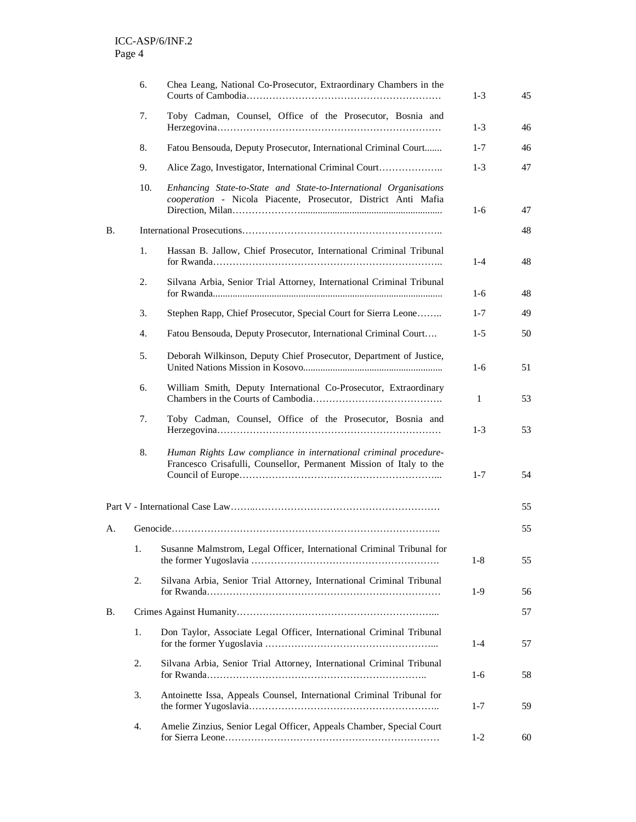|           | 6.  | Chea Leang, National Co-Prosecutor, Extraordinary Chambers in the                                                                       | $1-3$   | 45 |
|-----------|-----|-----------------------------------------------------------------------------------------------------------------------------------------|---------|----|
|           | 7.  | Toby Cadman, Counsel, Office of the Prosecutor, Bosnia and                                                                              | $1-3$   | 46 |
|           | 8.  | Fatou Bensouda, Deputy Prosecutor, International Criminal Court                                                                         | $1 - 7$ | 46 |
|           | 9.  | Alice Zago, Investigator, International Criminal Court                                                                                  | $1-3$   | 47 |
|           | 10. | Enhancing State-to-State and State-to-International Organisations<br>cooperation - Nicola Piacente, Prosecutor, District Anti Mafia     | $1-6$   | 47 |
| <b>B.</b> |     |                                                                                                                                         |         | 48 |
|           | 1.  | Hassan B. Jallow, Chief Prosecutor, International Criminal Tribunal                                                                     | $1-4$   | 48 |
|           | 2.  | Silvana Arbia, Senior Trial Attorney, International Criminal Tribunal                                                                   | $1-6$   | 48 |
|           | 3.  | Stephen Rapp, Chief Prosecutor, Special Court for Sierra Leone                                                                          | $1 - 7$ | 49 |
|           | 4.  | Fatou Bensouda, Deputy Prosecutor, International Criminal Court                                                                         | $1 - 5$ | 50 |
|           | 5.  | Deborah Wilkinson, Deputy Chief Prosecutor, Department of Justice,                                                                      | $1-6$   | 51 |
|           | 6.  | William Smith, Deputy International Co-Prosecutor, Extraordinary                                                                        | 1       | 53 |
|           | 7.  | Toby Cadman, Counsel, Office of the Prosecutor, Bosnia and                                                                              | $1 - 3$ | 53 |
|           | 8.  | Human Rights Law compliance in international criminal procedure-<br>Francesco Crisafulli, Counsellor, Permanent Mission of Italy to the | $1 - 7$ | 54 |
|           |     |                                                                                                                                         |         | 55 |
| А.        |     |                                                                                                                                         |         | 55 |
|           | 1.  | Susanne Malmstrom, Legal Officer, International Criminal Tribunal for                                                                   | $1 - 8$ | 55 |
|           | 2.  | Silvana Arbia, Senior Trial Attorney, International Criminal Tribunal                                                                   | 1-9     | 56 |
| <b>B.</b> |     |                                                                                                                                         |         |    |
|           | 1.  | Don Taylor, Associate Legal Officer, International Criminal Tribunal                                                                    | $1-4$   | 57 |
|           | 2.  | Silvana Arbia, Senior Trial Attorney, International Criminal Tribunal                                                                   | $1-6$   | 58 |
|           | 3.  | Antoinette Issa, Appeals Counsel, International Criminal Tribunal for                                                                   | $1 - 7$ | 59 |
|           | 4.  | Amelie Zinzius, Senior Legal Officer, Appeals Chamber, Special Court                                                                    | $1-2$   | 60 |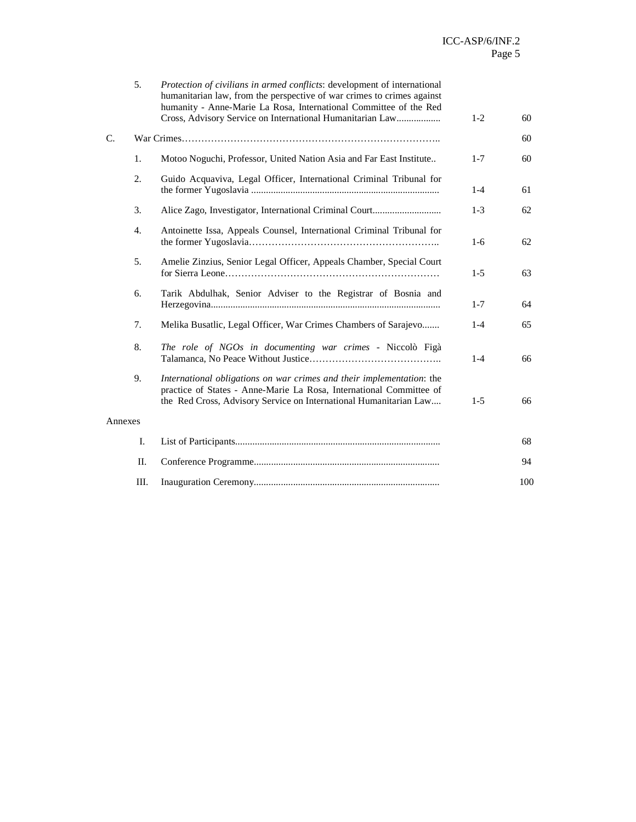|             | 5.  | Protection of civilians in armed conflicts: development of international<br>humanitarian law, from the perspective of war crimes to crimes against<br>humanity - Anne-Marie La Rosa, International Committee of the Red<br>Cross, Advisory Service on International Humanitarian Law | $1-2$   | 60  |
|-------------|-----|--------------------------------------------------------------------------------------------------------------------------------------------------------------------------------------------------------------------------------------------------------------------------------------|---------|-----|
| $C_{\cdot}$ |     |                                                                                                                                                                                                                                                                                      |         | 60  |
|             | 1.  | Motoo Noguchi, Professor, United Nation Asia and Far East Institute                                                                                                                                                                                                                  | $1 - 7$ | 60  |
|             | 2.  | Guido Acquaviva, Legal Officer, International Criminal Tribunal for                                                                                                                                                                                                                  | $1 - 4$ | 61  |
|             | 3.  |                                                                                                                                                                                                                                                                                      | $1-3$   | 62  |
|             | 4.  | Antoinette Issa, Appeals Counsel, International Criminal Tribunal for                                                                                                                                                                                                                | $1-6$   | 62  |
|             | 5.  | Amelie Zinzius, Senior Legal Officer, Appeals Chamber, Special Court                                                                                                                                                                                                                 | $1-5$   | 63  |
|             | 6.  | Tarik Abdulhak, Senior Adviser to the Registrar of Bosnia and                                                                                                                                                                                                                        | $1 - 7$ | 64  |
|             | 7.  | Melika Busatlic, Legal Officer, War Crimes Chambers of Sarajevo                                                                                                                                                                                                                      | $1 - 4$ | 65  |
|             | 8.  | The role of NGOs in documenting war crimes - Niccolò Figà                                                                                                                                                                                                                            | $1 - 4$ | 66  |
|             | 9.  | International obligations on war crimes and their implementation: the<br>practice of States - Anne-Marie La Rosa, International Committee of<br>the Red Cross, Advisory Service on International Humanitarian Law                                                                    | $1-5$   | 66  |
| Annexes     |     |                                                                                                                                                                                                                                                                                      |         |     |
|             | I.  |                                                                                                                                                                                                                                                                                      |         | 68  |
|             | II. |                                                                                                                                                                                                                                                                                      |         | 94  |
|             | Ш.  |                                                                                                                                                                                                                                                                                      |         | 100 |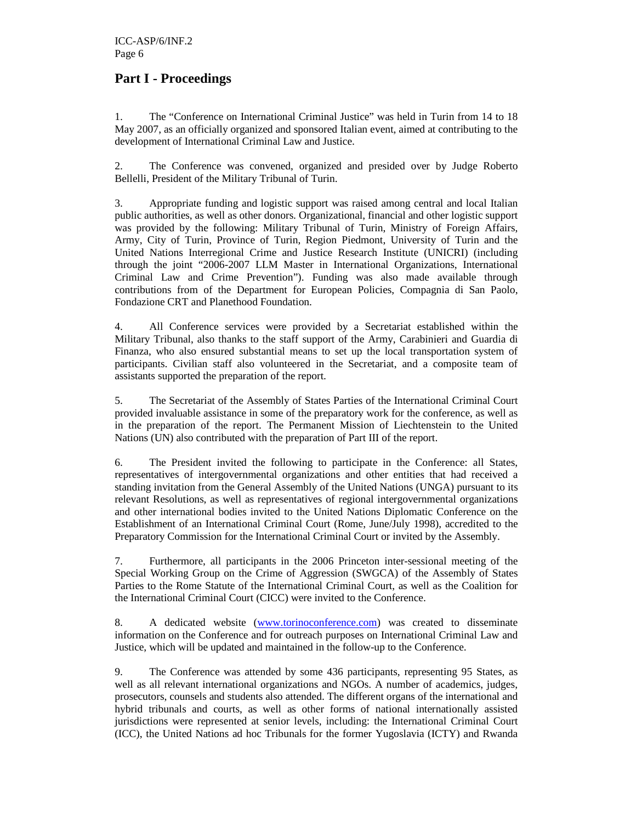# **Part I - Proceedings**

1. The "Conference on International Criminal Justice" was held in Turin from 14 to 18 May 2007, as an officially organized and sponsored Italian event, aimed at contributing to the development of International Criminal Law and Justice.

2. The Conference was convened, organized and presided over by Judge Roberto Bellelli, President of the Military Tribunal of Turin.

3. Appropriate funding and logistic support was raised among central and local Italian public authorities, as well as other donors. Organizational, financial and other logistic support was provided by the following: Military Tribunal of Turin, Ministry of Foreign Affairs, Army, City of Turin, Province of Turin, Region Piedmont, University of Turin and the United Nations Interregional Crime and Justice Research Institute (UNICRI) (including through the joint "2006-2007 LLM Master in International Organizations, International Criminal Law and Crime Prevention"). Funding was also made available through contributions from of the Department for European Policies, Compagnia di San Paolo, Fondazione CRT and Planethood Foundation.

4. All Conference services were provided by a Secretariat established within the Military Tribunal, also thanks to the staff support of the Army, Carabinieri and Guardia di Finanza, who also ensured substantial means to set up the local transportation system of participants. Civilian staff also volunteered in the Secretariat, and a composite team of assistants supported the preparation of the report.

5. The Secretariat of the Assembly of States Parties of the International Criminal Court provided invaluable assistance in some of the preparatory work for the conference, as well as in the preparation of the report. The Permanent Mission of Liechtenstein to the United Nations (UN) also contributed with the preparation of Part III of the report.

6. The President invited the following to participate in the Conference: all States, representatives of intergovernmental organizations and other entities that had received a standing invitation from the General Assembly of the United Nations (UNGA) pursuant to its relevant Resolutions, as well as representatives of regional intergovernmental organizations and other international bodies invited to the United Nations Diplomatic Conference on the Establishment of an International Criminal Court (Rome, June/July 1998), accredited to the Preparatory Commission for the International Criminal Court or invited by the Assembly.

7. Furthermore, all participants in the 2006 Princeton inter-sessional meeting of the Special Working Group on the Crime of Aggression (SWGCA) of the Assembly of States Parties to the Rome Statute of the International Criminal Court, as well as the Coalition for the International Criminal Court (CICC) were invited to the Conference.

8. A dedicated website (www.torinoconference.com) was created to disseminate information on the Conference and for outreach purposes on International Criminal Law and Justice, which will be updated and maintained in the follow-up to the Conference.

9. The Conference was attended by some 436 participants, representing 95 States, as well as all relevant international organizations and NGOs. A number of academics, judges, prosecutors, counsels and students also attended. The different organs of the international and hybrid tribunals and courts, as well as other forms of national internationally assisted jurisdictions were represented at senior levels, including: the International Criminal Court (ICC), the United Nations ad hoc Tribunals for the former Yugoslavia (ICTY) and Rwanda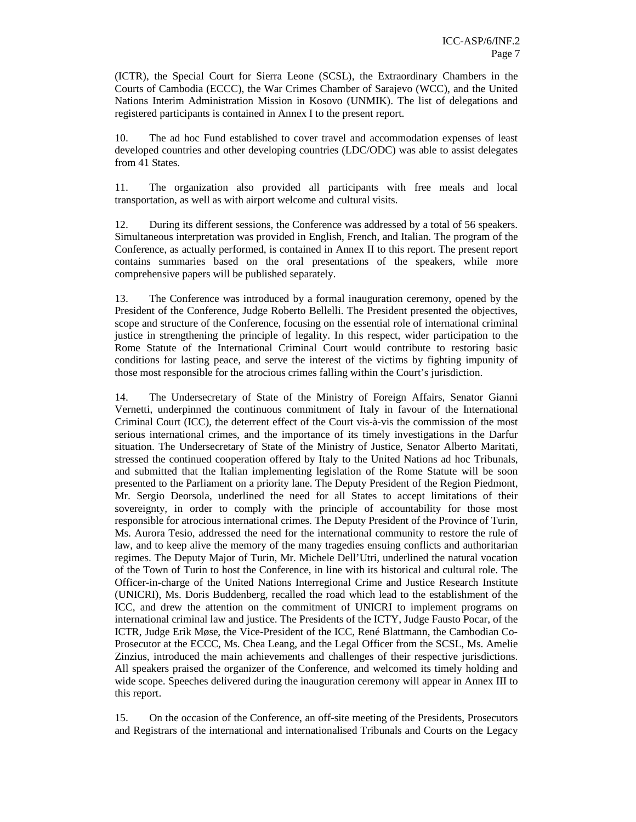(ICTR), the Special Court for Sierra Leone (SCSL), the Extraordinary Chambers in the Courts of Cambodia (ECCC), the War Crimes Chamber of Sarajevo (WCC), and the United Nations Interim Administration Mission in Kosovo (UNMIK). The list of delegations and registered participants is contained in Annex I to the present report.

10. The ad hoc Fund established to cover travel and accommodation expenses of least developed countries and other developing countries (LDC/ODC) was able to assist delegates from 41 States.

11. The organization also provided all participants with free meals and local transportation, as well as with airport welcome and cultural visits.

12. During its different sessions, the Conference was addressed by a total of 56 speakers. Simultaneous interpretation was provided in English, French, and Italian. The program of the Conference, as actually performed, is contained in Annex II to this report. The present report contains summaries based on the oral presentations of the speakers, while more comprehensive papers will be published separately.

13. The Conference was introduced by a formal inauguration ceremony, opened by the President of the Conference, Judge Roberto Bellelli. The President presented the objectives, scope and structure of the Conference, focusing on the essential role of international criminal justice in strengthening the principle of legality. In this respect, wider participation to the Rome Statute of the International Criminal Court would contribute to restoring basic conditions for lasting peace, and serve the interest of the victims by fighting impunity of those most responsible for the atrocious crimes falling within the Court's jurisdiction.

14. The Undersecretary of State of the Ministry of Foreign Affairs, Senator Gianni Vernetti, underpinned the continuous commitment of Italy in favour of the International Criminal Court (ICC), the deterrent effect of the Court vis-à-vis the commission of the most serious international crimes, and the importance of its timely investigations in the Darfur situation. The Undersecretary of State of the Ministry of Justice, Senator Alberto Maritati, stressed the continued cooperation offered by Italy to the United Nations ad hoc Tribunals, and submitted that the Italian implementing legislation of the Rome Statute will be soon presented to the Parliament on a priority lane. The Deputy President of the Region Piedmont, Mr. Sergio Deorsola, underlined the need for all States to accept limitations of their sovereignty, in order to comply with the principle of accountability for those most responsible for atrocious international crimes. The Deputy President of the Province of Turin, Ms. Aurora Tesio, addressed the need for the international community to restore the rule of law, and to keep alive the memory of the many tragedies ensuing conflicts and authoritarian regimes. The Deputy Major of Turin, Mr. Michele Dell'Utri, underlined the natural vocation of the Town of Turin to host the Conference, in line with its historical and cultural role. The Officer-in-charge of the United Nations Interregional Crime and Justice Research Institute (UNICRI), Ms. Doris Buddenberg, recalled the road which lead to the establishment of the ICC, and drew the attention on the commitment of UNICRI to implement programs on international criminal law and justice. The Presidents of the ICTY, Judge Fausto Pocar, of the ICTR, Judge Erik Møse, the Vice-President of the ICC, René Blattmann, the Cambodian Co-Prosecutor at the ECCC, Ms. Chea Leang, and the Legal Officer from the SCSL, Ms. Amelie Zinzius, introduced the main achievements and challenges of their respective jurisdictions. All speakers praised the organizer of the Conference, and welcomed its timely holding and wide scope. Speeches delivered during the inauguration ceremony will appear in Annex III to this report.

15. On the occasion of the Conference, an off-site meeting of the Presidents, Prosecutors and Registrars of the international and internationalised Tribunals and Courts on the Legacy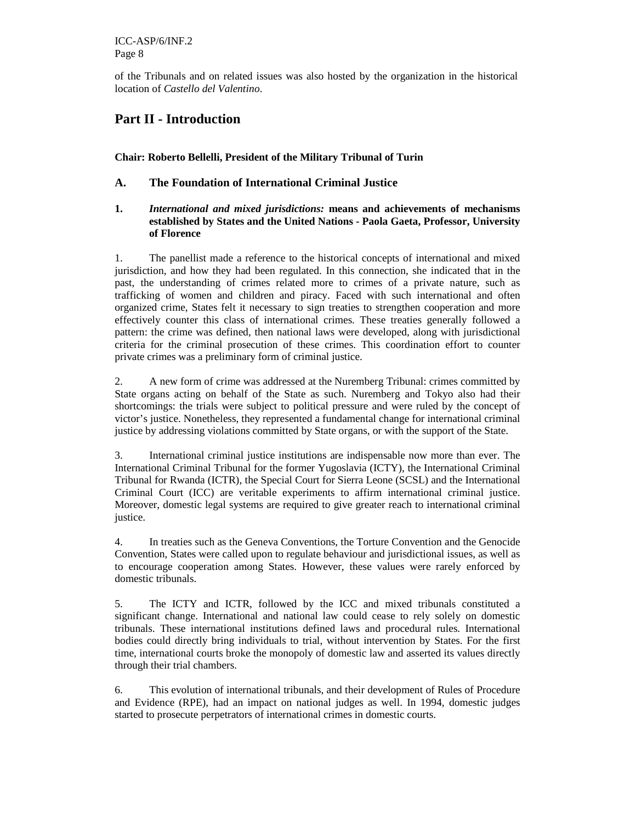of the Tribunals and on related issues was also hosted by the organization in the historical location of *Castello del Valentino*.

# **Part II - Introduction**

# **Chair: Roberto Bellelli, President of the Military Tribunal of Turin**

# **A. The Foundation of International Criminal Justice**

# **1.** *International and mixed jurisdictions:* **means and achievements of mechanisms established by States and the United Nations - Paola Gaeta, Professor, University of Florence**

1. The panellist made a reference to the historical concepts of international and mixed jurisdiction, and how they had been regulated. In this connection, she indicated that in the past, the understanding of crimes related more to crimes of a private nature, such as trafficking of women and children and piracy. Faced with such international and often organized crime, States felt it necessary to sign treaties to strengthen cooperation and more effectively counter this class of international crimes. These treaties generally followed a pattern: the crime was defined, then national laws were developed, along with jurisdictional criteria for the criminal prosecution of these crimes. This coordination effort to counter private crimes was a preliminary form of criminal justice.

2. A new form of crime was addressed at the Nuremberg Tribunal: crimes committed by State organs acting on behalf of the State as such. Nuremberg and Tokyo also had their shortcomings: the trials were subject to political pressure and were ruled by the concept of victor's justice. Nonetheless, they represented a fundamental change for international criminal justice by addressing violations committed by State organs, or with the support of the State.

3. International criminal justice institutions are indispensable now more than ever. The International Criminal Tribunal for the former Yugoslavia (ICTY), the International Criminal Tribunal for Rwanda (ICTR), the Special Court for Sierra Leone (SCSL) and the International Criminal Court (ICC) are veritable experiments to affirm international criminal justice. Moreover, domestic legal systems are required to give greater reach to international criminal justice.

4. In treaties such as the Geneva Conventions, the Torture Convention and the Genocide Convention, States were called upon to regulate behaviour and jurisdictional issues, as well as to encourage cooperation among States. However, these values were rarely enforced by domestic tribunals.

5. The ICTY and ICTR, followed by the ICC and mixed tribunals constituted a significant change. International and national law could cease to rely solely on domestic tribunals. These international institutions defined laws and procedural rules. International bodies could directly bring individuals to trial, without intervention by States. For the first time, international courts broke the monopoly of domestic law and asserted its values directly through their trial chambers.

6. This evolution of international tribunals, and their development of Rules of Procedure and Evidence (RPE), had an impact on national judges as well. In 1994, domestic judges started to prosecute perpetrators of international crimes in domestic courts.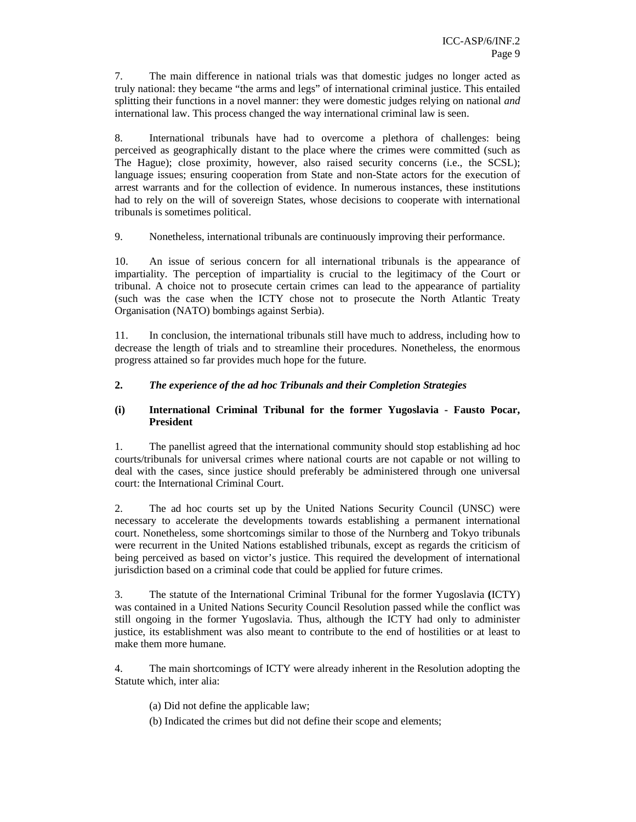7. The main difference in national trials was that domestic judges no longer acted as truly national: they became "the arms and legs" of international criminal justice. This entailed splitting their functions in a novel manner: they were domestic judges relying on national *and* international law. This process changed the way international criminal law is seen.

8. International tribunals have had to overcome a plethora of challenges: being perceived as geographically distant to the place where the crimes were committed (such as The Hague); close proximity, however, also raised security concerns (i.e., the SCSL); language issues; ensuring cooperation from State and non-State actors for the execution of arrest warrants and for the collection of evidence. In numerous instances, these institutions had to rely on the will of sovereign States, whose decisions to cooperate with international tribunals is sometimes political.

9. Nonetheless, international tribunals are continuously improving their performance.

10. An issue of serious concern for all international tribunals is the appearance of impartiality. The perception of impartiality is crucial to the legitimacy of the Court or tribunal. A choice not to prosecute certain crimes can lead to the appearance of partiality (such was the case when the ICTY chose not to prosecute the North Atlantic Treaty Organisation (NATO) bombings against Serbia).

11. In conclusion, the international tribunals still have much to address, including how to decrease the length of trials and to streamline their procedures. Nonetheless, the enormous progress attained so far provides much hope for the future.

# **2.** *The experience of the ad hoc Tribunals and their Completion Strategies*

## **(i) International Criminal Tribunal for the former Yugoslavia - Fausto Pocar, President**

1. The panellist agreed that the international community should stop establishing ad hoc courts/tribunals for universal crimes where national courts are not capable or not willing to deal with the cases, since justice should preferably be administered through one universal court: the International Criminal Court.

2. The ad hoc courts set up by the United Nations Security Council (UNSC) were necessary to accelerate the developments towards establishing a permanent international court. Nonetheless, some shortcomings similar to those of the Nurnberg and Tokyo tribunals were recurrent in the United Nations established tribunals, except as regards the criticism of being perceived as based on victor's justice. This required the development of international jurisdiction based on a criminal code that could be applied for future crimes.

3. The statute of the International Criminal Tribunal for the former Yugoslavia **(**ICTY) was contained in a United Nations Security Council Resolution passed while the conflict was still ongoing in the former Yugoslavia. Thus, although the ICTY had only to administer justice, its establishment was also meant to contribute to the end of hostilities or at least to make them more humane.

4. The main shortcomings of ICTY were already inherent in the Resolution adopting the Statute which, inter alia:

- (a) Did not define the applicable law;
- (b) Indicated the crimes but did not define their scope and elements;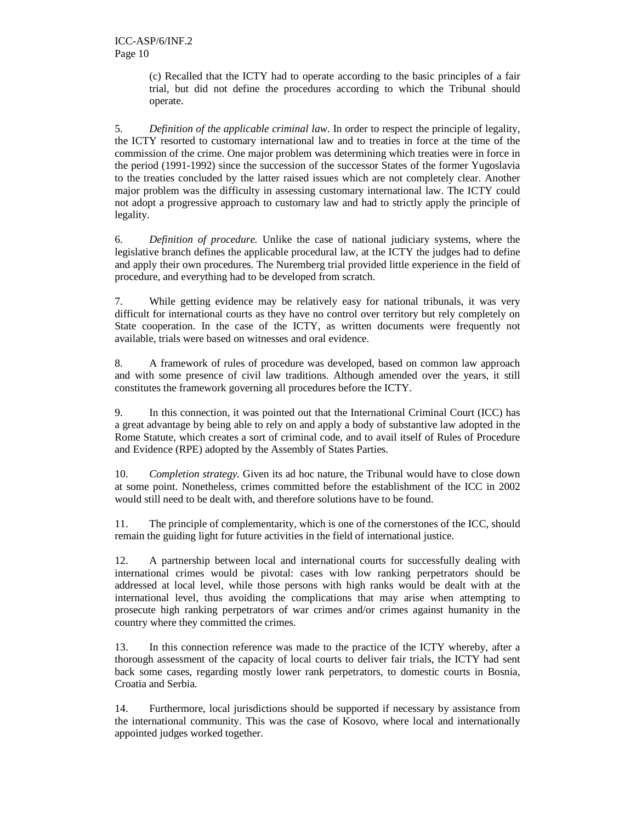(c) Recalled that the ICTY had to operate according to the basic principles of a fair trial, but did not define the procedures according to which the Tribunal should operate.

5. *Definition of the applicable criminal law*. In order to respect the principle of legality, the ICTY resorted to customary international law and to treaties in force at the time of the commission of the crime. One major problem was determining which treaties were in force in the period (1991-1992) since the succession of the successor States of the former Yugoslavia to the treaties concluded by the latter raised issues which are not completely clear. Another major problem was the difficulty in assessing customary international law. The ICTY could not adopt a progressive approach to customary law and had to strictly apply the principle of legality.

6. *Definition of procedure.* Unlike the case of national judiciary systems, where the legislative branch defines the applicable procedural law, at the ICTY the judges had to define and apply their own procedures. The Nuremberg trial provided little experience in the field of procedure, and everything had to be developed from scratch.

7. While getting evidence may be relatively easy for national tribunals, it was very difficult for international courts as they have no control over territory but rely completely on State cooperation. In the case of the ICTY, as written documents were frequently not available, trials were based on witnesses and oral evidence.

8. A framework of rules of procedure was developed, based on common law approach and with some presence of civil law traditions. Although amended over the years, it still constitutes the framework governing all procedures before the ICTY.

9. In this connection, it was pointed out that the International Criminal Court (ICC) has a great advantage by being able to rely on and apply a body of substantive law adopted in the Rome Statute, which creates a sort of criminal code, and to avail itself of Rules of Procedure and Evidence (RPE) adopted by the Assembly of States Parties.

10. *Completion strategy.* Given its ad hoc nature, the Tribunal would have to close down at some point. Nonetheless, crimes committed before the establishment of the ICC in 2002 would still need to be dealt with, and therefore solutions have to be found.

11. The principle of complementarity, which is one of the cornerstones of the ICC, should remain the guiding light for future activities in the field of international justice.

12. A partnership between local and international courts for successfully dealing with international crimes would be pivotal: cases with low ranking perpetrators should be addressed at local level, while those persons with high ranks would be dealt with at the international level, thus avoiding the complications that may arise when attempting to prosecute high ranking perpetrators of war crimes and/or crimes against humanity in the country where they committed the crimes.

13. In this connection reference was made to the practice of the ICTY whereby, after a thorough assessment of the capacity of local courts to deliver fair trials, the ICTY had sent back some cases, regarding mostly lower rank perpetrators, to domestic courts in Bosnia, Croatia and Serbia.

14. Furthermore, local jurisdictions should be supported if necessary by assistance from the international community. This was the case of Kosovo, where local and internationally appointed judges worked together.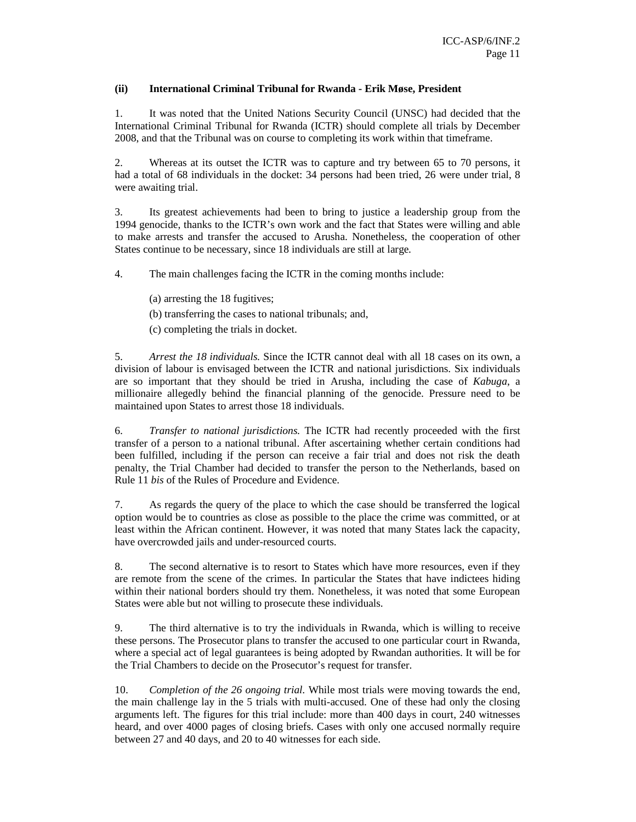# **(ii) International Criminal Tribunal for Rwanda - Erik Møse, President**

1. It was noted that the United Nations Security Council (UNSC) had decided that the International Criminal Tribunal for Rwanda (ICTR) should complete all trials by December 2008, and that the Tribunal was on course to completing its work within that timeframe.

2. Whereas at its outset the ICTR was to capture and try between 65 to 70 persons, it had a total of 68 individuals in the docket: 34 persons had been tried, 26 were under trial, 8 were awaiting trial.

3. Its greatest achievements had been to bring to justice a leadership group from the 1994 genocide, thanks to the ICTR's own work and the fact that States were willing and able to make arrests and transfer the accused to Arusha. Nonetheless, the cooperation of other States continue to be necessary, since 18 individuals are still at large.

4. The main challenges facing the ICTR in the coming months include:

(a) arresting the 18 fugitives;

(b) transferring the cases to national tribunals; and,

(c) completing the trials in docket.

5. *Arrest the 18 individuals.* Since the ICTR cannot deal with all 18 cases on its own, a division of labour is envisaged between the ICTR and national jurisdictions. Six individuals are so important that they should be tried in Arusha, including the case of *Kabuga*, a millionaire allegedly behind the financial planning of the genocide. Pressure need to be maintained upon States to arrest those 18 individuals.

6. *Transfer to national jurisdictions.* The ICTR had recently proceeded with the first transfer of a person to a national tribunal. After ascertaining whether certain conditions had been fulfilled, including if the person can receive a fair trial and does not risk the death penalty, the Trial Chamber had decided to transfer the person to the Netherlands, based on Rule 11 *bis* of the Rules of Procedure and Evidence.

7. As regards the query of the place to which the case should be transferred the logical option would be to countries as close as possible to the place the crime was committed, or at least within the African continent. However, it was noted that many States lack the capacity, have overcrowded jails and under-resourced courts.

8. The second alternative is to resort to States which have more resources, even if they are remote from the scene of the crimes. In particular the States that have indictees hiding within their national borders should try them. Nonetheless, it was noted that some European States were able but not willing to prosecute these individuals.

9. The third alternative is to try the individuals in Rwanda, which is willing to receive these persons. The Prosecutor plans to transfer the accused to one particular court in Rwanda, where a special act of legal guarantees is being adopted by Rwandan authorities. It will be for the Trial Chambers to decide on the Prosecutor's request for transfer.

10. *Completion of the 26 ongoing trial.* While most trials were moving towards the end, the main challenge lay in the 5 trials with multi-accused. One of these had only the closing arguments left. The figures for this trial include: more than 400 days in court, 240 witnesses heard, and over 4000 pages of closing briefs. Cases with only one accused normally require between 27 and 40 days, and 20 to 40 witnesses for each side.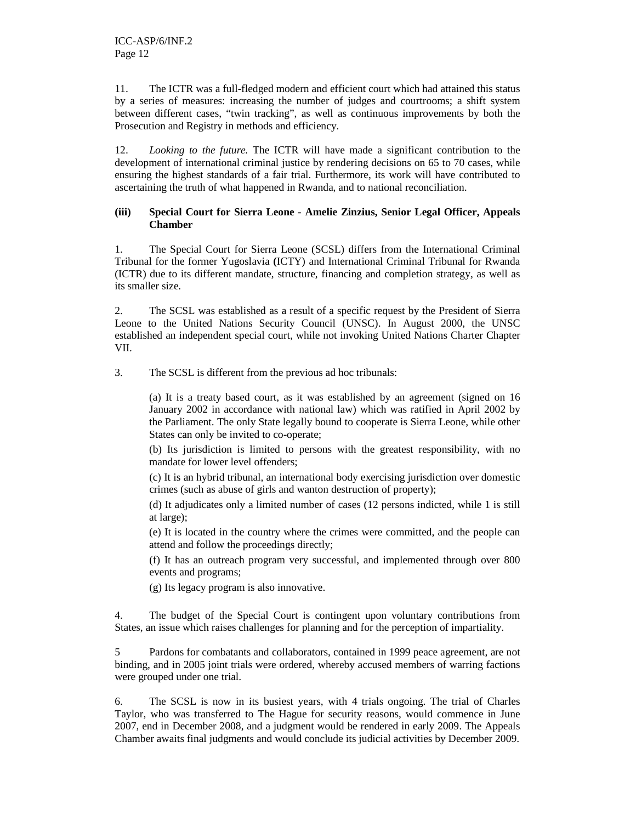11. The ICTR was a full-fledged modern and efficient court which had attained this status by a series of measures: increasing the number of judges and courtrooms; a shift system between different cases, "twin tracking", as well as continuous improvements by both the Prosecution and Registry in methods and efficiency.

12. *Looking to the future.* The ICTR will have made a significant contribution to the development of international criminal justice by rendering decisions on 65 to 70 cases, while ensuring the highest standards of a fair trial. Furthermore, its work will have contributed to ascertaining the truth of what happened in Rwanda, and to national reconciliation.

# **(iii) Special Court for Sierra Leone - Amelie Zinzius, Senior Legal Officer, Appeals Chamber**

1. The Special Court for Sierra Leone (SCSL) differs from the International Criminal Tribunal for the former Yugoslavia **(**ICTY) and International Criminal Tribunal for Rwanda (ICTR) due to its different mandate, structure, financing and completion strategy, as well as its smaller size.

2. The SCSL was established as a result of a specific request by the President of Sierra Leone to the United Nations Security Council (UNSC). In August 2000, the UNSC established an independent special court, while not invoking United Nations Charter Chapter VII.

3. The SCSL is different from the previous ad hoc tribunals:

(a) It is a treaty based court, as it was established by an agreement (signed on 16 January 2002 in accordance with national law) which was ratified in April 2002 by the Parliament. The only State legally bound to cooperate is Sierra Leone, while other States can only be invited to co-operate;

(b) Its jurisdiction is limited to persons with the greatest responsibility, with no mandate for lower level offenders;

(c) It is an hybrid tribunal, an international body exercising jurisdiction over domestic crimes (such as abuse of girls and wanton destruction of property);

(d) It adjudicates only a limited number of cases (12 persons indicted, while 1 is still at large);

(e) It is located in the country where the crimes were committed, and the people can attend and follow the proceedings directly;

(f) It has an outreach program very successful, and implemented through over 800 events and programs;

(g) Its legacy program is also innovative.

4. The budget of the Special Court is contingent upon voluntary contributions from States, an issue which raises challenges for planning and for the perception of impartiality.

5 Pardons for combatants and collaborators, contained in 1999 peace agreement, are not binding, and in 2005 joint trials were ordered, whereby accused members of warring factions were grouped under one trial.

6. The SCSL is now in its busiest years, with 4 trials ongoing. The trial of Charles Taylor, who was transferred to The Hague for security reasons, would commence in June 2007, end in December 2008, and a judgment would be rendered in early 2009. The Appeals Chamber awaits final judgments and would conclude its judicial activities by December 2009.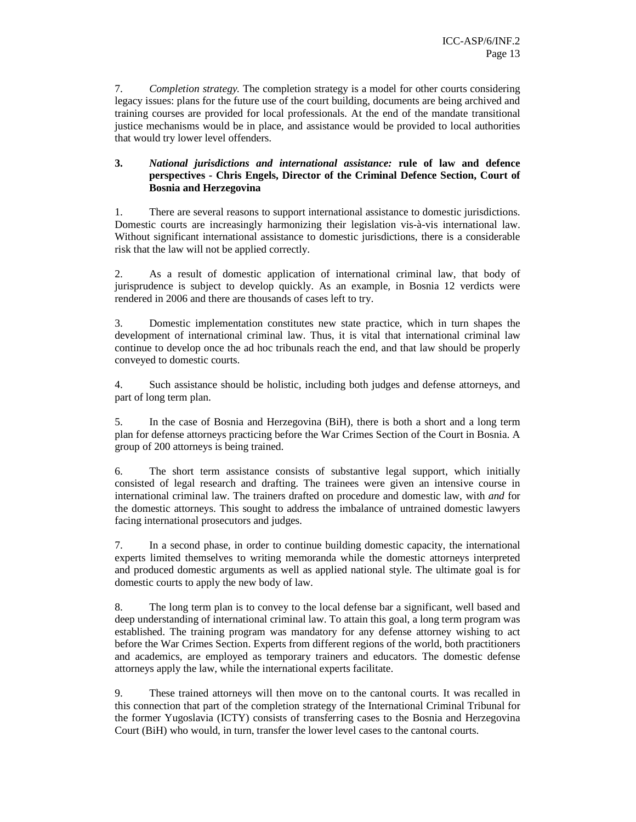7. *Completion strategy.* The completion strategy is a model for other courts considering legacy issues: plans for the future use of the court building, documents are being archived and training courses are provided for local professionals. At the end of the mandate transitional justice mechanisms would be in place, and assistance would be provided to local authorities that would try lower level offenders.

# **3.** *National jurisdictions and international assistance:* **rule of law and defence perspectives - Chris Engels, Director of the Criminal Defence Section, Court of Bosnia and Herzegovina**

1. There are several reasons to support international assistance to domestic jurisdictions. Domestic courts are increasingly harmonizing their legislation vis-à-vis international law. Without significant international assistance to domestic jurisdictions, there is a considerable risk that the law will not be applied correctly.

2. As a result of domestic application of international criminal law, that body of jurisprudence is subject to develop quickly. As an example, in Bosnia 12 verdicts were rendered in 2006 and there are thousands of cases left to try.

3. Domestic implementation constitutes new state practice, which in turn shapes the development of international criminal law. Thus, it is vital that international criminal law continue to develop once the ad hoc tribunals reach the end, and that law should be properly conveyed to domestic courts.

4. Such assistance should be holistic, including both judges and defense attorneys, and part of long term plan.

5. In the case of Bosnia and Herzegovina (BiH), there is both a short and a long term plan for defense attorneys practicing before the War Crimes Section of the Court in Bosnia. A group of 200 attorneys is being trained.

6. The short term assistance consists of substantive legal support, which initially consisted of legal research and drafting. The trainees were given an intensive course in international criminal law. The trainers drafted on procedure and domestic law, with *and* for the domestic attorneys. This sought to address the imbalance of untrained domestic lawyers facing international prosecutors and judges.

7. In a second phase, in order to continue building domestic capacity, the international experts limited themselves to writing memoranda while the domestic attorneys interpreted and produced domestic arguments as well as applied national style. The ultimate goal is for domestic courts to apply the new body of law.

8. The long term plan is to convey to the local defense bar a significant, well based and deep understanding of international criminal law. To attain this goal, a long term program was established. The training program was mandatory for any defense attorney wishing to act before the War Crimes Section. Experts from different regions of the world, both practitioners and academics, are employed as temporary trainers and educators. The domestic defense attorneys apply the law, while the international experts facilitate.

9. These trained attorneys will then move on to the cantonal courts. It was recalled in this connection that part of the completion strategy of the International Criminal Tribunal for the former Yugoslavia (ICTY) consists of transferring cases to the Bosnia and Herzegovina Court (BiH) who would, in turn, transfer the lower level cases to the cantonal courts.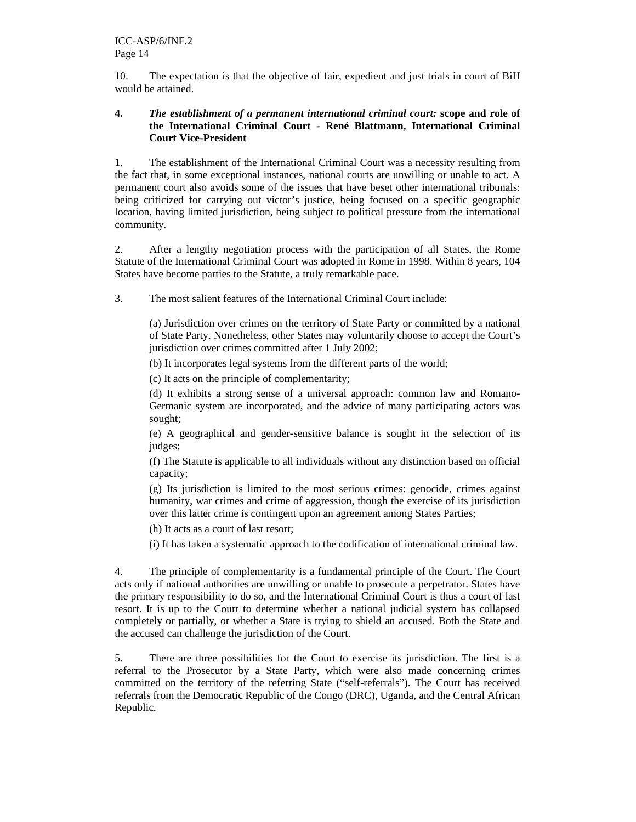10. The expectation is that the objective of fair, expedient and just trials in court of BiH would be attained.

# **4.** *The establishment of a permanent international criminal court:* **scope and role of the International Criminal Court - René Blattmann, International Criminal Court Vice-President**

1. The establishment of the International Criminal Court was a necessity resulting from the fact that, in some exceptional instances, national courts are unwilling or unable to act. A permanent court also avoids some of the issues that have beset other international tribunals: being criticized for carrying out victor's justice, being focused on a specific geographic location, having limited jurisdiction, being subject to political pressure from the international community.

2. After a lengthy negotiation process with the participation of all States, the Rome Statute of the International Criminal Court was adopted in Rome in 1998. Within 8 years, 104 States have become parties to the Statute, a truly remarkable pace.

3. The most salient features of the International Criminal Court include:

(a) Jurisdiction over crimes on the territory of State Party or committed by a national of State Party. Nonetheless, other States may voluntarily choose to accept the Court's jurisdiction over crimes committed after 1 July 2002;

(b) It incorporates legal systems from the different parts of the world;

(c) It acts on the principle of complementarity;

(d) It exhibits a strong sense of a universal approach: common law and Romano-Germanic system are incorporated, and the advice of many participating actors was sought;

(e) A geographical and gender-sensitive balance is sought in the selection of its judges;

(f) The Statute is applicable to all individuals without any distinction based on official capacity;

(g) Its jurisdiction is limited to the most serious crimes: genocide, crimes against humanity, war crimes and crime of aggression, though the exercise of its jurisdiction over this latter crime is contingent upon an agreement among States Parties;

(h) It acts as a court of last resort;

(i) It has taken a systematic approach to the codification of international criminal law.

4. The principle of complementarity is a fundamental principle of the Court. The Court acts only if national authorities are unwilling or unable to prosecute a perpetrator. States have the primary responsibility to do so, and the International Criminal Court is thus a court of last resort. It is up to the Court to determine whether a national judicial system has collapsed completely or partially, or whether a State is trying to shield an accused. Both the State and the accused can challenge the jurisdiction of the Court.

5. There are three possibilities for the Court to exercise its jurisdiction. The first is a referral to the Prosecutor by a State Party, which were also made concerning crimes committed on the territory of the referring State ("self-referrals"). The Court has received referrals from the Democratic Republic of the Congo (DRC), Uganda, and the Central African Republic.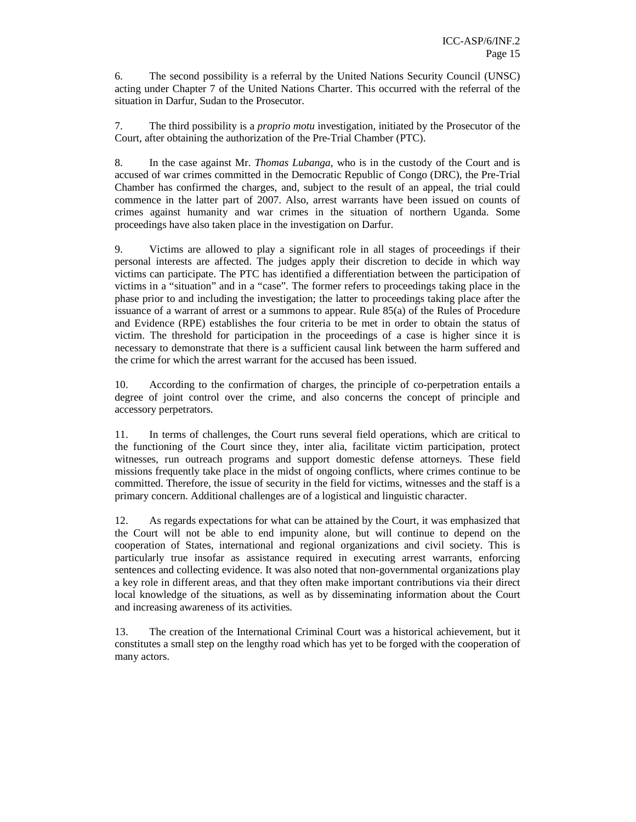6. The second possibility is a referral by the United Nations Security Council (UNSC) acting under Chapter 7 of the United Nations Charter. This occurred with the referral of the situation in Darfur, Sudan to the Prosecutor.

7. The third possibility is a *proprio motu* investigation, initiated by the Prosecutor of the Court, after obtaining the authorization of the Pre-Trial Chamber (PTC).

8. In the case against Mr. *Thomas Lubanga*, who is in the custody of the Court and is accused of war crimes committed in the Democratic Republic of Congo (DRC), the Pre-Trial Chamber has confirmed the charges, and, subject to the result of an appeal, the trial could commence in the latter part of 2007. Also, arrest warrants have been issued on counts of crimes against humanity and war crimes in the situation of northern Uganda. Some proceedings have also taken place in the investigation on Darfur.

9. Victims are allowed to play a significant role in all stages of proceedings if their personal interests are affected. The judges apply their discretion to decide in which way victims can participate. The PTC has identified a differentiation between the participation of victims in a "situation" and in a "case". The former refers to proceedings taking place in the phase prior to and including the investigation; the latter to proceedings taking place after the issuance of a warrant of arrest or a summons to appear. Rule 85(a) of the Rules of Procedure and Evidence (RPE) establishes the four criteria to be met in order to obtain the status of victim. The threshold for participation in the proceedings of a case is higher since it is necessary to demonstrate that there is a sufficient causal link between the harm suffered and the crime for which the arrest warrant for the accused has been issued.

10. According to the confirmation of charges, the principle of co-perpetration entails a degree of joint control over the crime, and also concerns the concept of principle and accessory perpetrators.

11. In terms of challenges, the Court runs several field operations, which are critical to the functioning of the Court since they, inter alia, facilitate victim participation, protect witnesses, run outreach programs and support domestic defense attorneys. These field missions frequently take place in the midst of ongoing conflicts, where crimes continue to be committed. Therefore, the issue of security in the field for victims, witnesses and the staff is a primary concern. Additional challenges are of a logistical and linguistic character.

12. As regards expectations for what can be attained by the Court, it was emphasized that the Court will not be able to end impunity alone, but will continue to depend on the cooperation of States, international and regional organizations and civil society. This is particularly true insofar as assistance required in executing arrest warrants, enforcing sentences and collecting evidence. It was also noted that non-governmental organizations play a key role in different areas, and that they often make important contributions via their direct local knowledge of the situations, as well as by disseminating information about the Court and increasing awareness of its activities.

13. The creation of the International Criminal Court was a historical achievement, but it constitutes a small step on the lengthy road which has yet to be forged with the cooperation of many actors.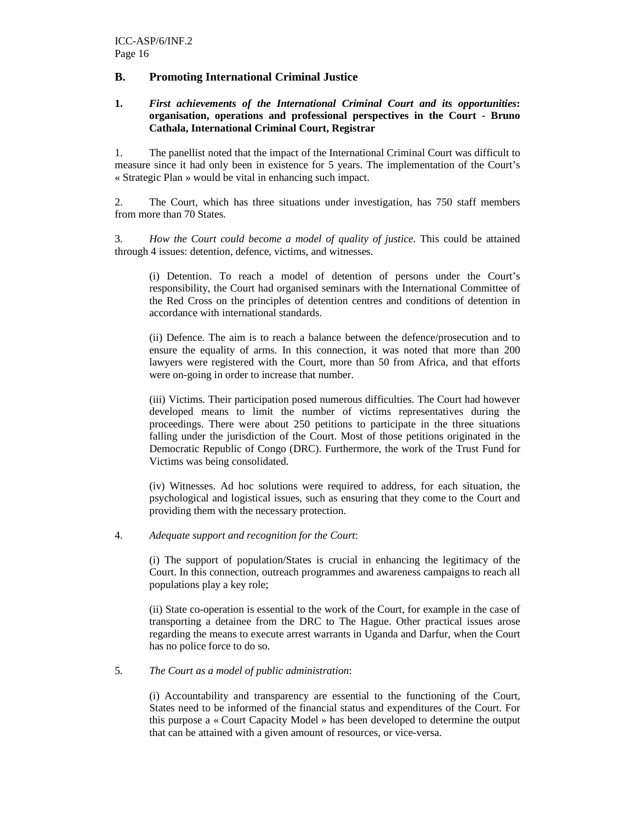# **B. Promoting International Criminal Justice**

## **1.** *First achievements of the International Criminal Court and its opportunities***: organisation, operations and professional perspectives in the Court - Bruno Cathala, International Criminal Court, Registrar**

1. The panellist noted that the impact of the International Criminal Court was difficult to measure since it had only been in existence for 5 years. The implementation of the Court's « Strategic Plan » would be vital in enhancing such impact.

2. The Court, which has three situations under investigation, has 750 staff members from more than 70 States.

3. *How the Court could become a model of quality of justice*. This could be attained through 4 issues: detention, defence, victims, and witnesses.

(i) Detention. To reach a model of detention of persons under the Court's responsibility, the Court had organised seminars with the International Committee of the Red Cross on the principles of detention centres and conditions of detention in accordance with international standards.

(ii) Defence. The aim is to reach a balance between the defence/prosecution and to ensure the equality of arms. In this connection, it was noted that more than 200 lawyers were registered with the Court, more than 50 from Africa, and that efforts were on-going in order to increase that number.

(iii) Victims. Their participation posed numerous difficulties. The Court had however developed means to limit the number of victims representatives during the proceedings. There were about 250 petitions to participate in the three situations falling under the jurisdiction of the Court. Most of those petitions originated in the Democratic Republic of Congo (DRC). Furthermore, the work of the Trust Fund for Victims was being consolidated.

(iv) Witnesses. Ad hoc solutions were required to address, for each situation, the psychological and logistical issues, such as ensuring that they come to the Court and providing them with the necessary protection.

4. *Adequate support and recognition for the Court*:

(i) The support of population/States is crucial in enhancing the legitimacy of the Court. In this connection, outreach programmes and awareness campaigns to reach all populations play a key role;

(ii) State co-operation is essential to the work of the Court, for example in the case of transporting a detainee from the DRC to The Hague. Other practical issues arose regarding the means to execute arrest warrants in Uganda and Darfur, when the Court has no police force to do so.

## 5. *The Court as a model of public administration*:

(i) Accountability and transparency are essential to the functioning of the Court, States need to be informed of the financial status and expenditures of the Court. For this purpose a « Court Capacity Model » has been developed to determine the output that can be attained with a given amount of resources, or vice-versa.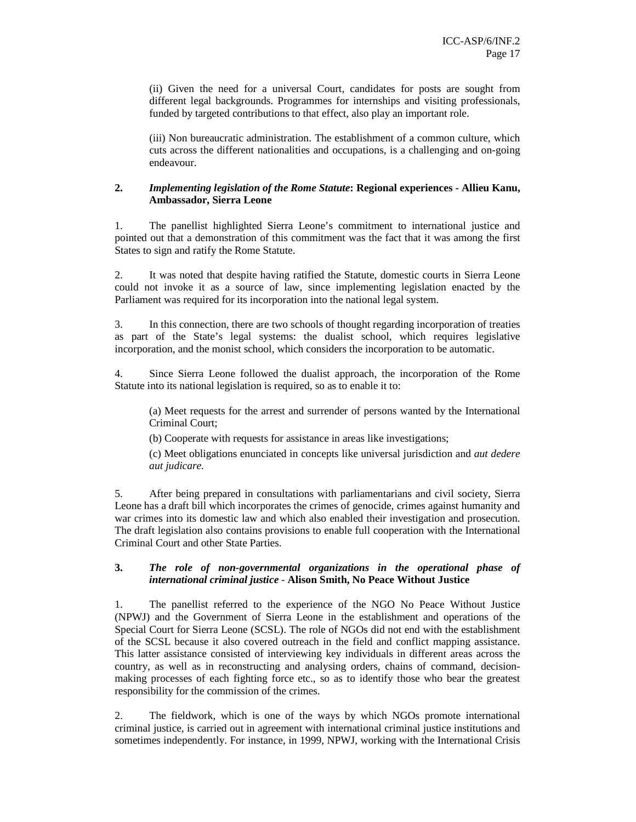(ii) Given the need for a universal Court, candidates for posts are sought from different legal backgrounds. Programmes for internships and visiting professionals, funded by targeted contributions to that effect, also play an important role.

(iii) Non bureaucratic administration. The establishment of a common culture, which cuts across the different nationalities and occupations, is a challenging and on-going endeavour.

# **2.** *Implementing legislation of the Rome Statute***: Regional experiences - Allieu Kanu, Ambassador, Sierra Leone**

1. The panellist highlighted Sierra Leone's commitment to international justice and pointed out that a demonstration of this commitment was the fact that it was among the first States to sign and ratify the Rome Statute.

2. It was noted that despite having ratified the Statute, domestic courts in Sierra Leone could not invoke it as a source of law, since implementing legislation enacted by the Parliament was required for its incorporation into the national legal system.

3. In this connection, there are two schools of thought regarding incorporation of treaties as part of the State's legal systems: the dualist school, which requires legislative incorporation, and the monist school, which considers the incorporation to be automatic.

4. Since Sierra Leone followed the dualist approach, the incorporation of the Rome Statute into its national legislation is required, so as to enable it to:

(a) Meet requests for the arrest and surrender of persons wanted by the International Criminal Court;

(b) Cooperate with requests for assistance in areas like investigations;

(c) Meet obligations enunciated in concepts like universal jurisdiction and *aut dedere aut judicare.*

5. After being prepared in consultations with parliamentarians and civil society, Sierra Leone has a draft bill which incorporates the crimes of genocide, crimes against humanity and war crimes into its domestic law and which also enabled their investigation and prosecution. The draft legislation also contains provisions to enable full cooperation with the International Criminal Court and other State Parties.

## **3.** *The role of non-governmental organizations in the operational phase of international criminal justice -* **Alison Smith, No Peace Without Justice**

1. The panellist referred to the experience of the NGO No Peace Without Justice (NPWJ) and the Government of Sierra Leone in the establishment and operations of the Special Court for Sierra Leone (SCSL). The role of NGOs did not end with the establishment of the SCSL because it also covered outreach in the field and conflict mapping assistance. This latter assistance consisted of interviewing key individuals in different areas across the country, as well as in reconstructing and analysing orders, chains of command, decisionmaking processes of each fighting force etc., so as to identify those who bear the greatest responsibility for the commission of the crimes.

2. The fieldwork, which is one of the ways by which NGOs promote international criminal justice, is carried out in agreement with international criminal justice institutions and sometimes independently. For instance, in 1999, NPWJ, working with the International Crisis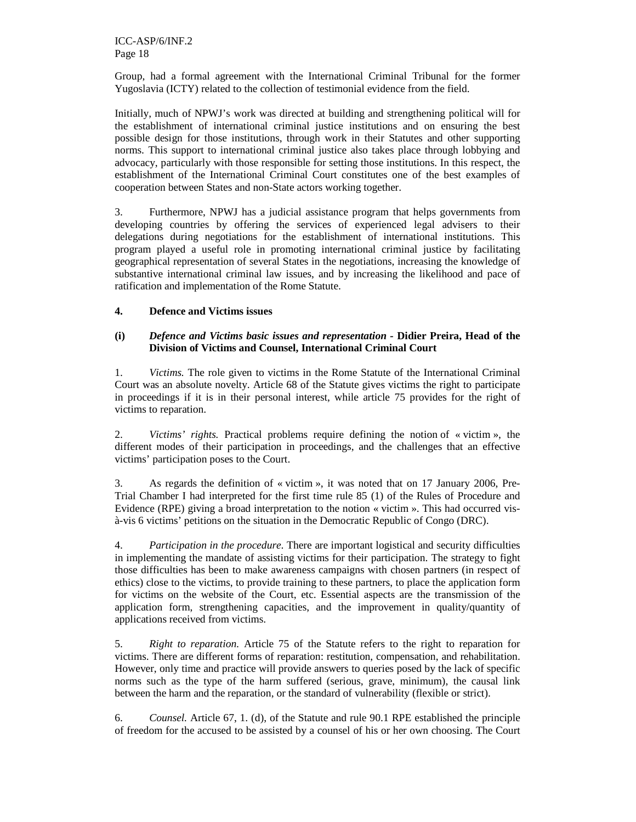ICC-ASP/6/INF.2 Page 18

Group, had a formal agreement with the International Criminal Tribunal for the former Yugoslavia (ICTY) related to the collection of testimonial evidence from the field.

Initially, much of NPWJ's work was directed at building and strengthening political will for the establishment of international criminal justice institutions and on ensuring the best possible design for those institutions, through work in their Statutes and other supporting norms. This support to international criminal justice also takes place through lobbying and advocacy, particularly with those responsible for setting those institutions. In this respect, the establishment of the International Criminal Court constitutes one of the best examples of cooperation between States and non-State actors working together.

3. Furthermore, NPWJ has a judicial assistance program that helps governments from developing countries by offering the services of experienced legal advisers to their delegations during negotiations for the establishment of international institutions. This program played a useful role in promoting international criminal justice by facilitating geographical representation of several States in the negotiations, increasing the knowledge of substantive international criminal law issues, and by increasing the likelihood and pace of ratification and implementation of the Rome Statute.

# **4. Defence and Victims issues**

## **(i)** *Defence and Victims basic issues and representation -* **Didier Preira, Head of the Division of Victims and Counsel, International Criminal Court**

1. *Victims.* The role given to victims in the Rome Statute of the International Criminal Court was an absolute novelty. Article 68 of the Statute gives victims the right to participate in proceedings if it is in their personal interest, while article 75 provides for the right of victims to reparation.

2. *Victims' rights.* Practical problems require defining the notion of « victim », the different modes of their participation in proceedings, and the challenges that an effective victims' participation poses to the Court.

3. As regards the definition of « victim », it was noted that on 17 January 2006, Pre-Trial Chamber I had interpreted for the first time rule 85 (1) of the Rules of Procedure and Evidence (RPE) giving a broad interpretation to the notion « victim ». This had occurred visà-vis 6 victims' petitions on the situation in the Democratic Republic of Congo (DRC).

4. *Participation in the procedure*. There are important logistical and security difficulties in implementing the mandate of assisting victims for their participation. The strategy to fight those difficulties has been to make awareness campaigns with chosen partners (in respect of ethics) close to the victims, to provide training to these partners, to place the application form for victims on the website of the Court, etc. Essential aspects are the transmission of the application form, strengthening capacities, and the improvement in quality/quantity of applications received from victims.

5. *Right to reparation.* Article 75 of the Statute refers to the right to reparation for victims. There are different forms of reparation: restitution, compensation, and rehabilitation. However, only time and practice will provide answers to queries posed by the lack of specific norms such as the type of the harm suffered (serious, grave, minimum), the causal link between the harm and the reparation, or the standard of vulnerability (flexible or strict).

6. *Counsel.* Article 67, 1. (d), of the Statute and rule 90.1 RPE established the principle of freedom for the accused to be assisted by a counsel of his or her own choosing. The Court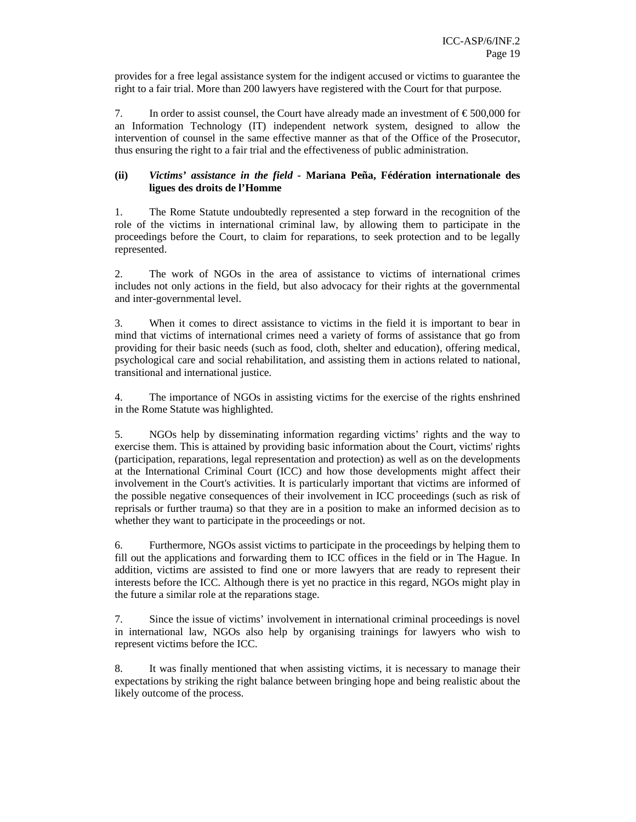provides for a free legal assistance system for the indigent accused or victims to guarantee the right to a fair trial. More than 200 lawyers have registered with the Court for that purpose.

7. In order to assist counsel, the Court have already made an investment of  $\epsilon$  500,000 for an Information Technology (IT) independent network system, designed to allow the intervention of counsel in the same effective manner as that of the Office of the Prosecutor, thus ensuring the right to a fair trial and the effectiveness of public administration.

# **(ii)** *Victims' assistance in the field -* **Mariana Peña, Fédération internationale des ligues des droits de l'Homme**

1. The Rome Statute undoubtedly represented a step forward in the recognition of the role of the victims in international criminal law, by allowing them to participate in the proceedings before the Court, to claim for reparations, to seek protection and to be legally represented.

2. The work of NGOs in the area of assistance to victims of international crimes includes not only actions in the field, but also advocacy for their rights at the governmental and inter-governmental level.

3. When it comes to direct assistance to victims in the field it is important to bear in mind that victims of international crimes need a variety of forms of assistance that go from providing for their basic needs (such as food, cloth, shelter and education), offering medical, psychological care and social rehabilitation, and assisting them in actions related to national, transitional and international justice.

4. The importance of NGOs in assisting victims for the exercise of the rights enshrined in the Rome Statute was highlighted.

5. NGOs help by disseminating information regarding victims' rights and the way to exercise them. This is attained by providing basic information about the Court, victims' rights (participation, reparations, legal representation and protection) as well as on the developments at the International Criminal Court (ICC) and how those developments might affect their involvement in the Court's activities. It is particularly important that victims are informed of the possible negative consequences of their involvement in ICC proceedings (such as risk of reprisals or further trauma) so that they are in a position to make an informed decision as to whether they want to participate in the proceedings or not.

6. Furthermore, NGOs assist victims to participate in the proceedings by helping them to fill out the applications and forwarding them to ICC offices in the field or in The Hague. In addition, victims are assisted to find one or more lawyers that are ready to represent their interests before the ICC. Although there is yet no practice in this regard, NGOs might play in the future a similar role at the reparations stage.

7. Since the issue of victims' involvement in international criminal proceedings is novel in international law, NGOs also help by organising trainings for lawyers who wish to represent victims before the ICC.

8. It was finally mentioned that when assisting victims, it is necessary to manage their expectations by striking the right balance between bringing hope and being realistic about the likely outcome of the process.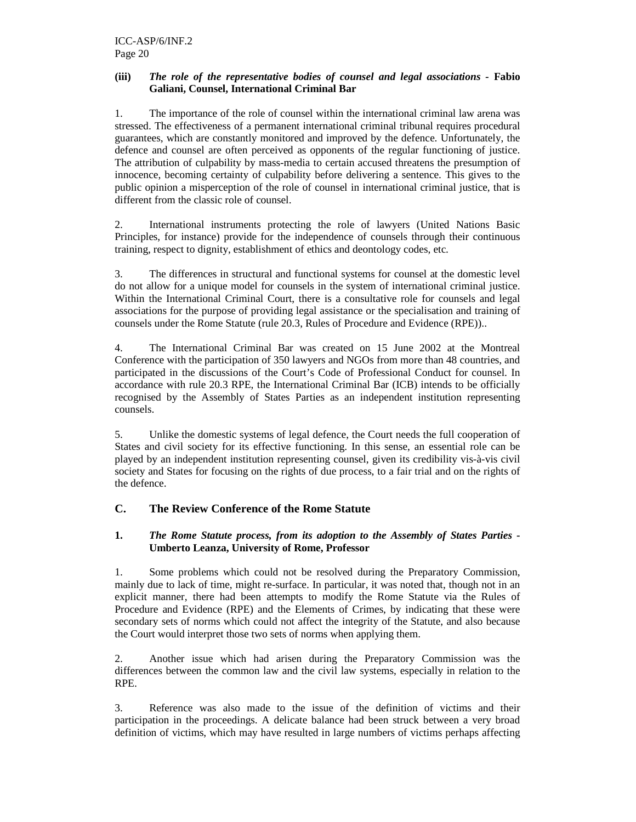# **(iii)** *The role of the representative bodies of counsel and legal associations -* **Fabio Galiani, Counsel, International Criminal Bar**

1. The importance of the role of counsel within the international criminal law arena was stressed. The effectiveness of a permanent international criminal tribunal requires procedural guarantees, which are constantly monitored and improved by the defence. Unfortunately, the defence and counsel are often perceived as opponents of the regular functioning of justice. The attribution of culpability by mass-media to certain accused threatens the presumption of innocence, becoming certainty of culpability before delivering a sentence. This gives to the public opinion a misperception of the role of counsel in international criminal justice, that is different from the classic role of counsel.

2. International instruments protecting the role of lawyers (United Nations Basic Principles, for instance) provide for the independence of counsels through their continuous training, respect to dignity, establishment of ethics and deontology codes, etc.

3. The differences in structural and functional systems for counsel at the domestic level do not allow for a unique model for counsels in the system of international criminal justice. Within the International Criminal Court, there is a consultative role for counsels and legal associations for the purpose of providing legal assistance or the specialisation and training of counsels under the Rome Statute (rule 20.3, Rules of Procedure and Evidence (RPE))..

4. The International Criminal Bar was created on 15 June 2002 at the Montreal Conference with the participation of 350 lawyers and NGOs from more than 48 countries, and participated in the discussions of the Court's Code of Professional Conduct for counsel. In accordance with rule 20.3 RPE, the International Criminal Bar (ICB) intends to be officially recognised by the Assembly of States Parties as an independent institution representing counsels.

5. Unlike the domestic systems of legal defence, the Court needs the full cooperation of States and civil society for its effective functioning. In this sense, an essential role can be played by an independent institution representing counsel, given its credibility vis-à-vis civil society and States for focusing on the rights of due process, to a fair trial and on the rights of the defence.

# **C. The Review Conference of the Rome Statute**

# **1.** *The Rome Statute process, from its adoption to the Assembly of States Parties* **- Umberto Leanza, University of Rome, Professor**

1. Some problems which could not be resolved during the Preparatory Commission, mainly due to lack of time, might re-surface. In particular, it was noted that, though not in an explicit manner, there had been attempts to modify the Rome Statute via the Rules of Procedure and Evidence (RPE) and the Elements of Crimes, by indicating that these were secondary sets of norms which could not affect the integrity of the Statute, and also because the Court would interpret those two sets of norms when applying them.

2. Another issue which had arisen during the Preparatory Commission was the differences between the common law and the civil law systems, especially in relation to the RPE.

3. Reference was also made to the issue of the definition of victims and their participation in the proceedings. A delicate balance had been struck between a very broad definition of victims, which may have resulted in large numbers of victims perhaps affecting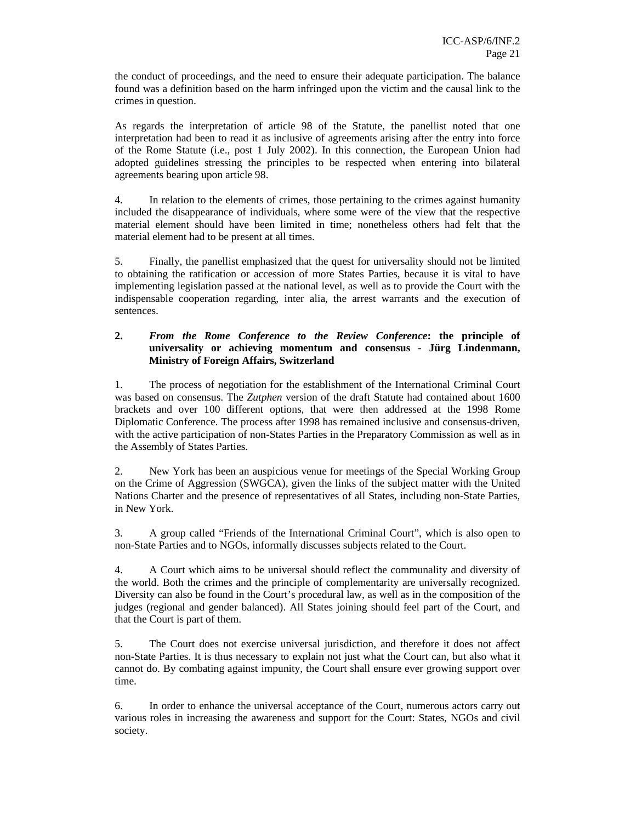the conduct of proceedings, and the need to ensure their adequate participation. The balance found was a definition based on the harm infringed upon the victim and the causal link to the crimes in question.

As regards the interpretation of article 98 of the Statute, the panellist noted that one interpretation had been to read it as inclusive of agreements arising after the entry into force of the Rome Statute (i.e., post 1 July 2002). In this connection, the European Union had adopted guidelines stressing the principles to be respected when entering into bilateral agreements bearing upon article 98.

4. In relation to the elements of crimes, those pertaining to the crimes against humanity included the disappearance of individuals, where some were of the view that the respective material element should have been limited in time; nonetheless others had felt that the material element had to be present at all times.

5. Finally, the panellist emphasized that the quest for universality should not be limited to obtaining the ratification or accession of more States Parties, because it is vital to have implementing legislation passed at the national level, as well as to provide the Court with the indispensable cooperation regarding, inter alia, the arrest warrants and the execution of sentences.

# **2.** *From the Rome Conference to the Review Conference***: the principle of universality or achieving momentum and consensus - Jürg Lindenmann, Ministry of Foreign Affairs, Switzerland**

1. The process of negotiation for the establishment of the International Criminal Court was based on consensus. The *Zutphen* version of the draft Statute had contained about 1600 brackets and over 100 different options, that were then addressed at the 1998 Rome Diplomatic Conference. The process after 1998 has remained inclusive and consensus-driven, with the active participation of non-States Parties in the Preparatory Commission as well as in the Assembly of States Parties.

2. New York has been an auspicious venue for meetings of the Special Working Group on the Crime of Aggression (SWGCA), given the links of the subject matter with the United Nations Charter and the presence of representatives of all States, including non-State Parties, in New York.

3. A group called "Friends of the International Criminal Court", which is also open to non-State Parties and to NGOs, informally discusses subjects related to the Court.

4. A Court which aims to be universal should reflect the communality and diversity of the world. Both the crimes and the principle of complementarity are universally recognized. Diversity can also be found in the Court's procedural law, as well as in the composition of the judges (regional and gender balanced). All States joining should feel part of the Court, and that the Court is part of them.

5. The Court does not exercise universal jurisdiction, and therefore it does not affect non-State Parties. It is thus necessary to explain not just what the Court can, but also what it cannot do. By combating against impunity, the Court shall ensure ever growing support over time.

6. In order to enhance the universal acceptance of the Court, numerous actors carry out various roles in increasing the awareness and support for the Court: States, NGOs and civil society.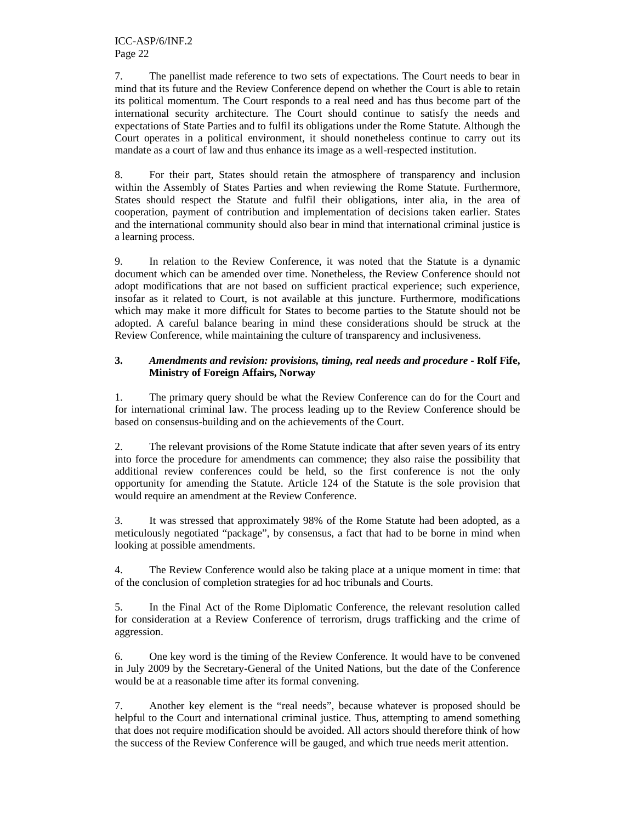7. The panellist made reference to two sets of expectations. The Court needs to bear in mind that its future and the Review Conference depend on whether the Court is able to retain its political momentum. The Court responds to a real need and has thus become part of the international security architecture. The Court should continue to satisfy the needs and expectations of State Parties and to fulfil its obligations under the Rome Statute. Although the Court operates in a political environment, it should nonetheless continue to carry out its mandate as a court of law and thus enhance its image as a well-respected institution.

8. For their part, States should retain the atmosphere of transparency and inclusion within the Assembly of States Parties and when reviewing the Rome Statute. Furthermore, States should respect the Statute and fulfil their obligations, inter alia, in the area of cooperation, payment of contribution and implementation of decisions taken earlier. States and the international community should also bear in mind that international criminal justice is a learning process.

9. In relation to the Review Conference, it was noted that the Statute is a dynamic document which can be amended over time. Nonetheless, the Review Conference should not adopt modifications that are not based on sufficient practical experience; such experience, insofar as it related to Court, is not available at this juncture. Furthermore, modifications which may make it more difficult for States to become parties to the Statute should not be adopted. A careful balance bearing in mind these considerations should be struck at the Review Conference, while maintaining the culture of transparency and inclusiveness.

# **3.** *Amendments and revision: provisions, timing, real needs and procedure* **- Rolf Fife, Ministry of Foreign Affairs, Norwa***y*

1. The primary query should be what the Review Conference can do for the Court and for international criminal law. The process leading up to the Review Conference should be based on consensus-building and on the achievements of the Court.

2. The relevant provisions of the Rome Statute indicate that after seven years of its entry into force the procedure for amendments can commence; they also raise the possibility that additional review conferences could be held, so the first conference is not the only opportunity for amending the Statute. Article 124 of the Statute is the sole provision that would require an amendment at the Review Conference.

3. It was stressed that approximately 98% of the Rome Statute had been adopted, as a meticulously negotiated "package", by consensus, a fact that had to be borne in mind when looking at possible amendments.

4. The Review Conference would also be taking place at a unique moment in time: that of the conclusion of completion strategies for ad hoc tribunals and Courts.

5. In the Final Act of the Rome Diplomatic Conference, the relevant resolution called for consideration at a Review Conference of terrorism, drugs trafficking and the crime of aggression.

6. One key word is the timing of the Review Conference. It would have to be convened in July 2009 by the Secretary-General of the United Nations, but the date of the Conference would be at a reasonable time after its formal convening.

7. Another key element is the "real needs", because whatever is proposed should be helpful to the Court and international criminal justice. Thus, attempting to amend something that does not require modification should be avoided. All actors should therefore think of how the success of the Review Conference will be gauged, and which true needs merit attention.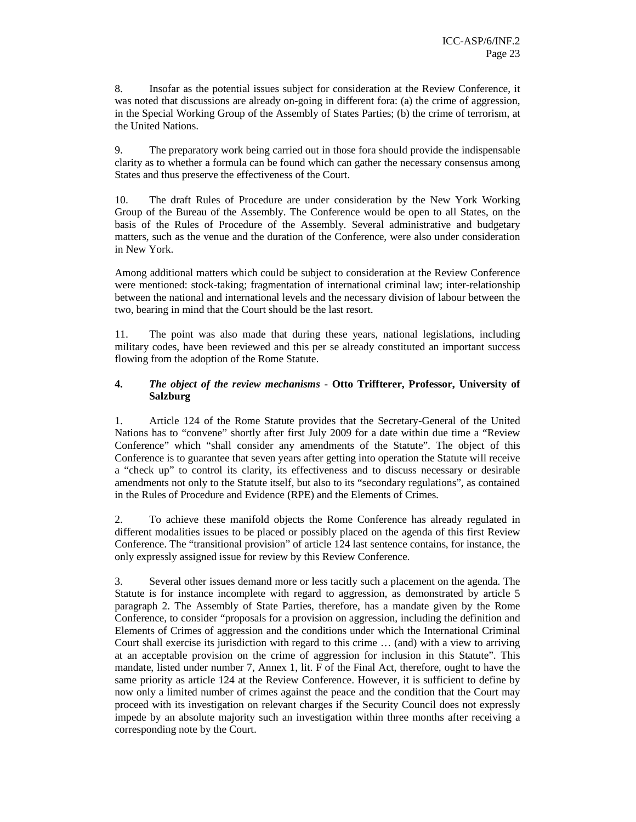8. Insofar as the potential issues subject for consideration at the Review Conference, it was noted that discussions are already on-going in different fora: (a) the crime of aggression, in the Special Working Group of the Assembly of States Parties; (b) the crime of terrorism, at the United Nations.

9. The preparatory work being carried out in those fora should provide the indispensable clarity as to whether a formula can be found which can gather the necessary consensus among States and thus preserve the effectiveness of the Court.

10. The draft Rules of Procedure are under consideration by the New York Working Group of the Bureau of the Assembly. The Conference would be open to all States, on the basis of the Rules of Procedure of the Assembly. Several administrative and budgetary matters, such as the venue and the duration of the Conference, were also under consideration in New York.

Among additional matters which could be subject to consideration at the Review Conference were mentioned: stock-taking; fragmentation of international criminal law; inter-relationship between the national and international levels and the necessary division of labour between the two, bearing in mind that the Court should be the last resort.

11. The point was also made that during these years, national legislations, including military codes, have been reviewed and this per se already constituted an important success flowing from the adoption of the Rome Statute.

# **4.** *The object of the review mechanisms* **- Otto Triffterer, Professor, University of Salzburg**

1. Article 124 of the Rome Statute provides that the Secretary-General of the United Nations has to "convene" shortly after first July 2009 for a date within due time a "Review Conference" which "shall consider any amendments of the Statute". The object of this Conference is to guarantee that seven years after getting into operation the Statute will receive a "check up" to control its clarity, its effectiveness and to discuss necessary or desirable amendments not only to the Statute itself, but also to its "secondary regulations", as contained in the Rules of Procedure and Evidence (RPE) and the Elements of Crimes.

2. To achieve these manifold objects the Rome Conference has already regulated in different modalities issues to be placed or possibly placed on the agenda of this first Review Conference. The "transitional provision" of article 124 last sentence contains, for instance, the only expressly assigned issue for review by this Review Conference.

3. Several other issues demand more or less tacitly such a placement on the agenda. The Statute is for instance incomplete with regard to aggression, as demonstrated by article 5 paragraph 2. The Assembly of State Parties, therefore, has a mandate given by the Rome Conference, to consider "proposals for a provision on aggression, including the definition and Elements of Crimes of aggression and the conditions under which the International Criminal Court shall exercise its jurisdiction with regard to this crime … (and) with a view to arriving at an acceptable provision on the crime of aggression for inclusion in this Statute". This mandate, listed under number 7, Annex 1, lit. F of the Final Act, therefore, ought to have the same priority as article 124 at the Review Conference. However, it is sufficient to define by now only a limited number of crimes against the peace and the condition that the Court may proceed with its investigation on relevant charges if the Security Council does not expressly impede by an absolute majority such an investigation within three months after receiving a corresponding note by the Court.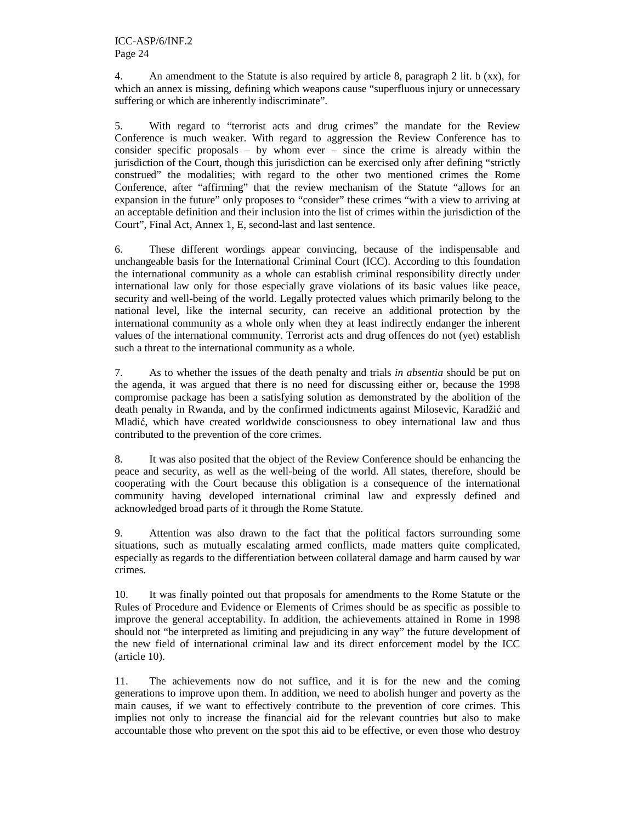4. An amendment to the Statute is also required by article 8, paragraph 2 lit. b (xx), for which an annex is missing, defining which weapons cause "superfluous injury or unnecessary suffering or which are inherently indiscriminate".

5. With regard to "terrorist acts and drug crimes" the mandate for the Review Conference is much weaker. With regard to aggression the Review Conference has to consider specific proposals – by whom ever – since the crime is already within the jurisdiction of the Court, though this jurisdiction can be exercised only after defining "strictly construed" the modalities; with regard to the other two mentioned crimes the Rome Conference, after "affirming" that the review mechanism of the Statute "allows for an expansion in the future" only proposes to "consider" these crimes "with a view to arriving at an acceptable definition and their inclusion into the list of crimes within the jurisdiction of the Court", Final Act, Annex 1, E, second-last and last sentence.

6. These different wordings appear convincing, because of the indispensable and unchangeable basis for the International Criminal Court (ICC). According to this foundation the international community as a whole can establish criminal responsibility directly under international law only for those especially grave violations of its basic values like peace, security and well-being of the world. Legally protected values which primarily belong to the national level, like the internal security, can receive an additional protection by the international community as a whole only when they at least indirectly endanger the inherent values of the international community. Terrorist acts and drug offences do not (yet) establish such a threat to the international community as a whole.

7. As to whether the issues of the death penalty and trials *in absentia* should be put on the agenda, it was argued that there is no need for discussing either or, because the 1998 compromise package has been a satisfying solution as demonstrated by the abolition of the death penalty in Rwanda, and by the confirmed indictments against Milosevic, Karadžić and Mladić, which have created worldwide consciousness to obey international law and thus contributed to the prevention of the core crimes.

8. It was also posited that the object of the Review Conference should be enhancing the peace and security, as well as the well-being of the world. All states, therefore, should be cooperating with the Court because this obligation is a consequence of the international community having developed international criminal law and expressly defined and acknowledged broad parts of it through the Rome Statute.

9. Attention was also drawn to the fact that the political factors surrounding some situations, such as mutually escalating armed conflicts, made matters quite complicated, especially as regards to the differentiation between collateral damage and harm caused by war crimes.

10. It was finally pointed out that proposals for amendments to the Rome Statute or the Rules of Procedure and Evidence or Elements of Crimes should be as specific as possible to improve the general acceptability. In addition, the achievements attained in Rome in 1998 should not "be interpreted as limiting and prejudicing in any way" the future development of the new field of international criminal law and its direct enforcement model by the ICC (article 10).

11. The achievements now do not suffice, and it is for the new and the coming generations to improve upon them. In addition, we need to abolish hunger and poverty as the main causes, if we want to effectively contribute to the prevention of core crimes. This implies not only to increase the financial aid for the relevant countries but also to make accountable those who prevent on the spot this aid to be effective, or even those who destroy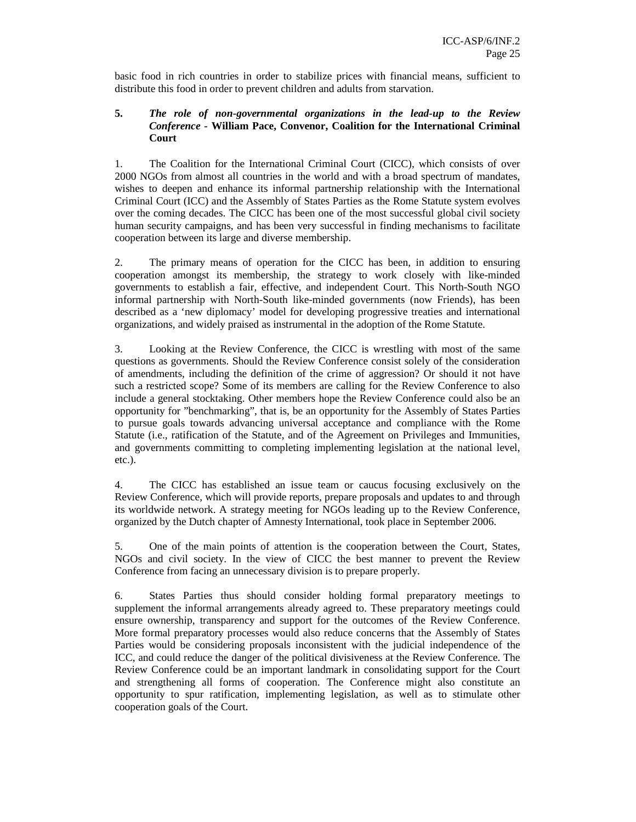basic food in rich countries in order to stabilize prices with financial means, sufficient to distribute this food in order to prevent children and adults from starvation.

## **5.** *The role of non-governmental organizations in the lead-up to the Review Conference -* **William Pace, Convenor, Coalition for the International Criminal Court**

1. The Coalition for the International Criminal Court (CICC), which consists of over 2000 NGOs from almost all countries in the world and with a broad spectrum of mandates, wishes to deepen and enhance its informal partnership relationship with the International Criminal Court (ICC) and the Assembly of States Parties as the Rome Statute system evolves over the coming decades. The CICC has been one of the most successful global civil society human security campaigns, and has been very successful in finding mechanisms to facilitate cooperation between its large and diverse membership.

2. The primary means of operation for the CICC has been, in addition to ensuring cooperation amongst its membership, the strategy to work closely with like-minded governments to establish a fair, effective, and independent Court. This North-South NGO informal partnership with North-South like-minded governments (now Friends), has been described as a 'new diplomacy' model for developing progressive treaties and international organizations, and widely praised as instrumental in the adoption of the Rome Statute.

3. Looking at the Review Conference, the CICC is wrestling with most of the same questions as governments. Should the Review Conference consist solely of the consideration of amendments, including the definition of the crime of aggression? Or should it not have such a restricted scope? Some of its members are calling for the Review Conference to also include a general stocktaking. Other members hope the Review Conference could also be an opportunity for "benchmarking", that is, be an opportunity for the Assembly of States Parties to pursue goals towards advancing universal acceptance and compliance with the Rome Statute (i.e., ratification of the Statute, and of the Agreement on Privileges and Immunities, and governments committing to completing implementing legislation at the national level, etc.).

4. The CICC has established an issue team or caucus focusing exclusively on the Review Conference, which will provide reports, prepare proposals and updates to and through its worldwide network. A strategy meeting for NGOs leading up to the Review Conference, organized by the Dutch chapter of Amnesty International, took place in September 2006.

5. One of the main points of attention is the cooperation between the Court, States, NGOs and civil society. In the view of CICC the best manner to prevent the Review Conference from facing an unnecessary division is to prepare properly.

6. States Parties thus should consider holding formal preparatory meetings to supplement the informal arrangements already agreed to. These preparatory meetings could ensure ownership, transparency and support for the outcomes of the Review Conference. More formal preparatory processes would also reduce concerns that the Assembly of States Parties would be considering proposals inconsistent with the judicial independence of the ICC, and could reduce the danger of the political divisiveness at the Review Conference. The Review Conference could be an important landmark in consolidating support for the Court and strengthening all forms of cooperation. The Conference might also constitute an opportunity to spur ratification, implementing legislation, as well as to stimulate other cooperation goals of the Court.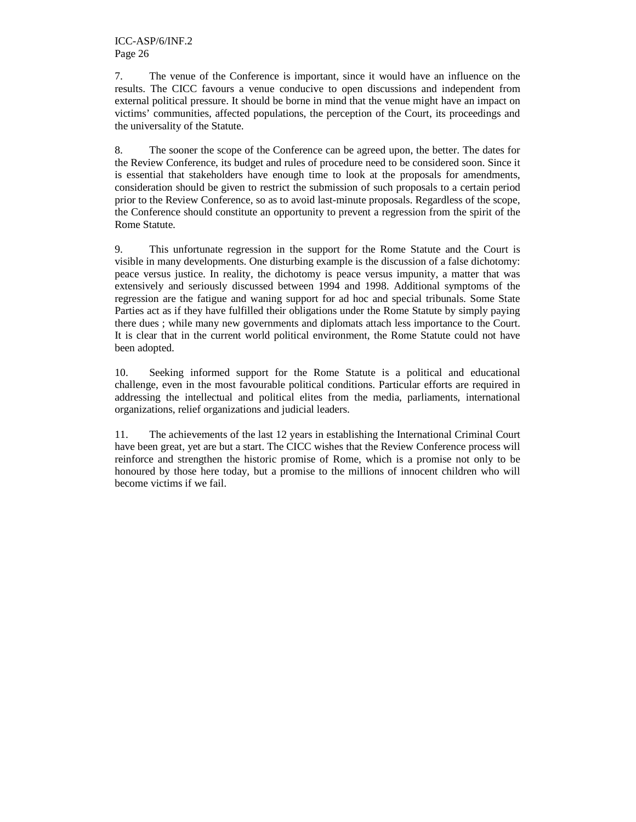7. The venue of the Conference is important, since it would have an influence on the results. The CICC favours a venue conducive to open discussions and independent from external political pressure. It should be borne in mind that the venue might have an impact on victims' communities, affected populations, the perception of the Court, its proceedings and the universality of the Statute.

8. The sooner the scope of the Conference can be agreed upon, the better. The dates for the Review Conference, its budget and rules of procedure need to be considered soon. Since it is essential that stakeholders have enough time to look at the proposals for amendments, consideration should be given to restrict the submission of such proposals to a certain period prior to the Review Conference, so as to avoid last-minute proposals. Regardless of the scope, the Conference should constitute an opportunity to prevent a regression from the spirit of the Rome Statute.

9. This unfortunate regression in the support for the Rome Statute and the Court is visible in many developments. One disturbing example is the discussion of a false dichotomy: peace versus justice. In reality, the dichotomy is peace versus impunity, a matter that was extensively and seriously discussed between 1994 and 1998. Additional symptoms of the regression are the fatigue and waning support for ad hoc and special tribunals. Some State Parties act as if they have fulfilled their obligations under the Rome Statute by simply paying there dues ; while many new governments and diplomats attach less importance to the Court. It is clear that in the current world political environment, the Rome Statute could not have been adopted.

10. Seeking informed support for the Rome Statute is a political and educational challenge, even in the most favourable political conditions. Particular efforts are required in addressing the intellectual and political elites from the media, parliaments, international organizations, relief organizations and judicial leaders.

11. The achievements of the last 12 years in establishing the International Criminal Court have been great, yet are but a start. The CICC wishes that the Review Conference process will reinforce and strengthen the historic promise of Rome, which is a promise not only to be honoured by those here today, but a promise to the millions of innocent children who will become victims if we fail.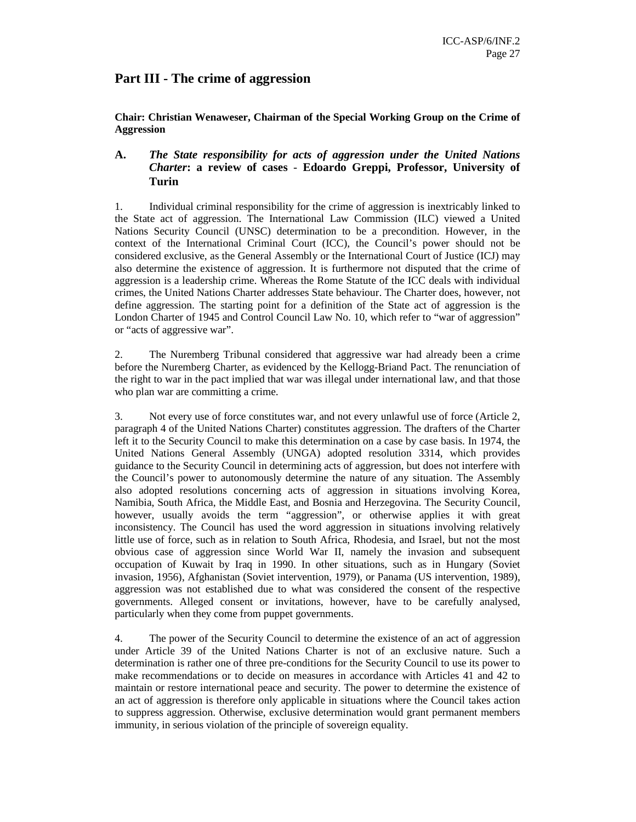# **Part III - The crime of aggression**

**Chair: Christian Wenaweser, Chairman of the Special Working Group on the Crime of Aggression** 

# **A.** *The State responsibility for acts of aggression under the United Nations Charter***: a review of cases** *-* **Edoardo Greppi, Professor, University of Turin**

1. Individual criminal responsibility for the crime of aggression is inextricably linked to the State act of aggression. The International Law Commission (ILC) viewed a United Nations Security Council (UNSC) determination to be a precondition. However, in the context of the International Criminal Court (ICC), the Council's power should not be considered exclusive, as the General Assembly or the International Court of Justice (ICJ) may also determine the existence of aggression. It is furthermore not disputed that the crime of aggression is a leadership crime. Whereas the Rome Statute of the ICC deals with individual crimes, the United Nations Charter addresses State behaviour. The Charter does, however, not define aggression. The starting point for a definition of the State act of aggression is the London Charter of 1945 and Control Council Law No. 10, which refer to "war of aggression" or "acts of aggressive war".

2. The Nuremberg Tribunal considered that aggressive war had already been a crime before the Nuremberg Charter, as evidenced by the Kellogg-Briand Pact. The renunciation of the right to war in the pact implied that war was illegal under international law, and that those who plan war are committing a crime.

3. Not every use of force constitutes war, and not every unlawful use of force (Article 2, paragraph 4 of the United Nations Charter) constitutes aggression. The drafters of the Charter left it to the Security Council to make this determination on a case by case basis. In 1974, the United Nations General Assembly (UNGA) adopted resolution 3314, which provides guidance to the Security Council in determining acts of aggression, but does not interfere with the Council's power to autonomously determine the nature of any situation. The Assembly also adopted resolutions concerning acts of aggression in situations involving Korea, Namibia, South Africa, the Middle East, and Bosnia and Herzegovina. The Security Council, however, usually avoids the term "aggression", or otherwise applies it with great inconsistency. The Council has used the word aggression in situations involving relatively little use of force, such as in relation to South Africa, Rhodesia, and Israel, but not the most obvious case of aggression since World War II, namely the invasion and subsequent occupation of Kuwait by Iraq in 1990. In other situations, such as in Hungary (Soviet invasion, 1956), Afghanistan (Soviet intervention, 1979), or Panama (US intervention, 1989), aggression was not established due to what was considered the consent of the respective governments. Alleged consent or invitations, however, have to be carefully analysed, particularly when they come from puppet governments.

4. The power of the Security Council to determine the existence of an act of aggression under Article 39 of the United Nations Charter is not of an exclusive nature. Such a determination is rather one of three pre-conditions for the Security Council to use its power to make recommendations or to decide on measures in accordance with Articles 41 and 42 to maintain or restore international peace and security. The power to determine the existence of an act of aggression is therefore only applicable in situations where the Council takes action to suppress aggression. Otherwise, exclusive determination would grant permanent members immunity, in serious violation of the principle of sovereign equality.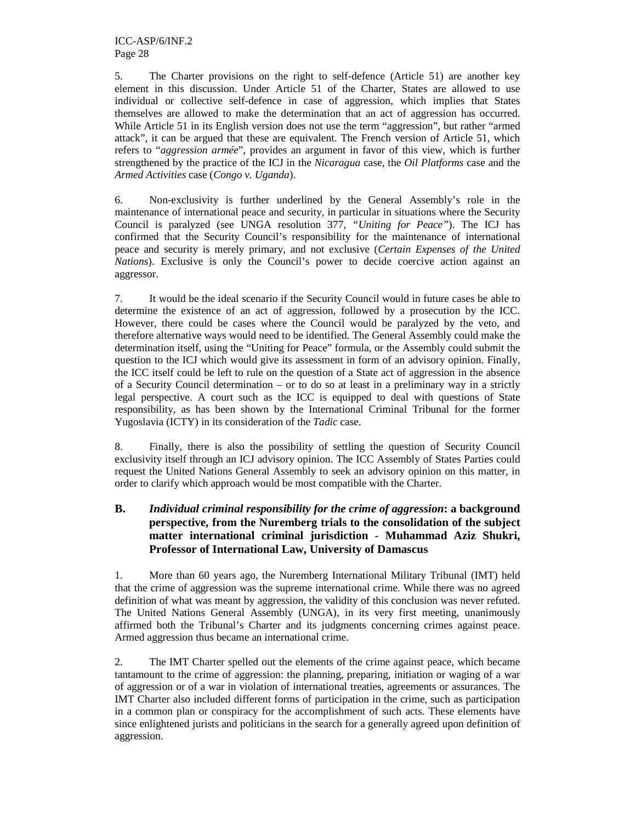5. The Charter provisions on the right to self-defence (Article 51) are another key element in this discussion. Under Article 51 of the Charter, States are allowed to use individual or collective self-defence in case of aggression, which implies that States themselves are allowed to make the determination that an act of aggression has occurred. While Article 51 in its English version does not use the term "aggression", but rather "armed attack", it can be argued that these are equivalent. The French version of Article 51, which refers to "*aggression armée*", provides an argument in favor of this view, which is further strengthened by the practice of the ICJ in the *Nicaragua* case, the *Oil Platforms* case and the *Armed Activities* case (*Congo v. Uganda*).

6. Non-exclusivity is further underlined by the General Assembly's role in the maintenance of international peace and security, in particular in situations where the Security Council is paralyzed (see UNGA resolution 377, *"Uniting for Peace"*). The ICJ has confirmed that the Security Council's responsibility for the maintenance of international peace and security is merely primary, and not exclusive (*Certain Expenses of the United Nations*). Exclusive is only the Council's power to decide coercive action against an aggressor.

7. It would be the ideal scenario if the Security Council would in future cases be able to determine the existence of an act of aggression, followed by a prosecution by the ICC. However, there could be cases where the Council would be paralyzed by the veto, and therefore alternative ways would need to be identified. The General Assembly could make the determination itself, using the "Uniting for Peace" formula, or the Assembly could submit the question to the ICJ which would give its assessment in form of an advisory opinion. Finally, the ICC itself could be left to rule on the question of a State act of aggression in the absence of a Security Council determination – or to do so at least in a preliminary way in a strictly legal perspective. A court such as the ICC is equipped to deal with questions of State responsibility, as has been shown by the International Criminal Tribunal for the former Yugoslavia (ICTY) in its consideration of the *Tadic* case.

8. Finally, there is also the possibility of settling the question of Security Council exclusivity itself through an ICJ advisory opinion. The ICC Assembly of States Parties could request the United Nations General Assembly to seek an advisory opinion on this matter, in order to clarify which approach would be most compatible with the Charter.

# **B.** *Individual criminal responsibility for the crime of aggression***: a background perspective, from the Nuremberg trials to the consolidation of the subject matter international criminal jurisdiction** *-* **Muhammad Aziz Shukri, Professor of International Law, University of Damascus**

1. More than 60 years ago, the Nuremberg International Military Tribunal (IMT) held that the crime of aggression was the supreme international crime. While there was no agreed definition of what was meant by aggression, the validity of this conclusion was never refuted. The United Nations General Assembly (UNGA), in its very first meeting, unanimously affirmed both the Tribunal's Charter and its judgments concerning crimes against peace. Armed aggression thus became an international crime.

2. The IMT Charter spelled out the elements of the crime against peace, which became tantamount to the crime of aggression: the planning, preparing, initiation or waging of a war of aggression or of a war in violation of international treaties, agreements or assurances. The IMT Charter also included different forms of participation in the crime, such as participation in a common plan or conspiracy for the accomplishment of such acts. These elements have since enlightened jurists and politicians in the search for a generally agreed upon definition of aggression.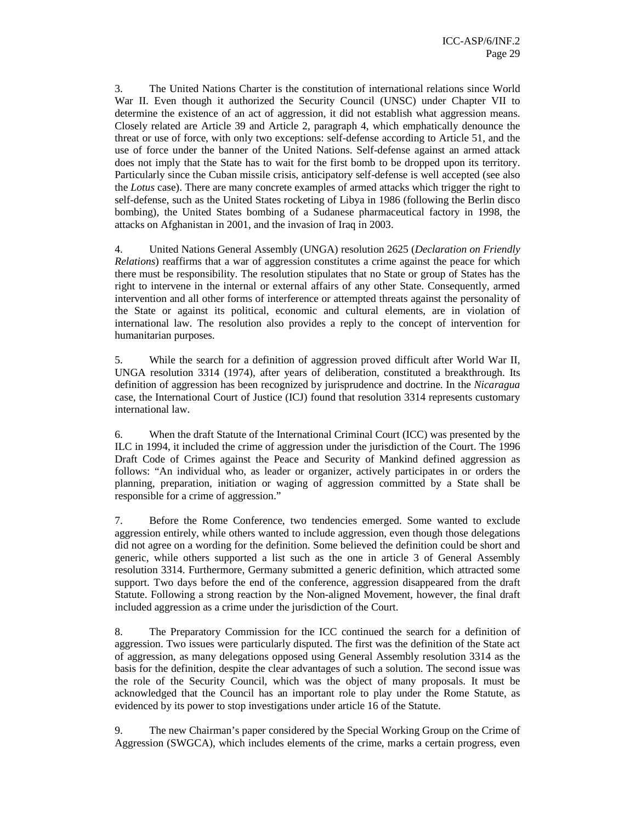3. The United Nations Charter is the constitution of international relations since World War II. Even though it authorized the Security Council (UNSC) under Chapter VII to determine the existence of an act of aggression, it did not establish what aggression means. Closely related are Article 39 and Article 2, paragraph 4, which emphatically denounce the threat or use of force, with only two exceptions: self-defense according to Article 51, and the use of force under the banner of the United Nations. Self-defense against an armed attack does not imply that the State has to wait for the first bomb to be dropped upon its territory. Particularly since the Cuban missile crisis, anticipatory self-defense is well accepted (see also the *Lotus* case). There are many concrete examples of armed attacks which trigger the right to self-defense, such as the United States rocketing of Libya in 1986 (following the Berlin disco bombing), the United States bombing of a Sudanese pharmaceutical factory in 1998, the attacks on Afghanistan in 2001, and the invasion of Iraq in 2003.

4. United Nations General Assembly (UNGA) resolution 2625 (*Declaration on Friendly Relations*) reaffirms that a war of aggression constitutes a crime against the peace for which there must be responsibility. The resolution stipulates that no State or group of States has the right to intervene in the internal or external affairs of any other State. Consequently, armed intervention and all other forms of interference or attempted threats against the personality of the State or against its political, economic and cultural elements, are in violation of international law. The resolution also provides a reply to the concept of intervention for humanitarian purposes.

5. While the search for a definition of aggression proved difficult after World War II, UNGA resolution 3314 (1974), after years of deliberation, constituted a breakthrough. Its definition of aggression has been recognized by jurisprudence and doctrine. In the *Nicaragua* case, the International Court of Justice (ICJ) found that resolution 3314 represents customary international law.

6. When the draft Statute of the International Criminal Court (ICC) was presented by the ILC in 1994, it included the crime of aggression under the jurisdiction of the Court. The 1996 Draft Code of Crimes against the Peace and Security of Mankind defined aggression as follows: "An individual who, as leader or organizer, actively participates in or orders the planning, preparation, initiation or waging of aggression committed by a State shall be responsible for a crime of aggression."

7. Before the Rome Conference, two tendencies emerged. Some wanted to exclude aggression entirely, while others wanted to include aggression, even though those delegations did not agree on a wording for the definition. Some believed the definition could be short and generic, while others supported a list such as the one in article 3 of General Assembly resolution 3314. Furthermore, Germany submitted a generic definition, which attracted some support. Two days before the end of the conference, aggression disappeared from the draft Statute. Following a strong reaction by the Non-aligned Movement, however, the final draft included aggression as a crime under the jurisdiction of the Court.

8. The Preparatory Commission for the ICC continued the search for a definition of aggression. Two issues were particularly disputed. The first was the definition of the State act of aggression, as many delegations opposed using General Assembly resolution 3314 as the basis for the definition, despite the clear advantages of such a solution. The second issue was the role of the Security Council, which was the object of many proposals. It must be acknowledged that the Council has an important role to play under the Rome Statute, as evidenced by its power to stop investigations under article 16 of the Statute.

9. The new Chairman's paper considered by the Special Working Group on the Crime of Aggression (SWGCA), which includes elements of the crime, marks a certain progress, even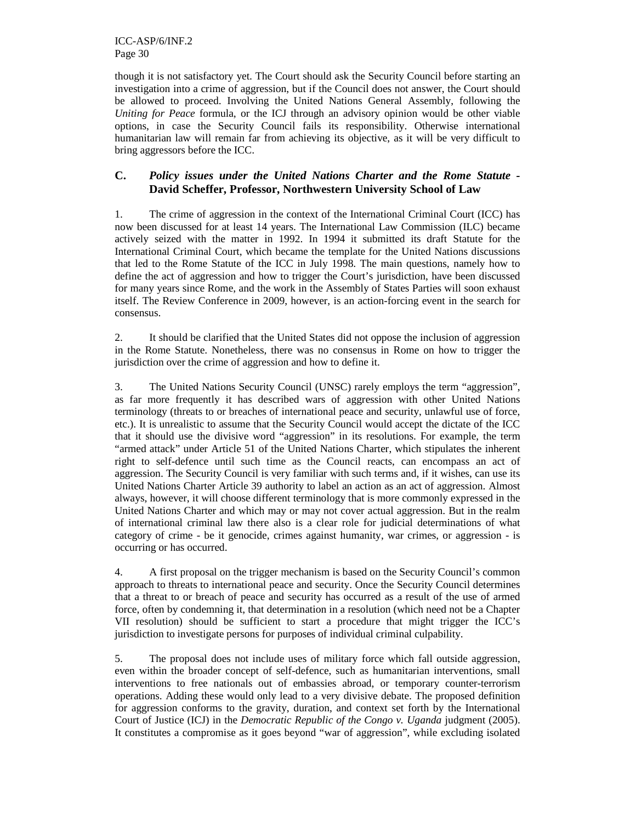ICC-ASP/6/INF.2 Page 30

though it is not satisfactory yet. The Court should ask the Security Council before starting an investigation into a crime of aggression, but if the Council does not answer, the Court should be allowed to proceed. Involving the United Nations General Assembly, following the *Uniting for Peace* formula, or the ICJ through an advisory opinion would be other viable options, in case the Security Council fails its responsibility. Otherwise international humanitarian law will remain far from achieving its objective, as it will be very difficult to bring aggressors before the ICC.

# **C.** *Policy issues under the United Nations Charter and the Rome Statute -* **David Scheffer, Professor, Northwestern University School of Law**

1. The crime of aggression in the context of the International Criminal Court (ICC) has now been discussed for at least 14 years. The International Law Commission (ILC) became actively seized with the matter in 1992. In 1994 it submitted its draft Statute for the International Criminal Court, which became the template for the United Nations discussions that led to the Rome Statute of the ICC in July 1998. The main questions, namely how to define the act of aggression and how to trigger the Court's jurisdiction, have been discussed for many years since Rome, and the work in the Assembly of States Parties will soon exhaust itself. The Review Conference in 2009, however, is an action-forcing event in the search for consensus.

2. It should be clarified that the United States did not oppose the inclusion of aggression in the Rome Statute. Nonetheless, there was no consensus in Rome on how to trigger the jurisdiction over the crime of aggression and how to define it.

3. The United Nations Security Council (UNSC) rarely employs the term "aggression", as far more frequently it has described wars of aggression with other United Nations terminology (threats to or breaches of international peace and security, unlawful use of force, etc.). It is unrealistic to assume that the Security Council would accept the dictate of the ICC that it should use the divisive word "aggression" in its resolutions. For example, the term "armed attack" under Article 51 of the United Nations Charter, which stipulates the inherent right to self-defence until such time as the Council reacts, can encompass an act of aggression. The Security Council is very familiar with such terms and, if it wishes, can use its United Nations Charter Article 39 authority to label an action as an act of aggression. Almost always, however, it will choose different terminology that is more commonly expressed in the United Nations Charter and which may or may not cover actual aggression. But in the realm of international criminal law there also is a clear role for judicial determinations of what category of crime - be it genocide, crimes against humanity, war crimes, or aggression - is occurring or has occurred.

4. A first proposal on the trigger mechanism is based on the Security Council's common approach to threats to international peace and security. Once the Security Council determines that a threat to or breach of peace and security has occurred as a result of the use of armed force, often by condemning it, that determination in a resolution (which need not be a Chapter VII resolution) should be sufficient to start a procedure that might trigger the ICC's jurisdiction to investigate persons for purposes of individual criminal culpability.

5. The proposal does not include uses of military force which fall outside aggression, even within the broader concept of self-defence, such as humanitarian interventions, small interventions to free nationals out of embassies abroad, or temporary counter-terrorism operations. Adding these would only lead to a very divisive debate. The proposed definition for aggression conforms to the gravity, duration, and context set forth by the International Court of Justice (ICJ) in the *Democratic Republic of the Congo v. Uganda* judgment (2005). It constitutes a compromise as it goes beyond "war of aggression", while excluding isolated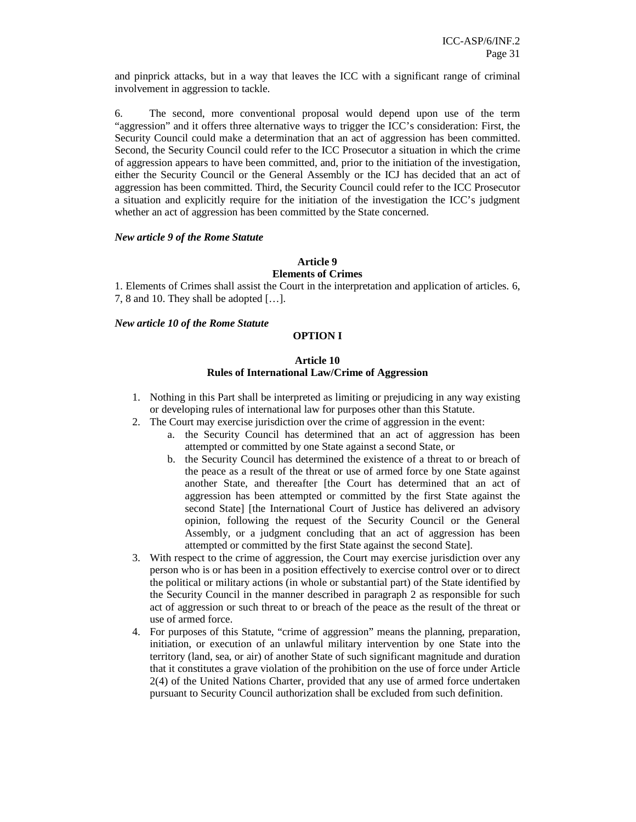and pinprick attacks, but in a way that leaves the ICC with a significant range of criminal involvement in aggression to tackle.

6. The second, more conventional proposal would depend upon use of the term "aggression" and it offers three alternative ways to trigger the ICC's consideration: First, the Security Council could make a determination that an act of aggression has been committed. Second, the Security Council could refer to the ICC Prosecutor a situation in which the crime of aggression appears to have been committed, and, prior to the initiation of the investigation, either the Security Council or the General Assembly or the ICJ has decided that an act of aggression has been committed. Third, the Security Council could refer to the ICC Prosecutor a situation and explicitly require for the initiation of the investigation the ICC's judgment whether an act of aggression has been committed by the State concerned.

#### *New article 9 of the Rome Statute*

## **Article 9**

#### **Elements of Crimes**

1. Elements of Crimes shall assist the Court in the interpretation and application of articles. 6, 7, 8 and 10. They shall be adopted […].

#### *New article 10 of the Rome Statute*

#### **OPTION I**

## **Article 10 Rules of International Law/Crime of Aggression**

- 1. Nothing in this Part shall be interpreted as limiting or prejudicing in any way existing or developing rules of international law for purposes other than this Statute.
- 2. The Court may exercise jurisdiction over the crime of aggression in the event:
	- a. the Security Council has determined that an act of aggression has been attempted or committed by one State against a second State, or
	- b. the Security Council has determined the existence of a threat to or breach of the peace as a result of the threat or use of armed force by one State against another State, and thereafter [the Court has determined that an act of aggression has been attempted or committed by the first State against the second State] [the International Court of Justice has delivered an advisory opinion, following the request of the Security Council or the General Assembly, or a judgment concluding that an act of aggression has been attempted or committed by the first State against the second State].
- 3. With respect to the crime of aggression, the Court may exercise jurisdiction over any person who is or has been in a position effectively to exercise control over or to direct the political or military actions (in whole or substantial part) of the State identified by the Security Council in the manner described in paragraph 2 as responsible for such act of aggression or such threat to or breach of the peace as the result of the threat or use of armed force.
- 4. For purposes of this Statute, "crime of aggression" means the planning, preparation, initiation, or execution of an unlawful military intervention by one State into the territory (land, sea, or air) of another State of such significant magnitude and duration that it constitutes a grave violation of the prohibition on the use of force under Article 2(4) of the United Nations Charter, provided that any use of armed force undertaken pursuant to Security Council authorization shall be excluded from such definition.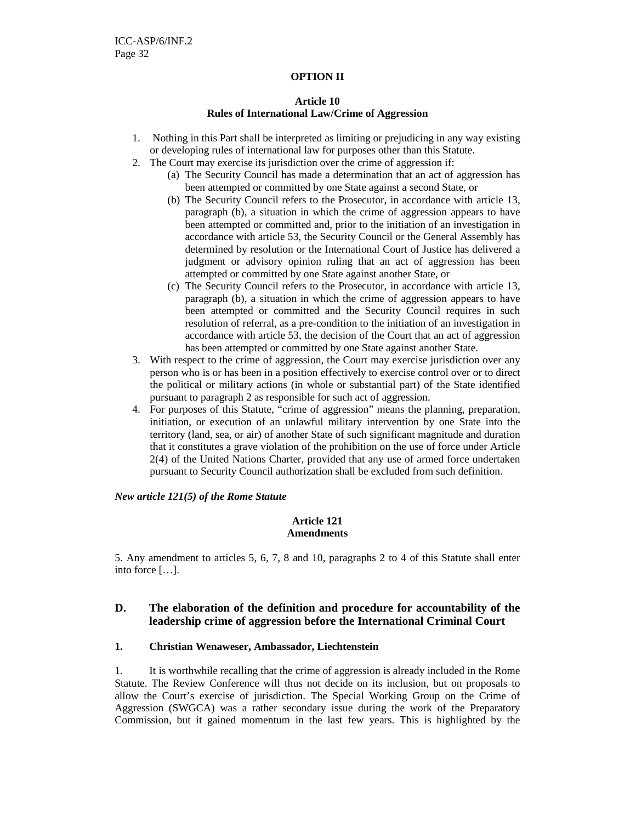### **OPTION II**

# **Article 10 Rules of International Law/Crime of Aggression**

- 1. Nothing in this Part shall be interpreted as limiting or prejudicing in any way existing or developing rules of international law for purposes other than this Statute.
- 2. The Court may exercise its jurisdiction over the crime of aggression if:
	- (a) The Security Council has made a determination that an act of aggression has been attempted or committed by one State against a second State, or
	- (b) The Security Council refers to the Prosecutor, in accordance with article 13, paragraph (b), a situation in which the crime of aggression appears to have been attempted or committed and, prior to the initiation of an investigation in accordance with article 53, the Security Council or the General Assembly has determined by resolution or the International Court of Justice has delivered a judgment or advisory opinion ruling that an act of aggression has been attempted or committed by one State against another State, or
	- (c) The Security Council refers to the Prosecutor, in accordance with article 13, paragraph (b), a situation in which the crime of aggression appears to have been attempted or committed and the Security Council requires in such resolution of referral, as a pre-condition to the initiation of an investigation in accordance with article 53, the decision of the Court that an act of aggression has been attempted or committed by one State against another State.
- 3. With respect to the crime of aggression, the Court may exercise jurisdiction over any person who is or has been in a position effectively to exercise control over or to direct the political or military actions (in whole or substantial part) of the State identified pursuant to paragraph 2 as responsible for such act of aggression.
- 4. For purposes of this Statute, "crime of aggression" means the planning, preparation, initiation, or execution of an unlawful military intervention by one State into the territory (land, sea, or air) of another State of such significant magnitude and duration that it constitutes a grave violation of the prohibition on the use of force under Article 2(4) of the United Nations Charter, provided that any use of armed force undertaken pursuant to Security Council authorization shall be excluded from such definition.

*New article 121(5) of the Rome Statute* 

## **Article 121 Amendments**

5. Any amendment to articles 5, 6, 7, 8 and 10, paragraphs 2 to 4 of this Statute shall enter into force […].

# **D. The elaboration of the definition and procedure for accountability of the leadership crime of aggression before the International Criminal Court**

## **1. Christian Wenaweser, Ambassador, Liechtenstein**

1. It is worthwhile recalling that the crime of aggression is already included in the Rome Statute. The Review Conference will thus not decide on its inclusion, but on proposals to allow the Court's exercise of jurisdiction. The Special Working Group on the Crime of Aggression (SWGCA) was a rather secondary issue during the work of the Preparatory Commission, but it gained momentum in the last few years. This is highlighted by the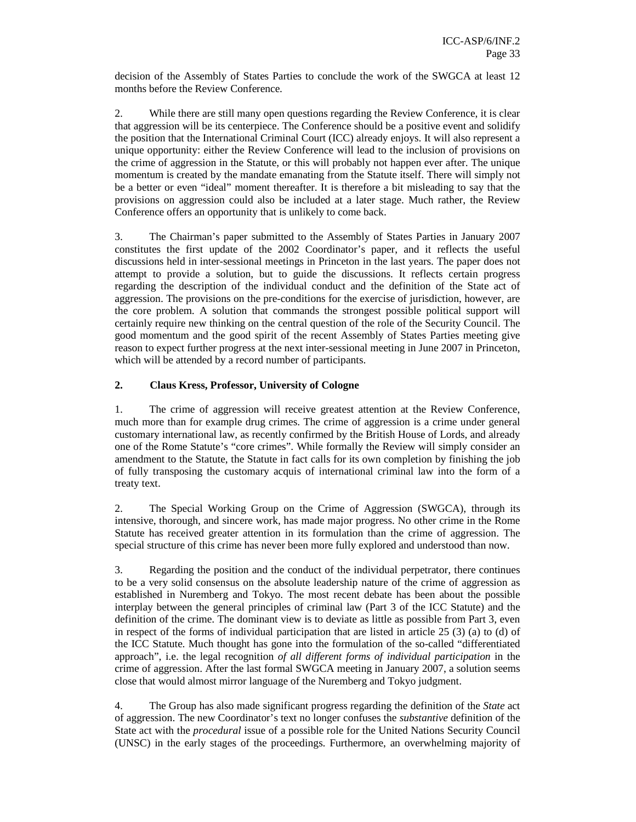decision of the Assembly of States Parties to conclude the work of the SWGCA at least 12 months before the Review Conference.

2. While there are still many open questions regarding the Review Conference, it is clear that aggression will be its centerpiece. The Conference should be a positive event and solidify the position that the International Criminal Court (ICC) already enjoys. It will also represent a unique opportunity: either the Review Conference will lead to the inclusion of provisions on the crime of aggression in the Statute, or this will probably not happen ever after. The unique momentum is created by the mandate emanating from the Statute itself. There will simply not be a better or even "ideal" moment thereafter. It is therefore a bit misleading to say that the provisions on aggression could also be included at a later stage. Much rather, the Review Conference offers an opportunity that is unlikely to come back.

3. The Chairman's paper submitted to the Assembly of States Parties in January 2007 constitutes the first update of the 2002 Coordinator's paper, and it reflects the useful discussions held in inter-sessional meetings in Princeton in the last years. The paper does not attempt to provide a solution, but to guide the discussions. It reflects certain progress regarding the description of the individual conduct and the definition of the State act of aggression. The provisions on the pre-conditions for the exercise of jurisdiction, however, are the core problem. A solution that commands the strongest possible political support will certainly require new thinking on the central question of the role of the Security Council. The good momentum and the good spirit of the recent Assembly of States Parties meeting give reason to expect further progress at the next inter-sessional meeting in June 2007 in Princeton, which will be attended by a record number of participants.

# **2. Claus Kress, Professor, University of Cologne**

1. The crime of aggression will receive greatest attention at the Review Conference, much more than for example drug crimes. The crime of aggression is a crime under general customary international law, as recently confirmed by the British House of Lords, and already one of the Rome Statute's "core crimes". While formally the Review will simply consider an amendment to the Statute, the Statute in fact calls for its own completion by finishing the job of fully transposing the customary acquis of international criminal law into the form of a treaty text.

2. The Special Working Group on the Crime of Aggression (SWGCA), through its intensive, thorough, and sincere work, has made major progress. No other crime in the Rome Statute has received greater attention in its formulation than the crime of aggression. The special structure of this crime has never been more fully explored and understood than now.

3. Regarding the position and the conduct of the individual perpetrator, there continues to be a very solid consensus on the absolute leadership nature of the crime of aggression as established in Nuremberg and Tokyo. The most recent debate has been about the possible interplay between the general principles of criminal law (Part 3 of the ICC Statute) and the definition of the crime. The dominant view is to deviate as little as possible from Part 3, even in respect of the forms of individual participation that are listed in article 25 (3) (a) to (d) of the ICC Statute. Much thought has gone into the formulation of the so-called "differentiated approach", i.e. the legal recognition *of all different forms of individual participation* in the crime of aggression. After the last formal SWGCA meeting in January 2007, a solution seems close that would almost mirror language of the Nuremberg and Tokyo judgment.

4. The Group has also made significant progress regarding the definition of the *State* act of aggression. The new Coordinator's text no longer confuses the *substantive* definition of the State act with the *procedural* issue of a possible role for the United Nations Security Council (UNSC) in the early stages of the proceedings. Furthermore, an overwhelming majority of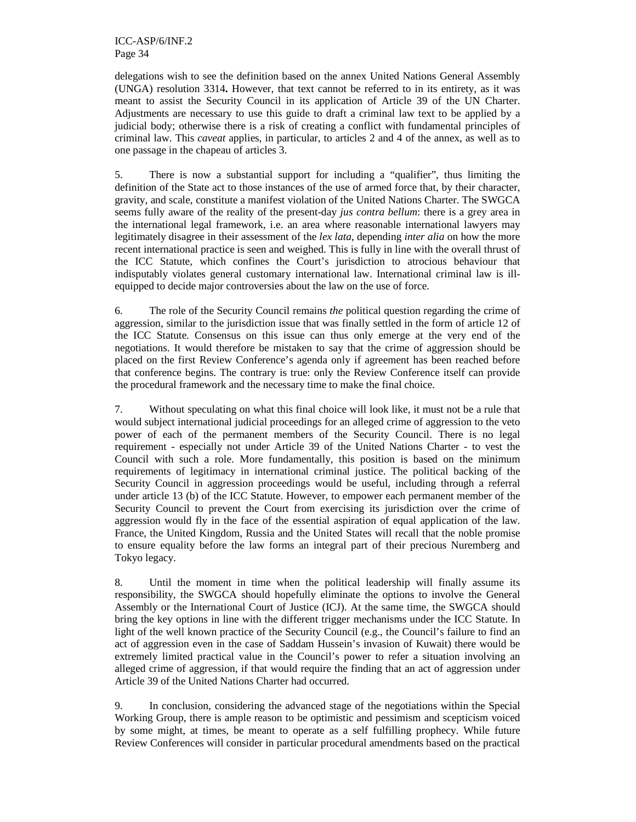ICC-ASP/6/INF.2 Page 34

delegations wish to see the definition based on the annex United Nations General Assembly (UNGA) resolution 3314**.** However, that text cannot be referred to in its entirety, as it was meant to assist the Security Council in its application of Article 39 of the UN Charter. Adjustments are necessary to use this guide to draft a criminal law text to be applied by a judicial body; otherwise there is a risk of creating a conflict with fundamental principles of criminal law. This *caveat* applies, in particular, to articles 2 and 4 of the annex, as well as to one passage in the chapeau of articles 3.

5. There is now a substantial support for including a "qualifier", thus limiting the definition of the State act to those instances of the use of armed force that, by their character, gravity, and scale, constitute a manifest violation of the United Nations Charter. The SWGCA seems fully aware of the reality of the present-day *jus contra bellum*: there is a grey area in the international legal framework, i.e. an area where reasonable international lawyers may legitimately disagree in their assessment of the *lex lata*, depending *inter alia* on how the more recent international practice is seen and weighed. This is fully in line with the overall thrust of the ICC Statute, which confines the Court's jurisdiction to atrocious behaviour that indisputably violates general customary international law. International criminal law is illequipped to decide major controversies about the law on the use of force.

6. The role of the Security Council remains *the* political question regarding the crime of aggression, similar to the jurisdiction issue that was finally settled in the form of article 12 of the ICC Statute. Consensus on this issue can thus only emerge at the very end of the negotiations. It would therefore be mistaken to say that the crime of aggression should be placed on the first Review Conference's agenda only if agreement has been reached before that conference begins. The contrary is true: only the Review Conference itself can provide the procedural framework and the necessary time to make the final choice.

7. Without speculating on what this final choice will look like, it must not be a rule that would subject international judicial proceedings for an alleged crime of aggression to the veto power of each of the permanent members of the Security Council. There is no legal requirement - especially not under Article 39 of the United Nations Charter - to vest the Council with such a role. More fundamentally, this position is based on the minimum requirements of legitimacy in international criminal justice. The political backing of the Security Council in aggression proceedings would be useful, including through a referral under article 13 (b) of the ICC Statute. However, to empower each permanent member of the Security Council to prevent the Court from exercising its jurisdiction over the crime of aggression would fly in the face of the essential aspiration of equal application of the law. France, the United Kingdom, Russia and the United States will recall that the noble promise to ensure equality before the law forms an integral part of their precious Nuremberg and Tokyo legacy.

8. Until the moment in time when the political leadership will finally assume its responsibility, the SWGCA should hopefully eliminate the options to involve the General Assembly or the International Court of Justice (ICJ). At the same time, the SWGCA should bring the key options in line with the different trigger mechanisms under the ICC Statute. In light of the well known practice of the Security Council (e.g., the Council's failure to find an act of aggression even in the case of Saddam Hussein's invasion of Kuwait) there would be extremely limited practical value in the Council's power to refer a situation involving an alleged crime of aggression, if that would require the finding that an act of aggression under Article 39 of the United Nations Charter had occurred.

9. In conclusion, considering the advanced stage of the negotiations within the Special Working Group, there is ample reason to be optimistic and pessimism and scepticism voiced by some might, at times, be meant to operate as a self fulfilling prophecy. While future Review Conferences will consider in particular procedural amendments based on the practical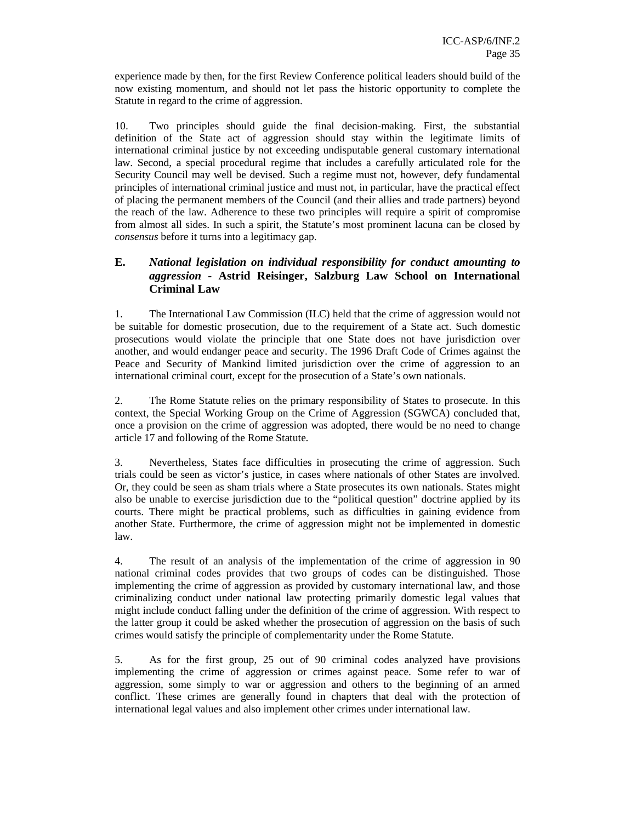experience made by then, for the first Review Conference political leaders should build of the now existing momentum, and should not let pass the historic opportunity to complete the Statute in regard to the crime of aggression.

10. Two principles should guide the final decision-making. First, the substantial definition of the State act of aggression should stay within the legitimate limits of international criminal justice by not exceeding undisputable general customary international law. Second, a special procedural regime that includes a carefully articulated role for the Security Council may well be devised. Such a regime must not, however, defy fundamental principles of international criminal justice and must not, in particular, have the practical effect of placing the permanent members of the Council (and their allies and trade partners) beyond the reach of the law. Adherence to these two principles will require a spirit of compromise from almost all sides. In such a spirit, the Statute's most prominent lacuna can be closed by *consensus* before it turns into a legitimacy gap.

# **E.** *National legislation on individual responsibility for conduct amounting to aggression -* **Astrid Reisinger, Salzburg Law School on International Criminal Law**

1. The International Law Commission (ILC) held that the crime of aggression would not be suitable for domestic prosecution, due to the requirement of a State act. Such domestic prosecutions would violate the principle that one State does not have jurisdiction over another, and would endanger peace and security. The 1996 Draft Code of Crimes against the Peace and Security of Mankind limited jurisdiction over the crime of aggression to an international criminal court, except for the prosecution of a State's own nationals.

2. The Rome Statute relies on the primary responsibility of States to prosecute. In this context, the Special Working Group on the Crime of Aggression (SGWCA) concluded that, once a provision on the crime of aggression was adopted, there would be no need to change article 17 and following of the Rome Statute.

3. Nevertheless, States face difficulties in prosecuting the crime of aggression. Such trials could be seen as victor's justice, in cases where nationals of other States are involved. Or, they could be seen as sham trials where a State prosecutes its own nationals. States might also be unable to exercise jurisdiction due to the "political question" doctrine applied by its courts. There might be practical problems, such as difficulties in gaining evidence from another State. Furthermore, the crime of aggression might not be implemented in domestic law.

4. The result of an analysis of the implementation of the crime of aggression in 90 national criminal codes provides that two groups of codes can be distinguished. Those implementing the crime of aggression as provided by customary international law, and those criminalizing conduct under national law protecting primarily domestic legal values that might include conduct falling under the definition of the crime of aggression. With respect to the latter group it could be asked whether the prosecution of aggression on the basis of such crimes would satisfy the principle of complementarity under the Rome Statute.

5. As for the first group, 25 out of 90 criminal codes analyzed have provisions implementing the crime of aggression or crimes against peace. Some refer to war of aggression, some simply to war or aggression and others to the beginning of an armed conflict. These crimes are generally found in chapters that deal with the protection of international legal values and also implement other crimes under international law.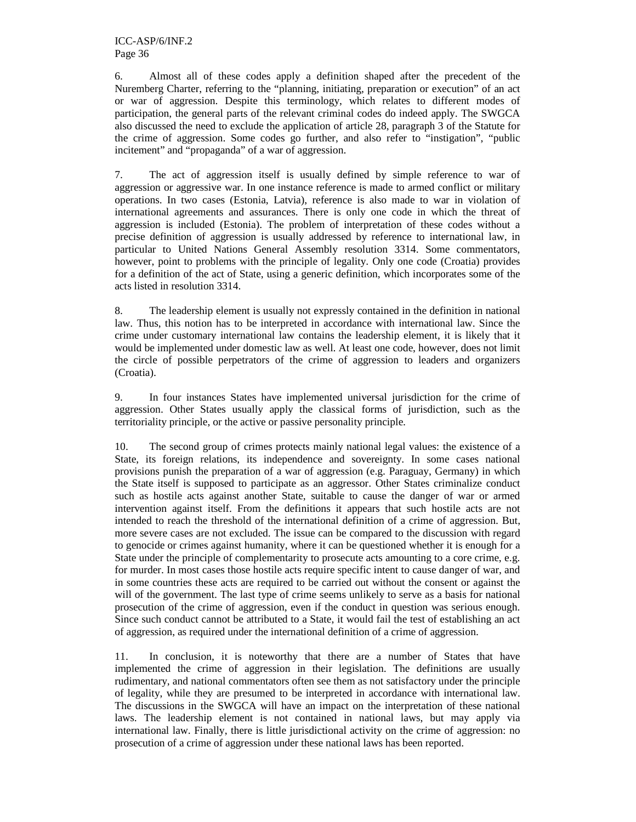6. Almost all of these codes apply a definition shaped after the precedent of the Nuremberg Charter, referring to the "planning, initiating, preparation or execution" of an act or war of aggression. Despite this terminology, which relates to different modes of participation, the general parts of the relevant criminal codes do indeed apply. The SWGCA also discussed the need to exclude the application of article 28, paragraph 3 of the Statute for the crime of aggression. Some codes go further, and also refer to "instigation", "public incitement" and "propaganda" of a war of aggression.

7. The act of aggression itself is usually defined by simple reference to war of aggression or aggressive war. In one instance reference is made to armed conflict or military operations. In two cases (Estonia, Latvia), reference is also made to war in violation of international agreements and assurances. There is only one code in which the threat of aggression is included (Estonia). The problem of interpretation of these codes without a precise definition of aggression is usually addressed by reference to international law, in particular to United Nations General Assembly resolution 3314. Some commentators, however, point to problems with the principle of legality. Only one code (Croatia) provides for a definition of the act of State, using a generic definition, which incorporates some of the acts listed in resolution 3314.

8. The leadership element is usually not expressly contained in the definition in national law. Thus, this notion has to be interpreted in accordance with international law. Since the crime under customary international law contains the leadership element, it is likely that it would be implemented under domestic law as well. At least one code, however, does not limit the circle of possible perpetrators of the crime of aggression to leaders and organizers (Croatia).

9. In four instances States have implemented universal jurisdiction for the crime of aggression. Other States usually apply the classical forms of jurisdiction, such as the territoriality principle, or the active or passive personality principle.

10. The second group of crimes protects mainly national legal values: the existence of a State, its foreign relations, its independence and sovereignty. In some cases national provisions punish the preparation of a war of aggression (e.g. Paraguay, Germany) in which the State itself is supposed to participate as an aggressor. Other States criminalize conduct such as hostile acts against another State, suitable to cause the danger of war or armed intervention against itself. From the definitions it appears that such hostile acts are not intended to reach the threshold of the international definition of a crime of aggression. But, more severe cases are not excluded. The issue can be compared to the discussion with regard to genocide or crimes against humanity, where it can be questioned whether it is enough for a State under the principle of complementarity to prosecute acts amounting to a core crime, e.g. for murder. In most cases those hostile acts require specific intent to cause danger of war, and in some countries these acts are required to be carried out without the consent or against the will of the government. The last type of crime seems unlikely to serve as a basis for national prosecution of the crime of aggression, even if the conduct in question was serious enough. Since such conduct cannot be attributed to a State, it would fail the test of establishing an act of aggression, as required under the international definition of a crime of aggression.

11. In conclusion, it is noteworthy that there are a number of States that have implemented the crime of aggression in their legislation. The definitions are usually rudimentary, and national commentators often see them as not satisfactory under the principle of legality, while they are presumed to be interpreted in accordance with international law. The discussions in the SWGCA will have an impact on the interpretation of these national laws. The leadership element is not contained in national laws, but may apply via international law. Finally, there is little jurisdictional activity on the crime of aggression: no prosecution of a crime of aggression under these national laws has been reported.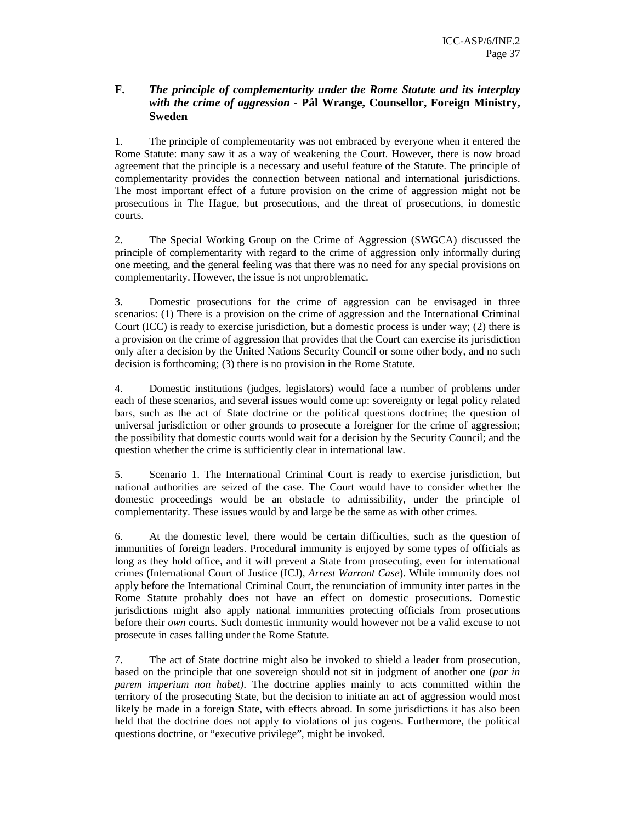## **F.** *The principle of complementarity under the Rome Statute and its interplay with the crime of aggression -* **Pål Wrange, Counsellor, Foreign Ministry, Sweden**

1. The principle of complementarity was not embraced by everyone when it entered the Rome Statute: many saw it as a way of weakening the Court. However, there is now broad agreement that the principle is a necessary and useful feature of the Statute. The principle of complementarity provides the connection between national and international jurisdictions. The most important effect of a future provision on the crime of aggression might not be prosecutions in The Hague, but prosecutions, and the threat of prosecutions, in domestic courts.

2. The Special Working Group on the Crime of Aggression (SWGCA) discussed the principle of complementarity with regard to the crime of aggression only informally during one meeting, and the general feeling was that there was no need for any special provisions on complementarity. However, the issue is not unproblematic.

3. Domestic prosecutions for the crime of aggression can be envisaged in three scenarios: (1) There is a provision on the crime of aggression and the International Criminal Court (ICC) is ready to exercise jurisdiction, but a domestic process is under way; (2) there is a provision on the crime of aggression that provides that the Court can exercise its jurisdiction only after a decision by the United Nations Security Council or some other body, and no such decision is forthcoming; (3) there is no provision in the Rome Statute.

4. Domestic institutions (judges, legislators) would face a number of problems under each of these scenarios, and several issues would come up: sovereignty or legal policy related bars, such as the act of State doctrine or the political questions doctrine; the question of universal jurisdiction or other grounds to prosecute a foreigner for the crime of aggression; the possibility that domestic courts would wait for a decision by the Security Council; and the question whether the crime is sufficiently clear in international law.

5. Scenario 1. The International Criminal Court is ready to exercise jurisdiction, but national authorities are seized of the case. The Court would have to consider whether the domestic proceedings would be an obstacle to admissibility, under the principle of complementarity. These issues would by and large be the same as with other crimes.

6. At the domestic level, there would be certain difficulties, such as the question of immunities of foreign leaders. Procedural immunity is enjoyed by some types of officials as long as they hold office, and it will prevent a State from prosecuting, even for international crimes (International Court of Justice (ICJ), *Arrest Warrant Case*). While immunity does not apply before the International Criminal Court, the renunciation of immunity inter partes in the Rome Statute probably does not have an effect on domestic prosecutions. Domestic jurisdictions might also apply national immunities protecting officials from prosecutions before their *own* courts. Such domestic immunity would however not be a valid excuse to not prosecute in cases falling under the Rome Statute.

7. The act of State doctrine might also be invoked to shield a leader from prosecution, based on the principle that one sovereign should not sit in judgment of another one (*par in parem imperium non habet)*. The doctrine applies mainly to acts committed within the territory of the prosecuting State, but the decision to initiate an act of aggression would most likely be made in a foreign State, with effects abroad. In some jurisdictions it has also been held that the doctrine does not apply to violations of jus cogens. Furthermore, the political questions doctrine, or "executive privilege", might be invoked.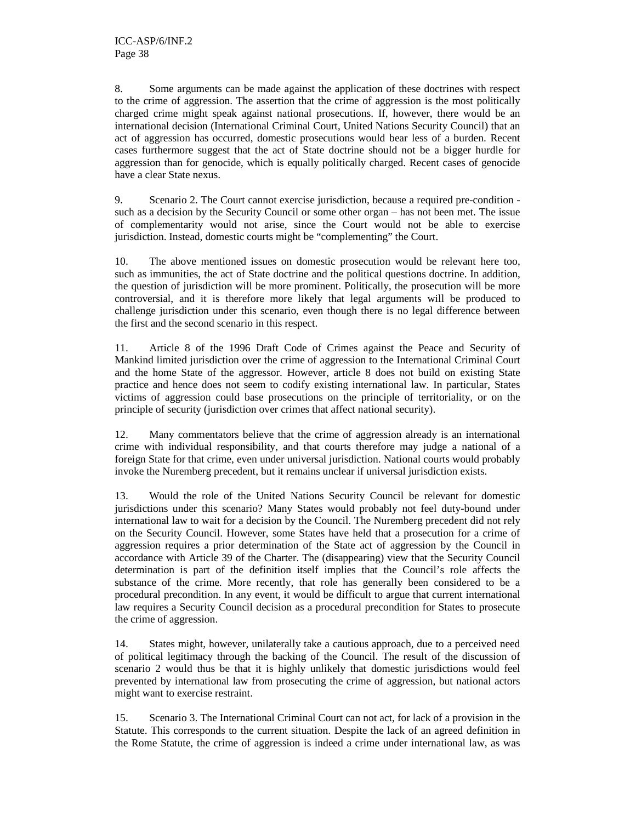8. Some arguments can be made against the application of these doctrines with respect to the crime of aggression. The assertion that the crime of aggression is the most politically charged crime might speak against national prosecutions. If, however, there would be an international decision (International Criminal Court, United Nations Security Council) that an act of aggression has occurred, domestic prosecutions would bear less of a burden. Recent cases furthermore suggest that the act of State doctrine should not be a bigger hurdle for aggression than for genocide, which is equally politically charged. Recent cases of genocide have a clear State nexus.

9. Scenario 2. The Court cannot exercise jurisdiction, because a required pre-condition such as a decision by the Security Council or some other organ – has not been met. The issue of complementarity would not arise, since the Court would not be able to exercise jurisdiction. Instead, domestic courts might be "complementing" the Court.

10. The above mentioned issues on domestic prosecution would be relevant here too, such as immunities, the act of State doctrine and the political questions doctrine. In addition, the question of jurisdiction will be more prominent. Politically, the prosecution will be more controversial, and it is therefore more likely that legal arguments will be produced to challenge jurisdiction under this scenario, even though there is no legal difference between the first and the second scenario in this respect.

11. Article 8 of the 1996 Draft Code of Crimes against the Peace and Security of Mankind limited jurisdiction over the crime of aggression to the International Criminal Court and the home State of the aggressor. However, article 8 does not build on existing State practice and hence does not seem to codify existing international law. In particular, States victims of aggression could base prosecutions on the principle of territoriality, or on the principle of security (jurisdiction over crimes that affect national security).

12. Many commentators believe that the crime of aggression already is an international crime with individual responsibility, and that courts therefore may judge a national of a foreign State for that crime, even under universal jurisdiction. National courts would probably invoke the Nuremberg precedent, but it remains unclear if universal jurisdiction exists.

13. Would the role of the United Nations Security Council be relevant for domestic jurisdictions under this scenario? Many States would probably not feel duty-bound under international law to wait for a decision by the Council. The Nuremberg precedent did not rely on the Security Council. However, some States have held that a prosecution for a crime of aggression requires a prior determination of the State act of aggression by the Council in accordance with Article 39 of the Charter. The (disappearing) view that the Security Council determination is part of the definition itself implies that the Council's role affects the substance of the crime. More recently, that role has generally been considered to be a procedural precondition. In any event, it would be difficult to argue that current international law requires a Security Council decision as a procedural precondition for States to prosecute the crime of aggression.

14. States might, however, unilaterally take a cautious approach, due to a perceived need of political legitimacy through the backing of the Council. The result of the discussion of scenario 2 would thus be that it is highly unlikely that domestic jurisdictions would feel prevented by international law from prosecuting the crime of aggression, but national actors might want to exercise restraint.

15. Scenario 3. The International Criminal Court can not act, for lack of a provision in the Statute. This corresponds to the current situation. Despite the lack of an agreed definition in the Rome Statute, the crime of aggression is indeed a crime under international law, as was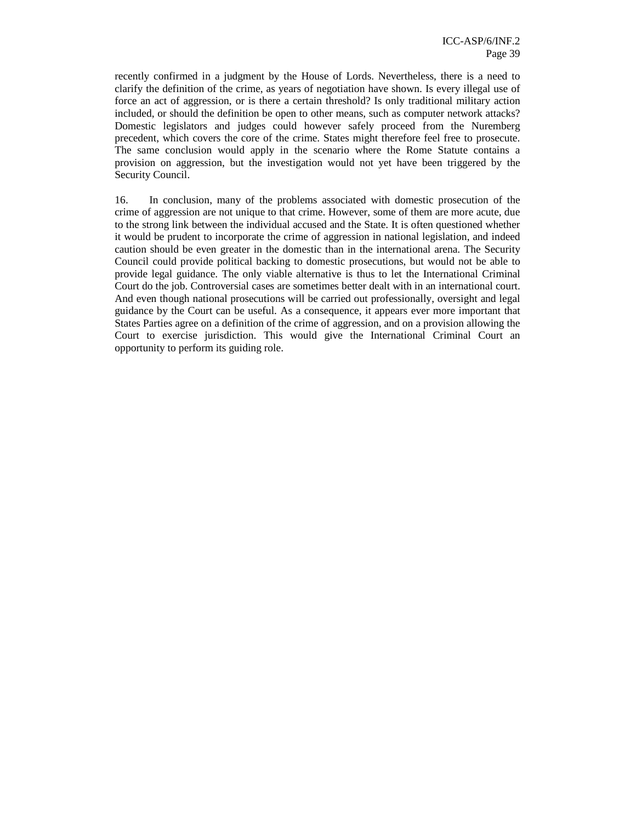recently confirmed in a judgment by the House of Lords. Nevertheless, there is a need to clarify the definition of the crime, as years of negotiation have shown. Is every illegal use of force an act of aggression, or is there a certain threshold? Is only traditional military action included, or should the definition be open to other means, such as computer network attacks? Domestic legislators and judges could however safely proceed from the Nuremberg precedent, which covers the core of the crime. States might therefore feel free to prosecute. The same conclusion would apply in the scenario where the Rome Statute contains a provision on aggression, but the investigation would not yet have been triggered by the Security Council.

16. In conclusion, many of the problems associated with domestic prosecution of the crime of aggression are not unique to that crime. However, some of them are more acute, due to the strong link between the individual accused and the State. It is often questioned whether it would be prudent to incorporate the crime of aggression in national legislation, and indeed caution should be even greater in the domestic than in the international arena. The Security Council could provide political backing to domestic prosecutions, but would not be able to provide legal guidance. The only viable alternative is thus to let the International Criminal Court do the job. Controversial cases are sometimes better dealt with in an international court. And even though national prosecutions will be carried out professionally, oversight and legal guidance by the Court can be useful. As a consequence, it appears ever more important that States Parties agree on a definition of the crime of aggression, and on a provision allowing the Court to exercise jurisdiction. This would give the International Criminal Court an opportunity to perform its guiding role.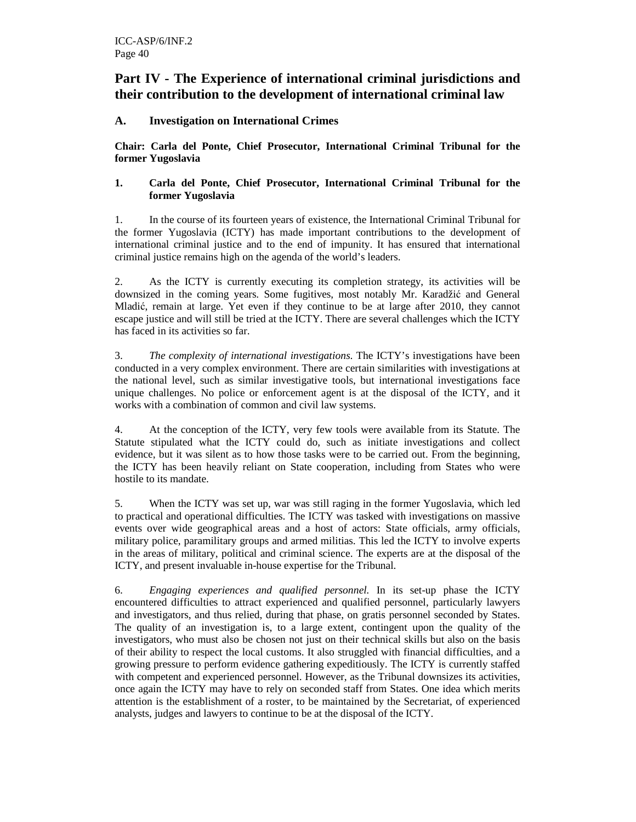## **Part IV - The Experience of international criminal jurisdictions and their contribution to the development of international criminal law**

## **A. Investigation on International Crimes**

**Chair: Carla del Ponte, Chief Prosecutor, International Criminal Tribunal for the former Yugoslavia** 

### **1. Carla del Ponte, Chief Prosecutor, International Criminal Tribunal for the former Yugoslavia**

1. In the course of its fourteen years of existence, the International Criminal Tribunal for the former Yugoslavia (ICTY) has made important contributions to the development of international criminal justice and to the end of impunity. It has ensured that international criminal justice remains high on the agenda of the world's leaders.

2. As the ICTY is currently executing its completion strategy, its activities will be downsized in the coming years. Some fugitives, most notably Mr. Karadžić and General Mladić, remain at large. Yet even if they continue to be at large after 2010, they cannot escape justice and will still be tried at the ICTY. There are several challenges which the ICTY has faced in its activities so far.

3. *The complexity of international investigations*. The ICTY's investigations have been conducted in a very complex environment. There are certain similarities with investigations at the national level, such as similar investigative tools, but international investigations face unique challenges. No police or enforcement agent is at the disposal of the ICTY, and it works with a combination of common and civil law systems.

4. At the conception of the ICTY, very few tools were available from its Statute. The Statute stipulated what the ICTY could do, such as initiate investigations and collect evidence, but it was silent as to how those tasks were to be carried out. From the beginning, the ICTY has been heavily reliant on State cooperation, including from States who were hostile to its mandate.

5. When the ICTY was set up, war was still raging in the former Yugoslavia, which led to practical and operational difficulties. The ICTY was tasked with investigations on massive events over wide geographical areas and a host of actors: State officials, army officials, military police, paramilitary groups and armed militias. This led the ICTY to involve experts in the areas of military, political and criminal science. The experts are at the disposal of the ICTY, and present invaluable in-house expertise for the Tribunal.

6. *Engaging experiences and qualified personnel.* In its set-up phase the ICTY encountered difficulties to attract experienced and qualified personnel, particularly lawyers and investigators, and thus relied, during that phase, on gratis personnel seconded by States. The quality of an investigation is, to a large extent, contingent upon the quality of the investigators, who must also be chosen not just on their technical skills but also on the basis of their ability to respect the local customs. It also struggled with financial difficulties, and a growing pressure to perform evidence gathering expeditiously. The ICTY is currently staffed with competent and experienced personnel. However, as the Tribunal downsizes its activities, once again the ICTY may have to rely on seconded staff from States. One idea which merits attention is the establishment of a roster, to be maintained by the Secretariat, of experienced analysts, judges and lawyers to continue to be at the disposal of the ICTY.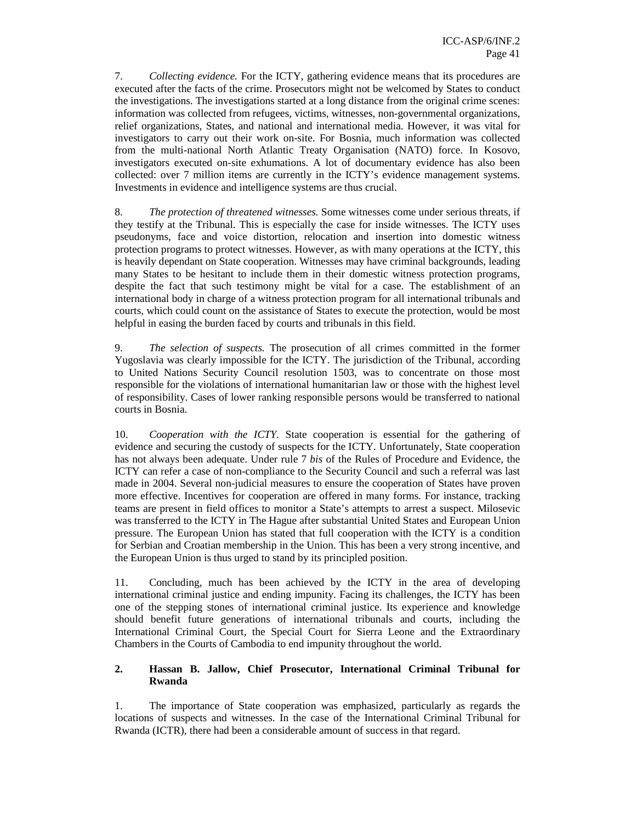7. *Collecting evidence.* For the ICTY, gathering evidence means that its procedures are executed after the facts of the crime. Prosecutors might not be welcomed by States to conduct the investigations. The investigations started at a long distance from the original crime scenes: information was collected from refugees, victims, witnesses, non-governmental organizations, relief organizations, States, and national and international media. However, it was vital for investigators to carry out their work on-site. For Bosnia, much information was collected from the multi-national North Atlantic Treaty Organisation (NATO) force. In Kosovo, investigators executed on-site exhumations. A lot of documentary evidence has also been collected: over 7 million items are currently in the ICTY's evidence management systems. Investments in evidence and intelligence systems are thus crucial.

8. *The protection of threatened witnesses.* Some witnesses come under serious threats, if they testify at the Tribunal. This is especially the case for inside witnesses. The ICTY uses pseudonyms, face and voice distortion, relocation and insertion into domestic witness protection programs to protect witnesses. However, as with many operations at the ICTY, this is heavily dependant on State cooperation. Witnesses may have criminal backgrounds, leading many States to be hesitant to include them in their domestic witness protection programs, despite the fact that such testimony might be vital for a case. The establishment of an international body in charge of a witness protection program for all international tribunals and courts, which could count on the assistance of States to execute the protection, would be most helpful in easing the burden faced by courts and tribunals in this field.

9. *The selection of suspects.* The prosecution of all crimes committed in the former Yugoslavia was clearly impossible for the ICTY. The jurisdiction of the Tribunal, according to United Nations Security Council resolution 1503, was to concentrate on those most responsible for the violations of international humanitarian law or those with the highest level of responsibility. Cases of lower ranking responsible persons would be transferred to national courts in Bosnia.

10. *Cooperation with the ICTY.* State cooperation is essential for the gathering of evidence and securing the custody of suspects for the ICTY. Unfortunately, State cooperation has not always been adequate. Under rule 7 *bis* of the Rules of Procedure and Evidence, the ICTY can refer a case of non-compliance to the Security Council and such a referral was last made in 2004. Several non-judicial measures to ensure the cooperation of States have proven more effective. Incentives for cooperation are offered in many forms. For instance, tracking teams are present in field offices to monitor a State's attempts to arrest a suspect. Milosevic was transferred to the ICTY in The Hague after substantial United States and European Union pressure. The European Union has stated that full cooperation with the ICTY is a condition for Serbian and Croatian membership in the Union. This has been a very strong incentive, and the European Union is thus urged to stand by its principled position.

11. Concluding, much has been achieved by the ICTY in the area of developing international criminal justice and ending impunity. Facing its challenges, the ICTY has been one of the stepping stones of international criminal justice. Its experience and knowledge should benefit future generations of international tribunals and courts, including the International Criminal Court, the Special Court for Sierra Leone and the Extraordinary Chambers in the Courts of Cambodia to end impunity throughout the world.

### **2. Hassan B. Jallow, Chief Prosecutor, International Criminal Tribunal for Rwanda**

1. The importance of State cooperation was emphasized, particularly as regards the locations of suspects and witnesses. In the case of the International Criminal Tribunal for Rwanda (ICTR), there had been a considerable amount of success in that regard.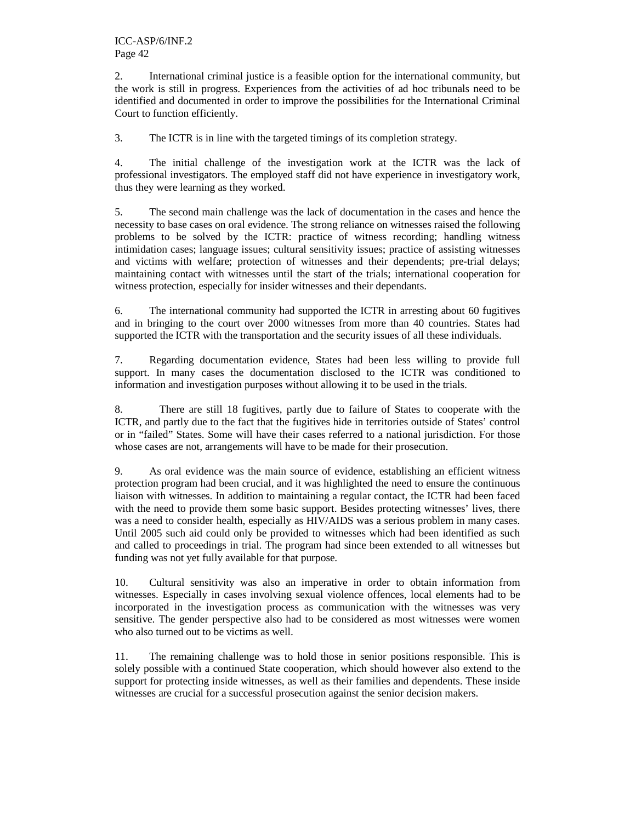2. International criminal justice is a feasible option for the international community, but the work is still in progress. Experiences from the activities of ad hoc tribunals need to be identified and documented in order to improve the possibilities for the International Criminal Court to function efficiently.

3. The ICTR is in line with the targeted timings of its completion strategy.

4. The initial challenge of the investigation work at the ICTR was the lack of professional investigators. The employed staff did not have experience in investigatory work, thus they were learning as they worked.

5. The second main challenge was the lack of documentation in the cases and hence the necessity to base cases on oral evidence. The strong reliance on witnesses raised the following problems to be solved by the ICTR: practice of witness recording; handling witness intimidation cases; language issues; cultural sensitivity issues; practice of assisting witnesses and victims with welfare; protection of witnesses and their dependents; pre-trial delays; maintaining contact with witnesses until the start of the trials; international cooperation for witness protection, especially for insider witnesses and their dependants.

6. The international community had supported the ICTR in arresting about 60 fugitives and in bringing to the court over 2000 witnesses from more than 40 countries. States had supported the ICTR with the transportation and the security issues of all these individuals.

7. Regarding documentation evidence, States had been less willing to provide full support. In many cases the documentation disclosed to the ICTR was conditioned to information and investigation purposes without allowing it to be used in the trials.

8. There are still 18 fugitives, partly due to failure of States to cooperate with the ICTR, and partly due to the fact that the fugitives hide in territories outside of States' control or in "failed" States. Some will have their cases referred to a national jurisdiction. For those whose cases are not, arrangements will have to be made for their prosecution.

9. As oral evidence was the main source of evidence, establishing an efficient witness protection program had been crucial, and it was highlighted the need to ensure the continuous liaison with witnesses. In addition to maintaining a regular contact, the ICTR had been faced with the need to provide them some basic support. Besides protecting witnesses' lives, there was a need to consider health, especially as HIV/AIDS was a serious problem in many cases. Until 2005 such aid could only be provided to witnesses which had been identified as such and called to proceedings in trial. The program had since been extended to all witnesses but funding was not yet fully available for that purpose.

10. Cultural sensitivity was also an imperative in order to obtain information from witnesses. Especially in cases involving sexual violence offences, local elements had to be incorporated in the investigation process as communication with the witnesses was very sensitive. The gender perspective also had to be considered as most witnesses were women who also turned out to be victims as well.

11. The remaining challenge was to hold those in senior positions responsible. This is solely possible with a continued State cooperation, which should however also extend to the support for protecting inside witnesses, as well as their families and dependents. These inside witnesses are crucial for a successful prosecution against the senior decision makers.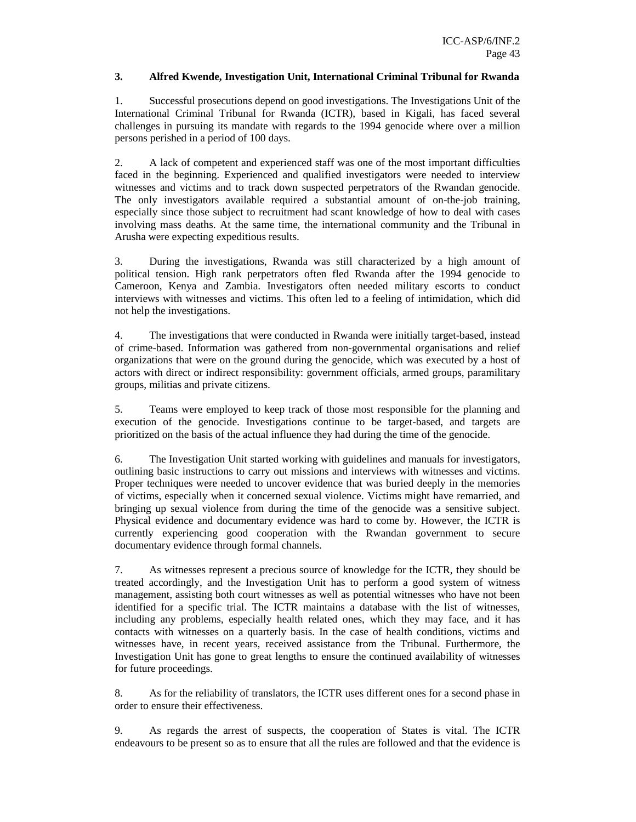#### **3. Alfred Kwende, Investigation Unit, International Criminal Tribunal for Rwanda**

1. Successful prosecutions depend on good investigations. The Investigations Unit of the International Criminal Tribunal for Rwanda (ICTR), based in Kigali, has faced several challenges in pursuing its mandate with regards to the 1994 genocide where over a million persons perished in a period of 100 days.

2. A lack of competent and experienced staff was one of the most important difficulties faced in the beginning. Experienced and qualified investigators were needed to interview witnesses and victims and to track down suspected perpetrators of the Rwandan genocide. The only investigators available required a substantial amount of on-the-job training, especially since those subject to recruitment had scant knowledge of how to deal with cases involving mass deaths. At the same time, the international community and the Tribunal in Arusha were expecting expeditious results.

3. During the investigations, Rwanda was still characterized by a high amount of political tension. High rank perpetrators often fled Rwanda after the 1994 genocide to Cameroon, Kenya and Zambia. Investigators often needed military escorts to conduct interviews with witnesses and victims. This often led to a feeling of intimidation, which did not help the investigations.

4. The investigations that were conducted in Rwanda were initially target-based, instead of crime-based. Information was gathered from non-governmental organisations and relief organizations that were on the ground during the genocide, which was executed by a host of actors with direct or indirect responsibility: government officials, armed groups, paramilitary groups, militias and private citizens.

5. Teams were employed to keep track of those most responsible for the planning and execution of the genocide. Investigations continue to be target-based, and targets are prioritized on the basis of the actual influence they had during the time of the genocide.

6. The Investigation Unit started working with guidelines and manuals for investigators, outlining basic instructions to carry out missions and interviews with witnesses and victims. Proper techniques were needed to uncover evidence that was buried deeply in the memories of victims, especially when it concerned sexual violence. Victims might have remarried, and bringing up sexual violence from during the time of the genocide was a sensitive subject. Physical evidence and documentary evidence was hard to come by. However, the ICTR is currently experiencing good cooperation with the Rwandan government to secure documentary evidence through formal channels.

7. As witnesses represent a precious source of knowledge for the ICTR, they should be treated accordingly, and the Investigation Unit has to perform a good system of witness management, assisting both court witnesses as well as potential witnesses who have not been identified for a specific trial. The ICTR maintains a database with the list of witnesses, including any problems, especially health related ones, which they may face, and it has contacts with witnesses on a quarterly basis. In the case of health conditions, victims and witnesses have, in recent years, received assistance from the Tribunal. Furthermore, the Investigation Unit has gone to great lengths to ensure the continued availability of witnesses for future proceedings.

8. As for the reliability of translators, the ICTR uses different ones for a second phase in order to ensure their effectiveness.

9. As regards the arrest of suspects, the cooperation of States is vital. The ICTR endeavours to be present so as to ensure that all the rules are followed and that the evidence is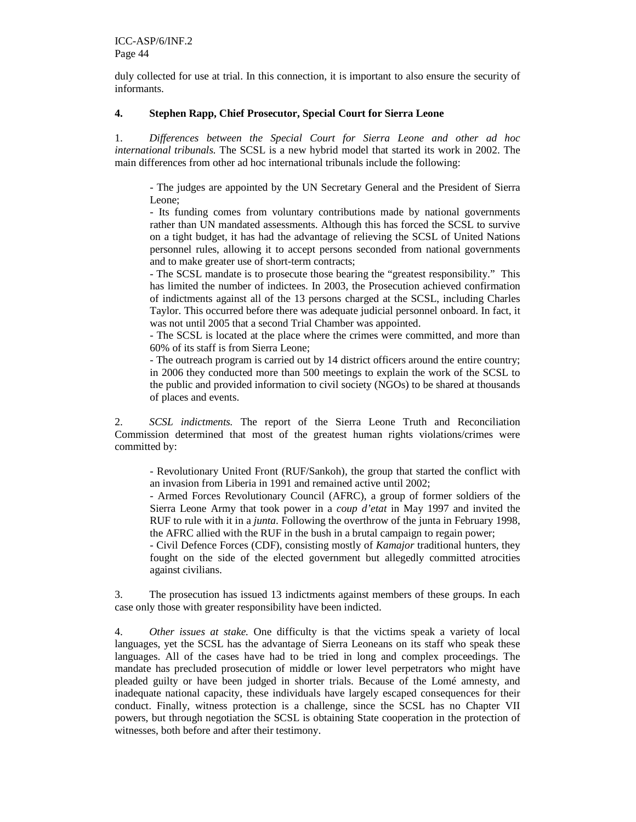duly collected for use at trial. In this connection, it is important to also ensure the security of informants.

## **4. Stephen Rapp, Chief Prosecutor, Special Court for Sierra Leone**

1. *Differences between the Special Court for Sierra Leone and other ad hoc international tribunals.* The SCSL is a new hybrid model that started its work in 2002. The main differences from other ad hoc international tribunals include the following:

- The judges are appointed by the UN Secretary General and the President of Sierra Leone;

- Its funding comes from voluntary contributions made by national governments rather than UN mandated assessments. Although this has forced the SCSL to survive on a tight budget, it has had the advantage of relieving the SCSL of United Nations personnel rules, allowing it to accept persons seconded from national governments and to make greater use of short-term contracts;

- The SCSL mandate is to prosecute those bearing the "greatest responsibility." This has limited the number of indictees. In 2003, the Prosecution achieved confirmation of indictments against all of the 13 persons charged at the SCSL, including Charles Taylor. This occurred before there was adequate judicial personnel onboard. In fact, it was not until 2005 that a second Trial Chamber was appointed.

- The SCSL is located at the place where the crimes were committed, and more than 60% of its staff is from Sierra Leone;

- The outreach program is carried out by 14 district officers around the entire country; in 2006 they conducted more than 500 meetings to explain the work of the SCSL to the public and provided information to civil society (NGOs) to be shared at thousands of places and events.

2. *SCSL indictments.* The report of the Sierra Leone Truth and Reconciliation Commission determined that most of the greatest human rights violations/crimes were committed by:

- Revolutionary United Front (RUF/Sankoh), the group that started the conflict with an invasion from Liberia in 1991 and remained active until 2002;

- Armed Forces Revolutionary Council (AFRC), a group of former soldiers of the Sierra Leone Army that took power in a *coup d'etat* in May 1997 and invited the RUF to rule with it in a *junta*. Following the overthrow of the junta in February 1998, the AFRC allied with the RUF in the bush in a brutal campaign to regain power;

- Civil Defence Forces (CDF), consisting mostly of *Kamajor* traditional hunters, they fought on the side of the elected government but allegedly committed atrocities against civilians.

3. The prosecution has issued 13 indictments against members of these groups. In each case only those with greater responsibility have been indicted.

4. *Other issues at stake.* One difficulty is that the victims speak a variety of local languages, yet the SCSL has the advantage of Sierra Leoneans on its staff who speak these languages. All of the cases have had to be tried in long and complex proceedings. The mandate has precluded prosecution of middle or lower level perpetrators who might have pleaded guilty or have been judged in shorter trials. Because of the Lomé amnesty, and inadequate national capacity, these individuals have largely escaped consequences for their conduct. Finally, witness protection is a challenge, since the SCSL has no Chapter VII powers, but through negotiation the SCSL is obtaining State cooperation in the protection of witnesses, both before and after their testimony.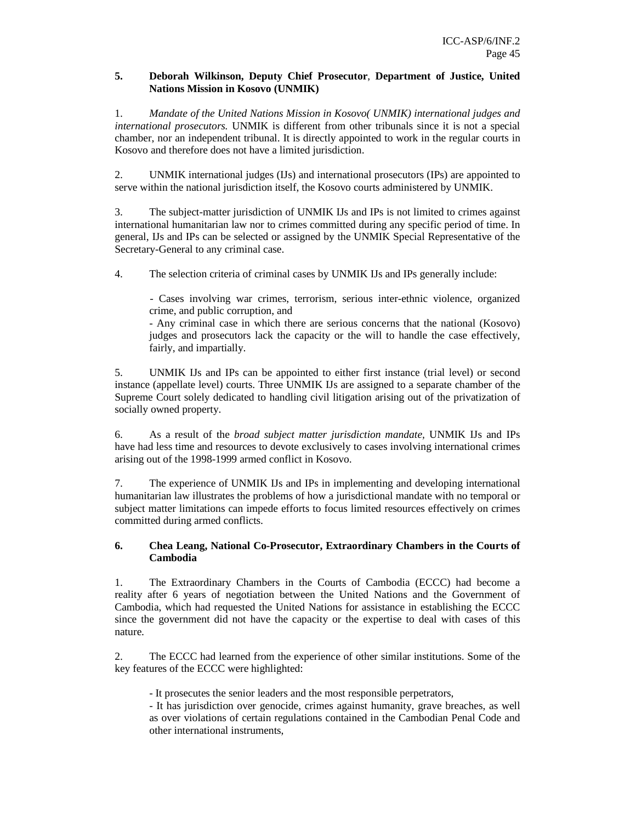#### **5. Deborah Wilkinson, Deputy Chief Prosecutor**, **Department of Justice, United Nations Mission in Kosovo (UNMIK)**

1. *Mandate of the United Nations Mission in Kosovo( UNMIK) international judges and international prosecutors.* UNMIK is different from other tribunals since it is not a special chamber, nor an independent tribunal. It is directly appointed to work in the regular courts in Kosovo and therefore does not have a limited jurisdiction.

2. UNMIK international judges (IJs) and international prosecutors (IPs) are appointed to serve within the national jurisdiction itself, the Kosovo courts administered by UNMIK.

3. The subject-matter jurisdiction of UNMIK IJs and IPs is not limited to crimes against international humanitarian law nor to crimes committed during any specific period of time. In general, IJs and IPs can be selected or assigned by the UNMIK Special Representative of the Secretary-General to any criminal case.

4. The selection criteria of criminal cases by UNMIK IJs and IPs generally include:

- Cases involving war crimes, terrorism, serious inter-ethnic violence, organized crime, and public corruption, and

- Any criminal case in which there are serious concerns that the national (Kosovo) judges and prosecutors lack the capacity or the will to handle the case effectively, fairly, and impartially.

5. UNMIK IJs and IPs can be appointed to either first instance (trial level) or second instance (appellate level) courts. Three UNMIK IJs are assigned to a separate chamber of the Supreme Court solely dedicated to handling civil litigation arising out of the privatization of socially owned property.

6. As a result of the *broad subject matter jurisdiction mandate,* UNMIK IJs and IPs have had less time and resources to devote exclusively to cases involving international crimes arising out of the 1998-1999 armed conflict in Kosovo.

7. The experience of UNMIK IJs and IPs in implementing and developing international humanitarian law illustrates the problems of how a jurisdictional mandate with no temporal or subject matter limitations can impede efforts to focus limited resources effectively on crimes committed during armed conflicts.

### **6. Chea Leang, National Co-Prosecutor, Extraordinary Chambers in the Courts of Cambodia**

1. The Extraordinary Chambers in the Courts of Cambodia (ECCC) had become a reality after 6 years of negotiation between the United Nations and the Government of Cambodia, which had requested the United Nations for assistance in establishing the ECCC since the government did not have the capacity or the expertise to deal with cases of this nature.

2. The ECCC had learned from the experience of other similar institutions. Some of the key features of the ECCC were highlighted:

- It prosecutes the senior leaders and the most responsible perpetrators,

- It has jurisdiction over genocide, crimes against humanity, grave breaches, as well as over violations of certain regulations contained in the Cambodian Penal Code and other international instruments,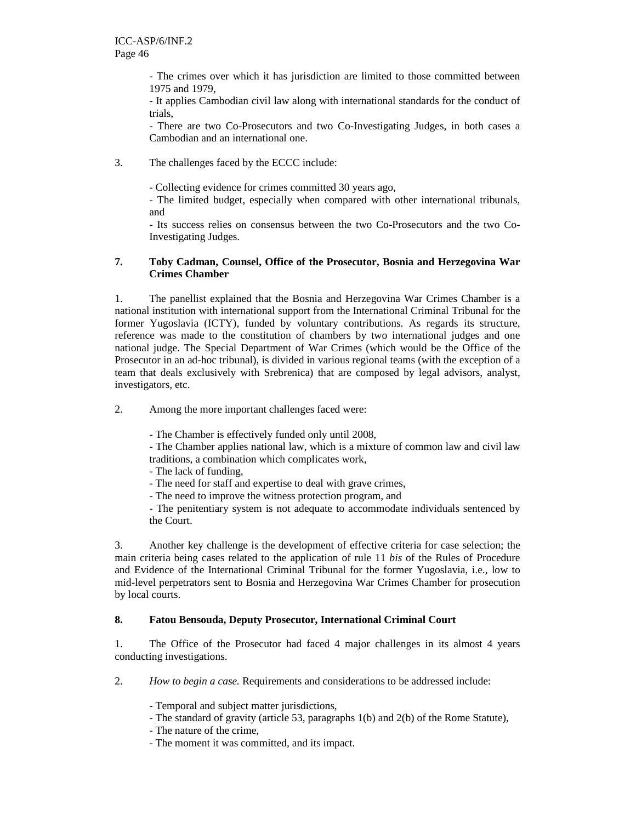- The crimes over which it has jurisdiction are limited to those committed between 1975 and 1979,

- It applies Cambodian civil law along with international standards for the conduct of trials,

- There are two Co-Prosecutors and two Co-Investigating Judges, in both cases a Cambodian and an international one.

3. The challenges faced by the ECCC include:

- Collecting evidence for crimes committed 30 years ago,

- The limited budget, especially when compared with other international tribunals, and

- Its success relies on consensus between the two Co-Prosecutors and the two Co-Investigating Judges.

#### **7. Toby Cadman, Counsel, Office of the Prosecutor, Bosnia and Herzegovina War Crimes Chamber**

1. The panellist explained that the Bosnia and Herzegovina War Crimes Chamber is a national institution with international support from the International Criminal Tribunal for the former Yugoslavia (ICTY), funded by voluntary contributions. As regards its structure, reference was made to the constitution of chambers by two international judges and one national judge. The Special Department of War Crimes (which would be the Office of the Prosecutor in an ad-hoc tribunal), is divided in various regional teams (with the exception of a team that deals exclusively with Srebrenica) that are composed by legal advisors, analyst, investigators, etc.

2. Among the more important challenges faced were:

- The Chamber is effectively funded only until 2008,

- The Chamber applies national law, which is a mixture of common law and civil law traditions, a combination which complicates work,

- The lack of funding,
- The need for staff and expertise to deal with grave crimes,
- The need to improve the witness protection program, and

- The penitentiary system is not adequate to accommodate individuals sentenced by the Court.

3. Another key challenge is the development of effective criteria for case selection; the main criteria being cases related to the application of rule 11 *bis* of the Rules of Procedure and Evidence of the International Criminal Tribunal for the former Yugoslavia, i.e., low to mid-level perpetrators sent to Bosnia and Herzegovina War Crimes Chamber for prosecution by local courts.

## **8. Fatou Bensouda, Deputy Prosecutor, International Criminal Court**

1. The Office of the Prosecutor had faced 4 major challenges in its almost 4 years conducting investigations.

2. *How to begin a case.* Requirements and considerations to be addressed include:

- Temporal and subject matter jurisdictions,
- The standard of gravity (article 53, paragraphs 1(b) and 2(b) of the Rome Statute),
- The nature of the crime,
- The moment it was committed, and its impact.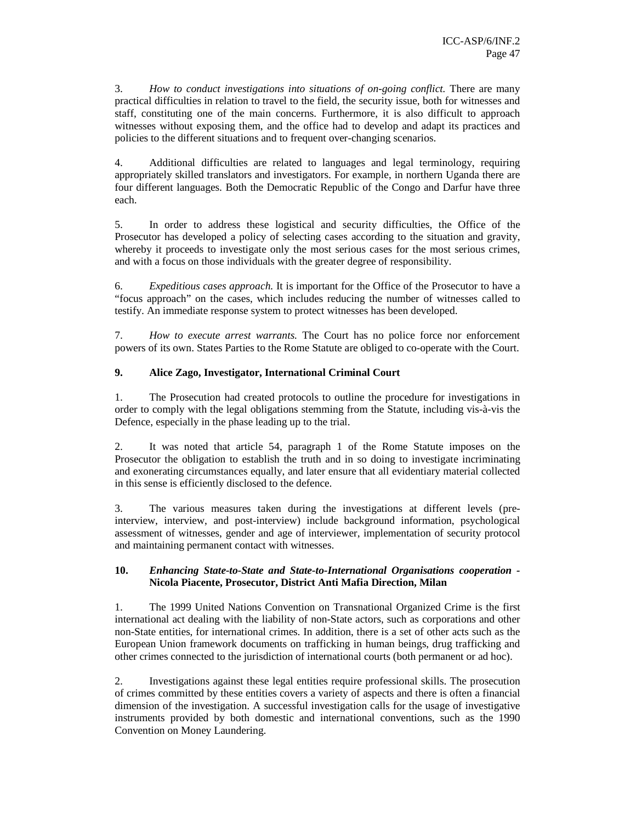3. *How to conduct investigations into situations of on-going conflict.* There are many practical difficulties in relation to travel to the field, the security issue, both for witnesses and staff, constituting one of the main concerns. Furthermore, it is also difficult to approach witnesses without exposing them, and the office had to develop and adapt its practices and policies to the different situations and to frequent over-changing scenarios.

4. Additional difficulties are related to languages and legal terminology, requiring appropriately skilled translators and investigators. For example, in northern Uganda there are four different languages. Both the Democratic Republic of the Congo and Darfur have three each.

5. In order to address these logistical and security difficulties, the Office of the Prosecutor has developed a policy of selecting cases according to the situation and gravity, whereby it proceeds to investigate only the most serious cases for the most serious crimes, and with a focus on those individuals with the greater degree of responsibility.

6. *Expeditious cases approach.* It is important for the Office of the Prosecutor to have a "focus approach" on the cases, which includes reducing the number of witnesses called to testify. An immediate response system to protect witnesses has been developed.

7. *How to execute arrest warrants.* The Court has no police force nor enforcement powers of its own. States Parties to the Rome Statute are obliged to co-operate with the Court.

## **9. Alice Zago, Investigator, International Criminal Court**

1. The Prosecution had created protocols to outline the procedure for investigations in order to comply with the legal obligations stemming from the Statute, including vis-à-vis the Defence, especially in the phase leading up to the trial.

2. It was noted that article 54, paragraph 1 of the Rome Statute imposes on the Prosecutor the obligation to establish the truth and in so doing to investigate incriminating and exonerating circumstances equally, and later ensure that all evidentiary material collected in this sense is efficiently disclosed to the defence.

3. The various measures taken during the investigations at different levels (preinterview, interview, and post-interview) include background information, psychological assessment of witnesses, gender and age of interviewer, implementation of security protocol and maintaining permanent contact with witnesses.

### **10.** *Enhancing State-to-State and State-to-International Organisations cooperation -*  **Nicola Piacente, Prosecutor, District Anti Mafia Direction, Milan**

1. The 1999 United Nations Convention on Transnational Organized Crime is the first international act dealing with the liability of non-State actors, such as corporations and other non-State entities, for international crimes. In addition, there is a set of other acts such as the European Union framework documents on trafficking in human beings, drug trafficking and other crimes connected to the jurisdiction of international courts (both permanent or ad hoc).

2. Investigations against these legal entities require professional skills. The prosecution of crimes committed by these entities covers a variety of aspects and there is often a financial dimension of the investigation. A successful investigation calls for the usage of investigative instruments provided by both domestic and international conventions, such as the 1990 Convention on Money Laundering.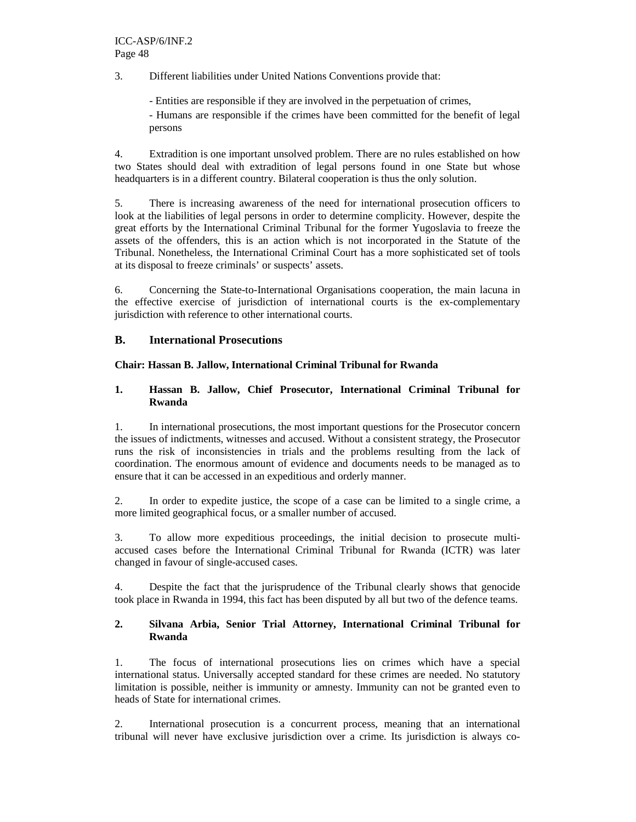3. Different liabilities under United Nations Conventions provide that:

- Entities are responsible if they are involved in the perpetuation of crimes,

- Humans are responsible if the crimes have been committed for the benefit of legal persons

4. Extradition is one important unsolved problem. There are no rules established on how two States should deal with extradition of legal persons found in one State but whose headquarters is in a different country. Bilateral cooperation is thus the only solution.

5. There is increasing awareness of the need for international prosecution officers to look at the liabilities of legal persons in order to determine complicity. However, despite the great efforts by the International Criminal Tribunal for the former Yugoslavia to freeze the assets of the offenders, this is an action which is not incorporated in the Statute of the Tribunal. Nonetheless, the International Criminal Court has a more sophisticated set of tools at its disposal to freeze criminals' or suspects' assets.

6. Concerning the State-to-International Organisations cooperation, the main lacuna in the effective exercise of jurisdiction of international courts is the ex-complementary jurisdiction with reference to other international courts.

### **B. International Prosecutions**

### **Chair: Hassan B. Jallow, International Criminal Tribunal for Rwanda**

#### **1. Hassan B. Jallow, Chief Prosecutor, International Criminal Tribunal for Rwanda**

1. In international prosecutions, the most important questions for the Prosecutor concern the issues of indictments, witnesses and accused. Without a consistent strategy, the Prosecutor runs the risk of inconsistencies in trials and the problems resulting from the lack of coordination. The enormous amount of evidence and documents needs to be managed as to ensure that it can be accessed in an expeditious and orderly manner.

2. In order to expedite justice, the scope of a case can be limited to a single crime, a more limited geographical focus, or a smaller number of accused.

3. To allow more expeditious proceedings, the initial decision to prosecute multiaccused cases before the International Criminal Tribunal for Rwanda (ICTR) was later changed in favour of single-accused cases.

4. Despite the fact that the jurisprudence of the Tribunal clearly shows that genocide took place in Rwanda in 1994, this fact has been disputed by all but two of the defence teams.

### **2. Silvana Arbia, Senior Trial Attorney, International Criminal Tribunal for Rwanda**

1. The focus of international prosecutions lies on crimes which have a special international status. Universally accepted standard for these crimes are needed. No statutory limitation is possible, neither is immunity or amnesty. Immunity can not be granted even to heads of State for international crimes.

2. International prosecution is a concurrent process, meaning that an international tribunal will never have exclusive jurisdiction over a crime. Its jurisdiction is always co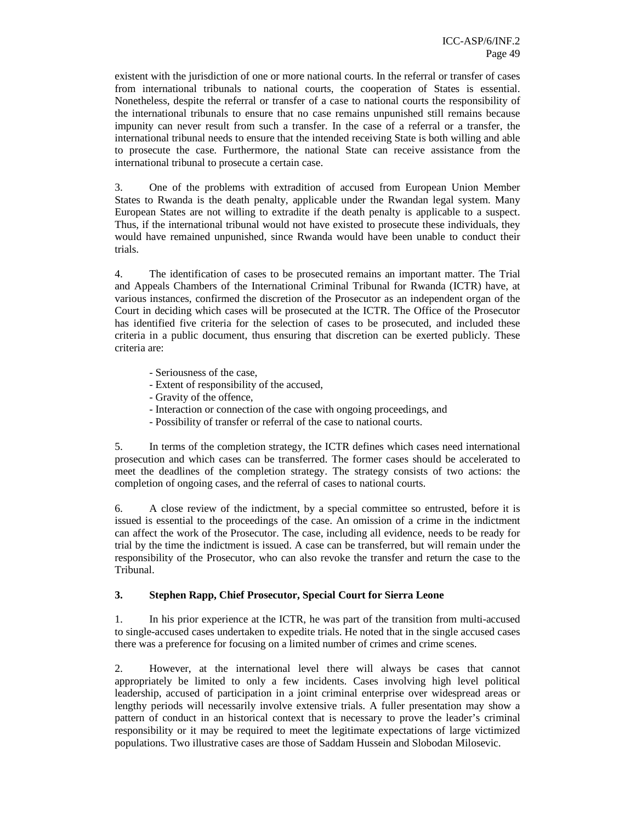existent with the jurisdiction of one or more national courts. In the referral or transfer of cases from international tribunals to national courts, the cooperation of States is essential. Nonetheless, despite the referral or transfer of a case to national courts the responsibility of the international tribunals to ensure that no case remains unpunished still remains because impunity can never result from such a transfer. In the case of a referral or a transfer, the international tribunal needs to ensure that the intended receiving State is both willing and able to prosecute the case. Furthermore, the national State can receive assistance from the international tribunal to prosecute a certain case.

3. One of the problems with extradition of accused from European Union Member States to Rwanda is the death penalty, applicable under the Rwandan legal system. Many European States are not willing to extradite if the death penalty is applicable to a suspect. Thus, if the international tribunal would not have existed to prosecute these individuals, they would have remained unpunished, since Rwanda would have been unable to conduct their trials.

4. The identification of cases to be prosecuted remains an important matter. The Trial and Appeals Chambers of the International Criminal Tribunal for Rwanda (ICTR) have, at various instances, confirmed the discretion of the Prosecutor as an independent organ of the Court in deciding which cases will be prosecuted at the ICTR. The Office of the Prosecutor has identified five criteria for the selection of cases to be prosecuted, and included these criteria in a public document, thus ensuring that discretion can be exerted publicly. These criteria are:

- Seriousness of the case,
- Extent of responsibility of the accused,
- Gravity of the offence,
- Interaction or connection of the case with ongoing proceedings, and
- Possibility of transfer or referral of the case to national courts.

5. In terms of the completion strategy, the ICTR defines which cases need international prosecution and which cases can be transferred. The former cases should be accelerated to meet the deadlines of the completion strategy. The strategy consists of two actions: the completion of ongoing cases, and the referral of cases to national courts.

6. A close review of the indictment, by a special committee so entrusted, before it is issued is essential to the proceedings of the case. An omission of a crime in the indictment can affect the work of the Prosecutor. The case, including all evidence, needs to be ready for trial by the time the indictment is issued. A case can be transferred, but will remain under the responsibility of the Prosecutor, who can also revoke the transfer and return the case to the Tribunal.

#### **3. Stephen Rapp, Chief Prosecutor, Special Court for Sierra Leone**

1. In his prior experience at the ICTR, he was part of the transition from multi-accused to single-accused cases undertaken to expedite trials. He noted that in the single accused cases there was a preference for focusing on a limited number of crimes and crime scenes.

2. However, at the international level there will always be cases that cannot appropriately be limited to only a few incidents. Cases involving high level political leadership, accused of participation in a joint criminal enterprise over widespread areas or lengthy periods will necessarily involve extensive trials. A fuller presentation may show a pattern of conduct in an historical context that is necessary to prove the leader's criminal responsibility or it may be required to meet the legitimate expectations of large victimized populations. Two illustrative cases are those of Saddam Hussein and Slobodan Milosevic.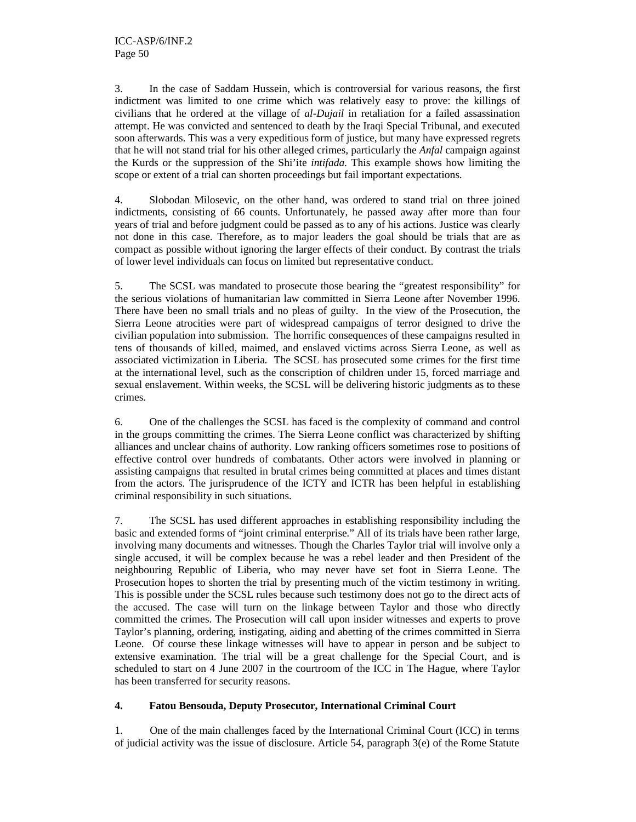3. In the case of Saddam Hussein, which is controversial for various reasons, the first indictment was limited to one crime which was relatively easy to prove: the killings of civilians that he ordered at the village of *al-Dujail* in retaliation for a failed assassination attempt. He was convicted and sentenced to death by the Iraqi Special Tribunal, and executed soon afterwards. This was a very expeditious form of justice, but many have expressed regrets that he will not stand trial for his other alleged crimes, particularly the *Anfal* campaign against the Kurds or the suppression of the Shi'ite *intifada*. This example shows how limiting the scope or extent of a trial can shorten proceedings but fail important expectations.

4. Slobodan Milosevic, on the other hand, was ordered to stand trial on three joined indictments, consisting of 66 counts. Unfortunately, he passed away after more than four years of trial and before judgment could be passed as to any of his actions. Justice was clearly not done in this case. Therefore, as to major leaders the goal should be trials that are as compact as possible without ignoring the larger effects of their conduct. By contrast the trials of lower level individuals can focus on limited but representative conduct.

5. The SCSL was mandated to prosecute those bearing the "greatest responsibility" for the serious violations of humanitarian law committed in Sierra Leone after November 1996. There have been no small trials and no pleas of guilty. In the view of the Prosecution, the Sierra Leone atrocities were part of widespread campaigns of terror designed to drive the civilian population into submission. The horrific consequences of these campaigns resulted in tens of thousands of killed, maimed, and enslaved victims across Sierra Leone, as well as associated victimization in Liberia. The SCSL has prosecuted some crimes for the first time at the international level, such as the conscription of children under 15, forced marriage and sexual enslavement. Within weeks, the SCSL will be delivering historic judgments as to these crimes.

6. One of the challenges the SCSL has faced is the complexity of command and control in the groups committing the crimes. The Sierra Leone conflict was characterized by shifting alliances and unclear chains of authority. Low ranking officers sometimes rose to positions of effective control over hundreds of combatants. Other actors were involved in planning or assisting campaigns that resulted in brutal crimes being committed at places and times distant from the actors. The jurisprudence of the ICTY and ICTR has been helpful in establishing criminal responsibility in such situations.

7. The SCSL has used different approaches in establishing responsibility including the basic and extended forms of "joint criminal enterprise." All of its trials have been rather large, involving many documents and witnesses. Though the Charles Taylor trial will involve only a single accused, it will be complex because he was a rebel leader and then President of the neighbouring Republic of Liberia, who may never have set foot in Sierra Leone. The Prosecution hopes to shorten the trial by presenting much of the victim testimony in writing. This is possible under the SCSL rules because such testimony does not go to the direct acts of the accused. The case will turn on the linkage between Taylor and those who directly committed the crimes. The Prosecution will call upon insider witnesses and experts to prove Taylor's planning, ordering, instigating, aiding and abetting of the crimes committed in Sierra Leone. Of course these linkage witnesses will have to appear in person and be subject to extensive examination. The trial will be a great challenge for the Special Court, and is scheduled to start on 4 June 2007 in the courtroom of the ICC in The Hague, where Taylor has been transferred for security reasons.

## **4. Fatou Bensouda, Deputy Prosecutor, International Criminal Court**

1. One of the main challenges faced by the International Criminal Court (ICC) in terms of judicial activity was the issue of disclosure. Article 54, paragraph  $3(e)$  of the Rome Statute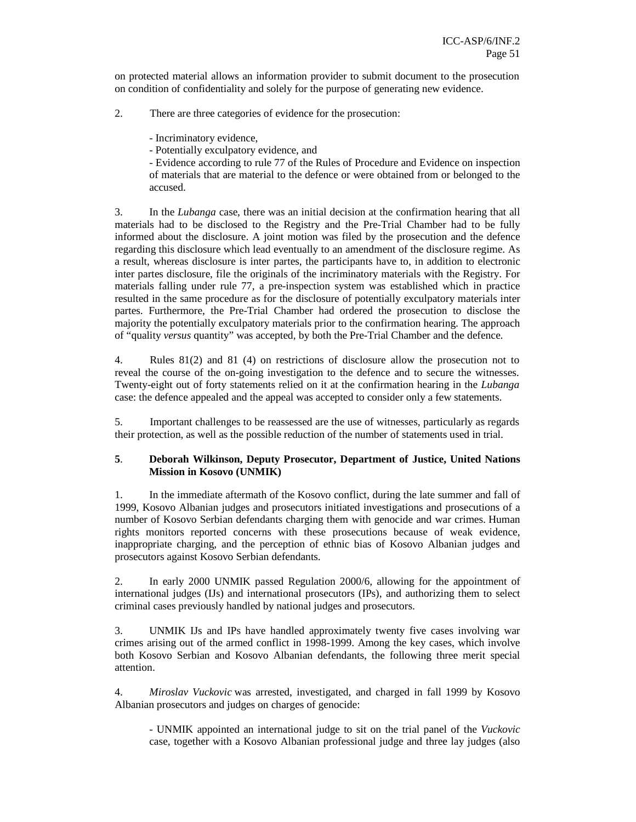on protected material allows an information provider to submit document to the prosecution on condition of confidentiality and solely for the purpose of generating new evidence.

- 2. There are three categories of evidence for the prosecution:
	- Incriminatory evidence,
	- Potentially exculpatory evidence, and

- Evidence according to rule 77 of the Rules of Procedure and Evidence on inspection of materials that are material to the defence or were obtained from or belonged to the accused.

3. In the *Lubanga* case, there was an initial decision at the confirmation hearing that all materials had to be disclosed to the Registry and the Pre-Trial Chamber had to be fully informed about the disclosure. A joint motion was filed by the prosecution and the defence regarding this disclosure which lead eventually to an amendment of the disclosure regime. As a result, whereas disclosure is inter partes, the participants have to, in addition to electronic inter partes disclosure, file the originals of the incriminatory materials with the Registry. For materials falling under rule 77, a pre-inspection system was established which in practice resulted in the same procedure as for the disclosure of potentially exculpatory materials inter partes. Furthermore, the Pre-Trial Chamber had ordered the prosecution to disclose the majority the potentially exculpatory materials prior to the confirmation hearing. The approach of "quality *versus* quantity" was accepted, by both the Pre-Trial Chamber and the defence.

4. Rules 81(2) and 81 (4) on restrictions of disclosure allow the prosecution not to reveal the course of the on-going investigation to the defence and to secure the witnesses. Twenty-eight out of forty statements relied on it at the confirmation hearing in the *Lubanga* case: the defence appealed and the appeal was accepted to consider only a few statements.

5. Important challenges to be reassessed are the use of witnesses, particularly as regards their protection, as well as the possible reduction of the number of statements used in trial.

### **5**. **Deborah Wilkinson, Deputy Prosecutor, Department of Justice, United Nations Mission in Kosovo (UNMIK)**

1. In the immediate aftermath of the Kosovo conflict, during the late summer and fall of 1999, Kosovo Albanian judges and prosecutors initiated investigations and prosecutions of a number of Kosovo Serbian defendants charging them with genocide and war crimes. Human rights monitors reported concerns with these prosecutions because of weak evidence, inappropriate charging, and the perception of ethnic bias of Kosovo Albanian judges and prosecutors against Kosovo Serbian defendants.

2. In early 2000 UNMIK passed Regulation 2000/6, allowing for the appointment of international judges (IJs) and international prosecutors (IPs), and authorizing them to select criminal cases previously handled by national judges and prosecutors.

3. UNMIK IJs and IPs have handled approximately twenty five cases involving war crimes arising out of the armed conflict in 1998-1999. Among the key cases, which involve both Kosovo Serbian and Kosovo Albanian defendants, the following three merit special attention.

4. *Miroslav Vuckovic* was arrested, investigated, and charged in fall 1999 by Kosovo Albanian prosecutors and judges on charges of genocide:

- UNMIK appointed an international judge to sit on the trial panel of the *Vuckovic* case, together with a Kosovo Albanian professional judge and three lay judges (also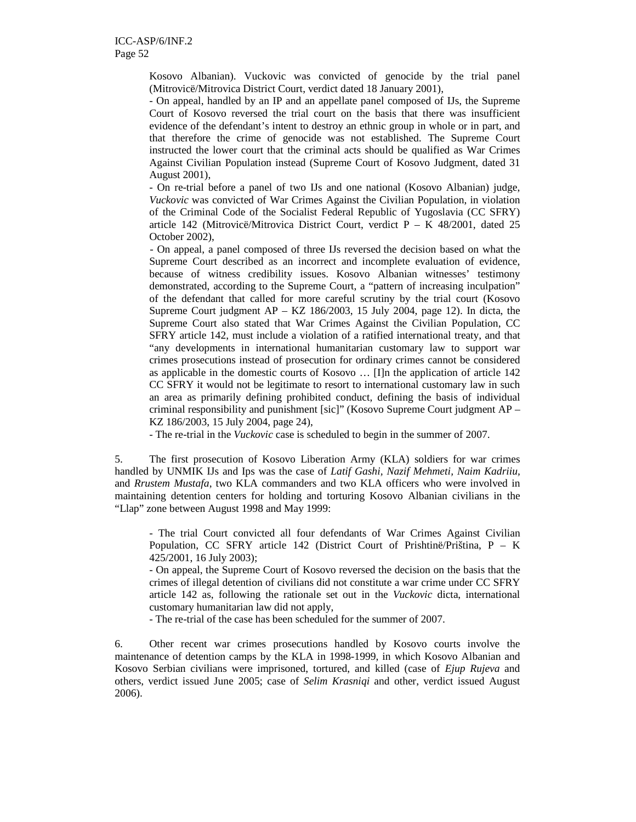Kosovo Albanian). Vuckovic was convicted of genocide by the trial panel (Mitrovicë/Mitrovica District Court, verdict dated 18 January 2001),

- On appeal, handled by an IP and an appellate panel composed of IJs, the Supreme Court of Kosovo reversed the trial court on the basis that there was insufficient evidence of the defendant's intent to destroy an ethnic group in whole or in part, and that therefore the crime of genocide was not established. The Supreme Court instructed the lower court that the criminal acts should be qualified as War Crimes Against Civilian Population instead (Supreme Court of Kosovo Judgment, dated 31 August 2001),

- On re-trial before a panel of two IJs and one national (Kosovo Albanian) judge, *Vuckovic* was convicted of War Crimes Against the Civilian Population, in violation of the Criminal Code of the Socialist Federal Republic of Yugoslavia (CC SFRY) article 142 (Mitrovicë/Mitrovica District Court, verdict  $P - K$  48/2001, dated 25 October 2002),

 - On appeal, a panel composed of three IJs reversed the decision based on what the Supreme Court described as an incorrect and incomplete evaluation of evidence, because of witness credibility issues. Kosovo Albanian witnesses' testimony demonstrated, according to the Supreme Court, a "pattern of increasing inculpation" of the defendant that called for more careful scrutiny by the trial court (Kosovo Supreme Court judgment AP – KZ 186/2003, 15 July 2004, page 12). In dicta, the Supreme Court also stated that War Crimes Against the Civilian Population, CC SFRY article 142, must include a violation of a ratified international treaty, and that "any developments in international humanitarian customary law to support war crimes prosecutions instead of prosecution for ordinary crimes cannot be considered as applicable in the domestic courts of Kosovo … [I]n the application of article 142 CC SFRY it would not be legitimate to resort to international customary law in such an area as primarily defining prohibited conduct, defining the basis of individual criminal responsibility and punishment [sic]" (Kosovo Supreme Court judgment AP – KZ 186/2003, 15 July 2004, page 24),

- The re-trial in the *Vuckovic* case is scheduled to begin in the summer of 2007.

5. The first prosecution of Kosovo Liberation Army (KLA) soldiers for war crimes handled by UNMIK IJs and Ips was the case of *Latif Gashi, Nazif Mehmeti, Naim Kadriiu,*  and *Rrustem Mustafa*, two KLA commanders and two KLA officers who were involved in maintaining detention centers for holding and torturing Kosovo Albanian civilians in the "Llap" zone between August 1998 and May 1999:

- The trial Court convicted all four defendants of War Crimes Against Civilian Population, CC SFRY article 142 (District Court of Prishtinë/Priština, P – K 425/2001, 16 July 2003);

- On appeal, the Supreme Court of Kosovo reversed the decision on the basis that the crimes of illegal detention of civilians did not constitute a war crime under CC SFRY article 142 as, following the rationale set out in the *Vuckovic* dicta, international customary humanitarian law did not apply,

- The re-trial of the case has been scheduled for the summer of 2007.

6. Other recent war crimes prosecutions handled by Kosovo courts involve the maintenance of detention camps by the KLA in 1998-1999, in which Kosovo Albanian and Kosovo Serbian civilians were imprisoned, tortured, and killed (case of *Ejup Rujeva* and others, verdict issued June 2005; case of *Selim Krasniqi* and other, verdict issued August 2006).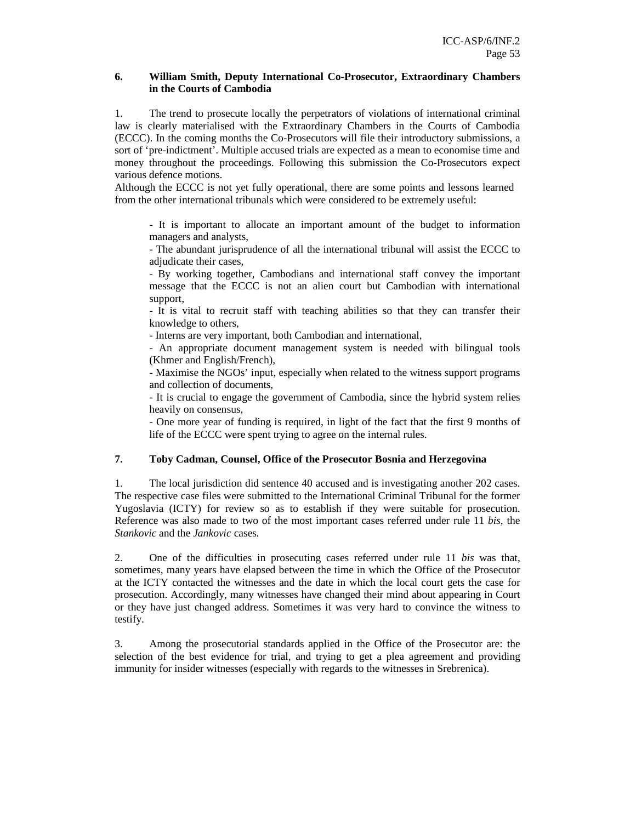#### **6. William Smith, Deputy International Co-Prosecutor, Extraordinary Chambers in the Courts of Cambodia**

1. The trend to prosecute locally the perpetrators of violations of international criminal law is clearly materialised with the Extraordinary Chambers in the Courts of Cambodia (ECCC). In the coming months the Co-Prosecutors will file their introductory submissions, a sort of 'pre-indictment'. Multiple accused trials are expected as a mean to economise time and money throughout the proceedings. Following this submission the Co-Prosecutors expect various defence motions.

Although the ECCC is not yet fully operational, there are some points and lessons learned from the other international tribunals which were considered to be extremely useful:

- It is important to allocate an important amount of the budget to information managers and analysts,

- The abundant jurisprudence of all the international tribunal will assist the ECCC to adjudicate their cases,

- By working together, Cambodians and international staff convey the important message that the ECCC is not an alien court but Cambodian with international support,

- It is vital to recruit staff with teaching abilities so that they can transfer their knowledge to others,

- Interns are very important, both Cambodian and international,

- An appropriate document management system is needed with bilingual tools (Khmer and English/French),

- Maximise the NGOs' input, especially when related to the witness support programs and collection of documents,

- It is crucial to engage the government of Cambodia, since the hybrid system relies heavily on consensus,

- One more year of funding is required, in light of the fact that the first 9 months of life of the ECCC were spent trying to agree on the internal rules.

### **7. Toby Cadman, Counsel, Office of the Prosecutor Bosnia and Herzegovina**

1. The local jurisdiction did sentence 40 accused and is investigating another 202 cases. The respective case files were submitted to the International Criminal Tribunal for the former Yugoslavia (ICTY) for review so as to establish if they were suitable for prosecution. Reference was also made to two of the most important cases referred under rule 11 *bis,* the *Stankovic* and the *Jankovic* cases.

2. One of the difficulties in prosecuting cases referred under rule 11 *bis* was that, sometimes, many years have elapsed between the time in which the Office of the Prosecutor at the ICTY contacted the witnesses and the date in which the local court gets the case for prosecution. Accordingly, many witnesses have changed their mind about appearing in Court or they have just changed address. Sometimes it was very hard to convince the witness to testify.

3. Among the prosecutorial standards applied in the Office of the Prosecutor are: the selection of the best evidence for trial, and trying to get a plea agreement and providing immunity for insider witnesses (especially with regards to the witnesses in Srebrenica).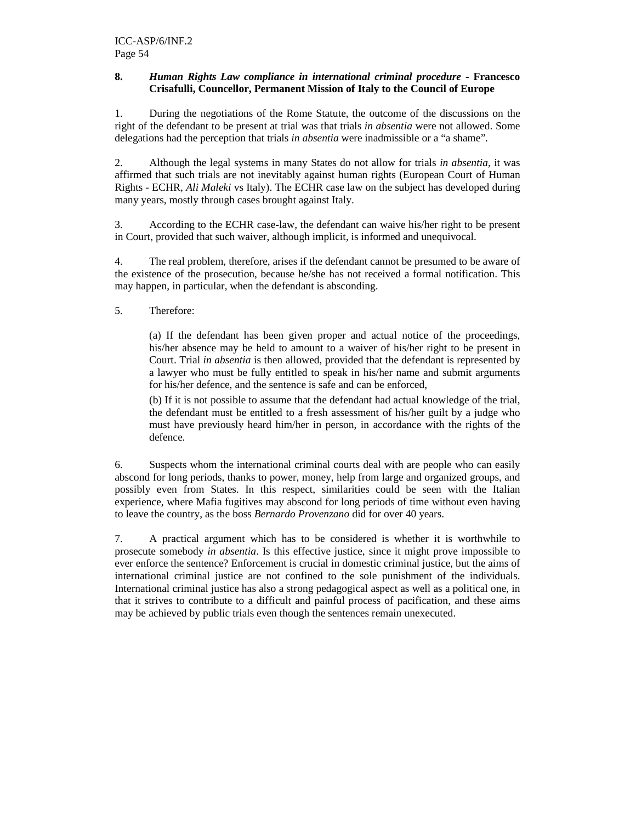#### **8.** *Human Rights Law compliance in international criminal procedure* **- Francesco Crisafulli, Councellor, Permanent Mission of Italy to the Council of Europe**

1. During the negotiations of the Rome Statute, the outcome of the discussions on the right of the defendant to be present at trial was that trials *in absentia* were not allowed. Some delegations had the perception that trials *in absentia* were inadmissible or a "a shame".

2. Although the legal systems in many States do not allow for trials *in absentia*, it was affirmed that such trials are not inevitably against human rights (European Court of Human Rights - ECHR, *Ali Maleki* vs Italy). The ECHR case law on the subject has developed during many years, mostly through cases brought against Italy.

3. According to the ECHR case-law, the defendant can waive his/her right to be present in Court, provided that such waiver, although implicit, is informed and unequivocal.

4. The real problem, therefore, arises if the defendant cannot be presumed to be aware of the existence of the prosecution, because he/she has not received a formal notification. This may happen, in particular, when the defendant is absconding.

5. Therefore:

(a) If the defendant has been given proper and actual notice of the proceedings, his/her absence may be held to amount to a waiver of his/her right to be present in Court. Trial *in absentia* is then allowed, provided that the defendant is represented by a lawyer who must be fully entitled to speak in his/her name and submit arguments for his/her defence, and the sentence is safe and can be enforced,

(b) If it is not possible to assume that the defendant had actual knowledge of the trial, the defendant must be entitled to a fresh assessment of his/her guilt by a judge who must have previously heard him/her in person, in accordance with the rights of the defence.

6. Suspects whom the international criminal courts deal with are people who can easily abscond for long periods, thanks to power, money, help from large and organized groups, and possibly even from States. In this respect, similarities could be seen with the Italian experience, where Mafia fugitives may abscond for long periods of time without even having to leave the country, as the boss *Bernardo Provenzano* did for over 40 years.

7. A practical argument which has to be considered is whether it is worthwhile to prosecute somebody *in absentia*. Is this effective justice, since it might prove impossible to ever enforce the sentence? Enforcement is crucial in domestic criminal justice, but the aims of international criminal justice are not confined to the sole punishment of the individuals. International criminal justice has also a strong pedagogical aspect as well as a political one, in that it strives to contribute to a difficult and painful process of pacification, and these aims may be achieved by public trials even though the sentences remain unexecuted.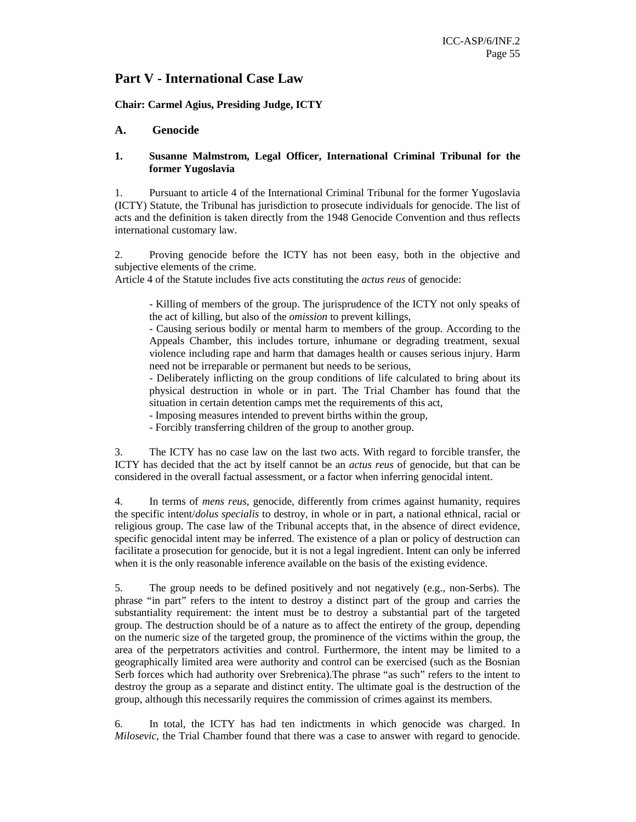## **Part V - International Case Law**

#### **Chair: Carmel Agius, Presiding Judge, ICTY**

#### **A. Genocide**

#### **1. Susanne Malmstrom, Legal Officer, International Criminal Tribunal for the former Yugoslavia**

1. Pursuant to article 4 of the International Criminal Tribunal for the former Yugoslavia (ICTY) Statute, the Tribunal has jurisdiction to prosecute individuals for genocide. The list of acts and the definition is taken directly from the 1948 Genocide Convention and thus reflects international customary law.

2. Proving genocide before the ICTY has not been easy, both in the objective and subjective elements of the crime.

Article 4 of the Statute includes five acts constituting the *actus reus* of genocide:

- Killing of members of the group. The jurisprudence of the ICTY not only speaks of the act of killing, but also of the *omission* to prevent killings,

- Causing serious bodily or mental harm to members of the group. According to the Appeals Chamber, this includes torture, inhumane or degrading treatment, sexual violence including rape and harm that damages health or causes serious injury. Harm need not be irreparable or permanent but needs to be serious,

- Deliberately inflicting on the group conditions of life calculated to bring about its physical destruction in whole or in part. The Trial Chamber has found that the situation in certain detention camps met the requirements of this act,

- Imposing measures intended to prevent births within the group,

- Forcibly transferring children of the group to another group.

3. The ICTY has no case law on the last two acts. With regard to forcible transfer, the ICTY has decided that the act by itself cannot be an *actus reus* of genocide, but that can be considered in the overall factual assessment, or a factor when inferring genocidal intent.

4. In terms of *mens reus*, genocide, differently from crimes against humanity, requires the specific intent/*dolus specialis* to destroy, in whole or in part, a national ethnical, racial or religious group. The case law of the Tribunal accepts that, in the absence of direct evidence, specific genocidal intent may be inferred. The existence of a plan or policy of destruction can facilitate a prosecution for genocide, but it is not a legal ingredient. Intent can only be inferred when it is the only reasonable inference available on the basis of the existing evidence.

5. The group needs to be defined positively and not negatively (e.g., non-Serbs). The phrase "in part" refers to the intent to destroy a distinct part of the group and carries the substantiality requirement: the intent must be to destroy a substantial part of the targeted group. The destruction should be of a nature as to affect the entirety of the group, depending on the numeric size of the targeted group, the prominence of the victims within the group, the area of the perpetrators activities and control. Furthermore, the intent may be limited to a geographically limited area were authority and control can be exercised (such as the Bosnian Serb forces which had authority over Srebrenica).The phrase "as such" refers to the intent to destroy the group as a separate and distinct entity. The ultimate goal is the destruction of the group, although this necessarily requires the commission of crimes against its members.

6. In total, the ICTY has had ten indictments in which genocide was charged. In *Milosevic*, the Trial Chamber found that there was a case to answer with regard to genocide.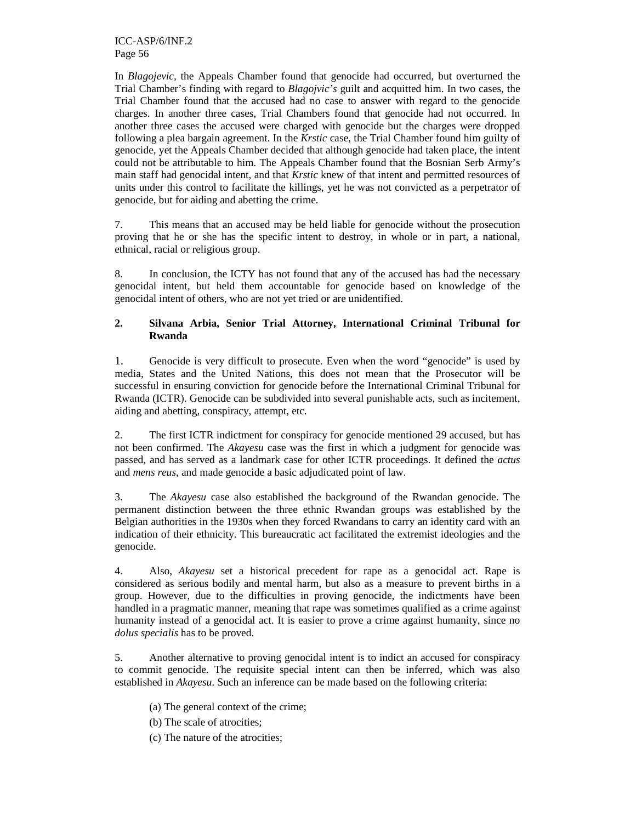ICC-ASP/6/INF.2 Page 56

In *Blagojevic,* the Appeals Chamber found that genocide had occurred, but overturned the Trial Chamber's finding with regard to *Blagojvic's* guilt and acquitted him. In two cases, the Trial Chamber found that the accused had no case to answer with regard to the genocide charges. In another three cases, Trial Chambers found that genocide had not occurred. In another three cases the accused were charged with genocide but the charges were dropped following a plea bargain agreement. In the *Krstic* case, the Trial Chamber found him guilty of genocide, yet the Appeals Chamber decided that although genocide had taken place, the intent could not be attributable to him. The Appeals Chamber found that the Bosnian Serb Army's main staff had genocidal intent, and that *Krstic* knew of that intent and permitted resources of units under this control to facilitate the killings, yet he was not convicted as a perpetrator of genocide, but for aiding and abetting the crime.

7. This means that an accused may be held liable for genocide without the prosecution proving that he or she has the specific intent to destroy, in whole or in part, a national, ethnical, racial or religious group.

8. In conclusion, the ICTY has not found that any of the accused has had the necessary genocidal intent, but held them accountable for genocide based on knowledge of the genocidal intent of others, who are not yet tried or are unidentified.

### **2. Silvana Arbia, Senior Trial Attorney, International Criminal Tribunal for Rwanda**

1. Genocide is very difficult to prosecute. Even when the word "genocide" is used by media, States and the United Nations, this does not mean that the Prosecutor will be successful in ensuring conviction for genocide before the International Criminal Tribunal for Rwanda (ICTR). Genocide can be subdivided into several punishable acts, such as incitement, aiding and abetting, conspiracy, attempt, etc.

2. The first ICTR indictment for conspiracy for genocide mentioned 29 accused, but has not been confirmed. The *Akayesu* case was the first in which a judgment for genocide was passed, and has served as a landmark case for other ICTR proceedings. It defined the *actus* and *mens reus*, and made genocide a basic adjudicated point of law.

3. The *Akayesu* case also established the background of the Rwandan genocide. The permanent distinction between the three ethnic Rwandan groups was established by the Belgian authorities in the 1930s when they forced Rwandans to carry an identity card with an indication of their ethnicity. This bureaucratic act facilitated the extremist ideologies and the genocide.

4. Also, *Akayesu* set a historical precedent for rape as a genocidal act. Rape is considered as serious bodily and mental harm, but also as a measure to prevent births in a group. However, due to the difficulties in proving genocide, the indictments have been handled in a pragmatic manner, meaning that rape was sometimes qualified as a crime against humanity instead of a genocidal act. It is easier to prove a crime against humanity, since no *dolus specialis* has to be proved.

5. Another alternative to proving genocidal intent is to indict an accused for conspiracy to commit genocide. The requisite special intent can then be inferred, which was also established in *Akayesu*. Such an inference can be made based on the following criteria:

(a) The general context of the crime;

(b) The scale of atrocities;

(c) The nature of the atrocities;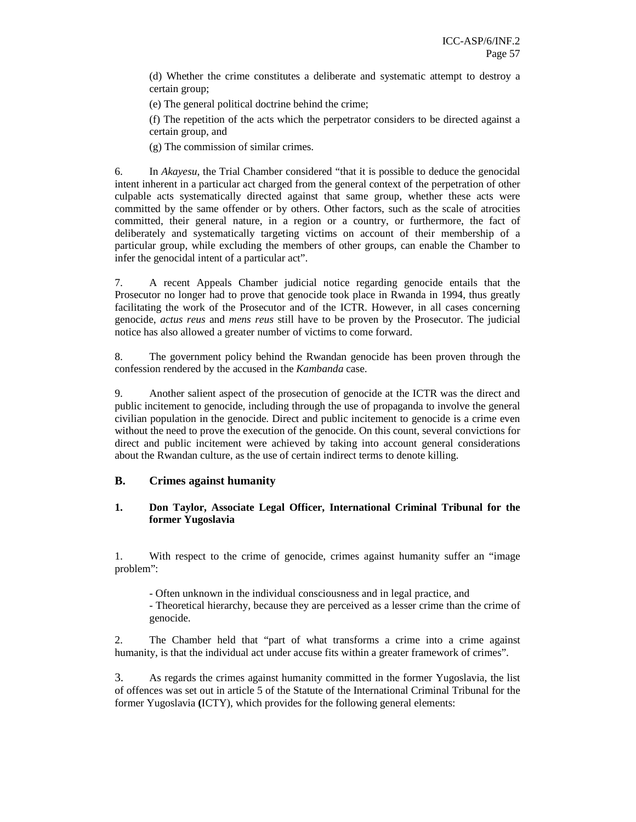(d) Whether the crime constitutes a deliberate and systematic attempt to destroy a certain group;

(e) The general political doctrine behind the crime;

(f) The repetition of the acts which the perpetrator considers to be directed against a certain group, and

(g) The commission of similar crimes.

6. In *Akayesu*, the Trial Chamber considered "that it is possible to deduce the genocidal intent inherent in a particular act charged from the general context of the perpetration of other culpable acts systematically directed against that same group, whether these acts were committed by the same offender or by others. Other factors, such as the scale of atrocities committed, their general nature, in a region or a country, or furthermore, the fact of deliberately and systematically targeting victims on account of their membership of a particular group, while excluding the members of other groups, can enable the Chamber to infer the genocidal intent of a particular act".

7. A recent Appeals Chamber judicial notice regarding genocide entails that the Prosecutor no longer had to prove that genocide took place in Rwanda in 1994, thus greatly facilitating the work of the Prosecutor and of the ICTR. However, in all cases concerning genocide, *actus reus* and *mens reus* still have to be proven by the Prosecutor. The judicial notice has also allowed a greater number of victims to come forward.

8. The government policy behind the Rwandan genocide has been proven through the confession rendered by the accused in the *Kambanda* case.

9. Another salient aspect of the prosecution of genocide at the ICTR was the direct and public incitement to genocide, including through the use of propaganda to involve the general civilian population in the genocide. Direct and public incitement to genocide is a crime even without the need to prove the execution of the genocide. On this count, several convictions for direct and public incitement were achieved by taking into account general considerations about the Rwandan culture, as the use of certain indirect terms to denote killing.

## **B. Crimes against humanity**

### **1. Don Taylor, Associate Legal Officer, International Criminal Tribunal for the former Yugoslavia**

1. With respect to the crime of genocide, crimes against humanity suffer an "image problem":

- Often unknown in the individual consciousness and in legal practice, and

- Theoretical hierarchy, because they are perceived as a lesser crime than the crime of genocide.

2. The Chamber held that "part of what transforms a crime into a crime against humanity, is that the individual act under accuse fits within a greater framework of crimes".

3. As regards the crimes against humanity committed in the former Yugoslavia, the list of offences was set out in article 5 of the Statute of the International Criminal Tribunal for the former Yugoslavia **(**ICTY), which provides for the following general elements: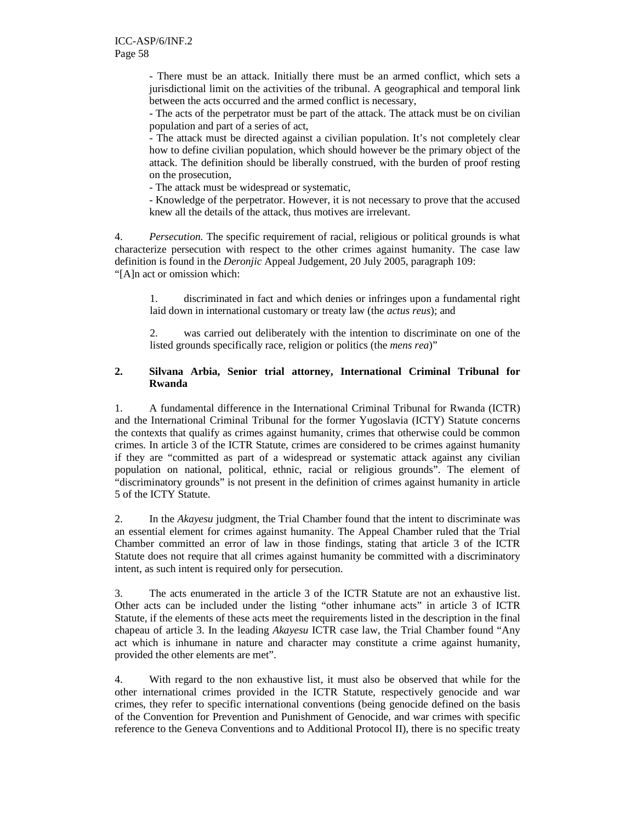- There must be an attack. Initially there must be an armed conflict, which sets a jurisdictional limit on the activities of the tribunal. A geographical and temporal link between the acts occurred and the armed conflict is necessary,

- The acts of the perpetrator must be part of the attack. The attack must be on civilian population and part of a series of act,

- The attack must be directed against a civilian population. It's not completely clear how to define civilian population, which should however be the primary object of the attack. The definition should be liberally construed, with the burden of proof resting on the prosecution,

- The attack must be widespread or systematic,

- Knowledge of the perpetrator. However, it is not necessary to prove that the accused knew all the details of the attack, thus motives are irrelevant.

4. *Persecution.* The specific requirement of racial, religious or political grounds is what characterize persecution with respect to the other crimes against humanity. The case law definition is found in the *Deronjic* Appeal Judgement, 20 July 2005, paragraph 109: "[A]n act or omission which:

1. discriminated in fact and which denies or infringes upon a fundamental right laid down in international customary or treaty law (the *actus reus*); and

2. was carried out deliberately with the intention to discriminate on one of the listed grounds specifically race, religion or politics (the *mens rea*)"

### **2. Silvana Arbia, Senior trial attorney, International Criminal Tribunal for Rwanda**

1. A fundamental difference in the International Criminal Tribunal for Rwanda (ICTR) and the International Criminal Tribunal for the former Yugoslavia (ICTY) Statute concerns the contexts that qualify as crimes against humanity, crimes that otherwise could be common crimes. In article 3 of the ICTR Statute, crimes are considered to be crimes against humanity if they are "committed as part of a widespread or systematic attack against any civilian population on national, political, ethnic, racial or religious grounds". The element of "discriminatory grounds" is not present in the definition of crimes against humanity in article 5 of the ICTY Statute.

2. In the *Akayesu* judgment, the Trial Chamber found that the intent to discriminate was an essential element for crimes against humanity. The Appeal Chamber ruled that the Trial Chamber committed an error of law in those findings, stating that article 3 of the ICTR Statute does not require that all crimes against humanity be committed with a discriminatory intent, as such intent is required only for persecution.

3. The acts enumerated in the article 3 of the ICTR Statute are not an exhaustive list. Other acts can be included under the listing "other inhumane acts" in article 3 of ICTR Statute, if the elements of these acts meet the requirements listed in the description in the final chapeau of article 3. In the leading *Akayesu* ICTR case law, the Trial Chamber found "Any act which is inhumane in nature and character may constitute a crime against humanity, provided the other elements are met".

4. With regard to the non exhaustive list, it must also be observed that while for the other international crimes provided in the ICTR Statute, respectively genocide and war crimes, they refer to specific international conventions (being genocide defined on the basis of the Convention for Prevention and Punishment of Genocide, and war crimes with specific reference to the Geneva Conventions and to Additional Protocol II), there is no specific treaty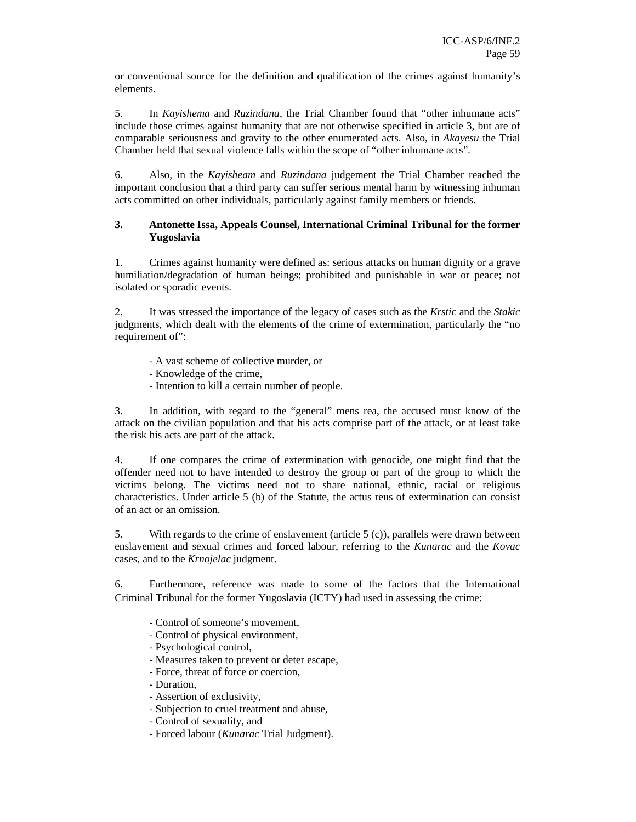or conventional source for the definition and qualification of the crimes against humanity's elements.

5. In *Kayishema* and *Ruzindana*, the Trial Chamber found that "other inhumane acts" include those crimes against humanity that are not otherwise specified in article 3, but are of comparable seriousness and gravity to the other enumerated acts. Also, in *Akayesu* the Trial Chamber held that sexual violence falls within the scope of "other inhumane acts".

6. Also, in the *Kayisheam* and *Ruzindana* judgement the Trial Chamber reached the important conclusion that a third party can suffer serious mental harm by witnessing inhuman acts committed on other individuals, particularly against family members or friends.

#### **3. Antonette Issa, Appeals Counsel, International Criminal Tribunal for the former Yugoslavia**

1. Crimes against humanity were defined as: serious attacks on human dignity or a grave humiliation/degradation of human beings; prohibited and punishable in war or peace; not isolated or sporadic events.

2. It was stressed the importance of the legacy of cases such as the *Krstic* and the *Stakic*  judgments, which dealt with the elements of the crime of extermination, particularly the "no requirement of":

- A vast scheme of collective murder, or
- Knowledge of the crime,
- Intention to kill a certain number of people.

3. In addition, with regard to the "general" mens rea, the accused must know of the attack on the civilian population and that his acts comprise part of the attack, or at least take the risk his acts are part of the attack.

4. If one compares the crime of extermination with genocide, one might find that the offender need not to have intended to destroy the group or part of the group to which the victims belong. The victims need not to share national, ethnic, racial or religious characteristics. Under article 5 (b) of the Statute, the actus reus of extermination can consist of an act or an omission.

5. With regards to the crime of enslavement (article 5 (c)), parallels were drawn between enslavement and sexual crimes and forced labour, referring to the *Kunarac* and the *Kovac* cases, and to the *Krnojelac* judgment.

6. Furthermore, reference was made to some of the factors that the International Criminal Tribunal for the former Yugoslavia (ICTY) had used in assessing the crime:

- Control of someone's movement,
- Control of physical environment,
- Psychological control,
- Measures taken to prevent or deter escape,
- Force, threat of force or coercion,
- Duration,
- Assertion of exclusivity,
- Subjection to cruel treatment and abuse,
- Control of sexuality, and
- Forced labour (*Kunarac* Trial Judgment).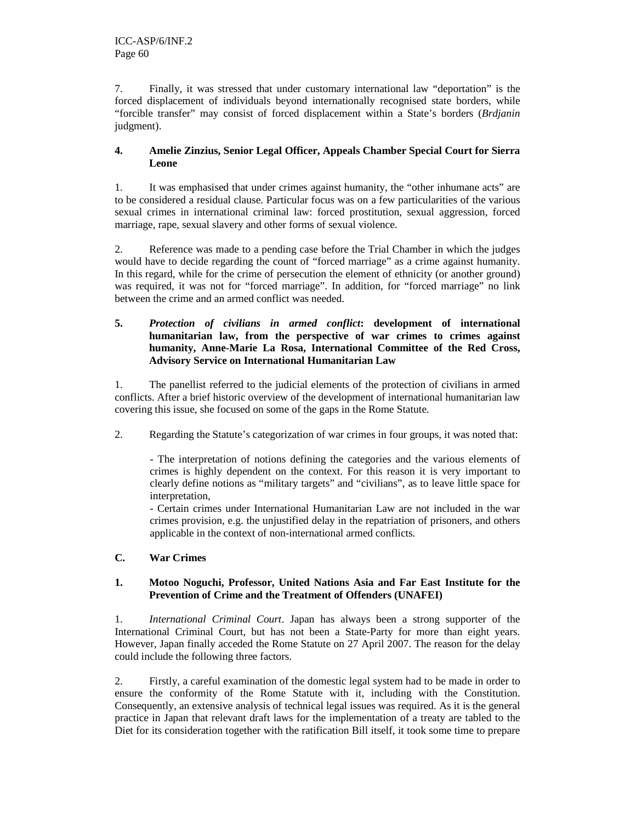7. Finally, it was stressed that under customary international law "deportation" is the forced displacement of individuals beyond internationally recognised state borders, while "forcible transfer" may consist of forced displacement within a State's borders (*Brdjanin* judgment).

### **4. Amelie Zinzius, Senior Legal Officer, Appeals Chamber Special Court for Sierra Leone**

1. It was emphasised that under crimes against humanity, the "other inhumane acts" are to be considered a residual clause. Particular focus was on a few particularities of the various sexual crimes in international criminal law: forced prostitution, sexual aggression, forced marriage, rape, sexual slavery and other forms of sexual violence.

2. Reference was made to a pending case before the Trial Chamber in which the judges would have to decide regarding the count of "forced marriage" as a crime against humanity. In this regard, while for the crime of persecution the element of ethnicity (or another ground) was required, it was not for "forced marriage". In addition, for "forced marriage" no link between the crime and an armed conflict was needed.

### **5.** *Protection of civilians in armed conflict***: development of international humanitarian law, from the perspective of war crimes to crimes against humanity, Anne-Marie La Rosa, International Committee of the Red Cross, Advisory Service on International Humanitarian Law**

1. The panellist referred to the judicial elements of the protection of civilians in armed conflicts. After a brief historic overview of the development of international humanitarian law covering this issue, she focused on some of the gaps in the Rome Statute.

2. Regarding the Statute's categorization of war crimes in four groups, it was noted that:

- The interpretation of notions defining the categories and the various elements of crimes is highly dependent on the context. For this reason it is very important to clearly define notions as "military targets" and "civilians", as to leave little space for interpretation,

- Certain crimes under International Humanitarian Law are not included in the war crimes provision, e.g. the unjustified delay in the repatriation of prisoners, and others applicable in the context of non-international armed conflicts.

## **C. War Crimes**

### **1. Motoo Noguchi, Professor, United Nations Asia and Far East Institute for the Prevention of Crime and the Treatment of Offenders (UNAFEI)**

1. *International Criminal Court*. Japan has always been a strong supporter of the International Criminal Court, but has not been a State-Party for more than eight years. However, Japan finally acceded the Rome Statute on 27 April 2007. The reason for the delay could include the following three factors.

2. Firstly, a careful examination of the domestic legal system had to be made in order to ensure the conformity of the Rome Statute with it, including with the Constitution. Consequently, an extensive analysis of technical legal issues was required. As it is the general practice in Japan that relevant draft laws for the implementation of a treaty are tabled to the Diet for its consideration together with the ratification Bill itself, it took some time to prepare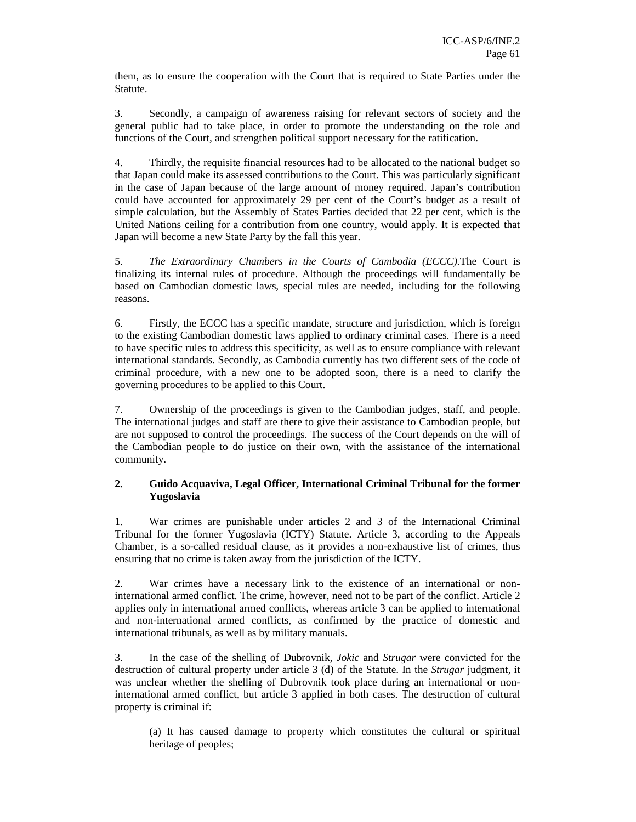them, as to ensure the cooperation with the Court that is required to State Parties under the Statute.

3. Secondly, a campaign of awareness raising for relevant sectors of society and the general public had to take place, in order to promote the understanding on the role and functions of the Court, and strengthen political support necessary for the ratification.

4. Thirdly, the requisite financial resources had to be allocated to the national budget so that Japan could make its assessed contributions to the Court. This was particularly significant in the case of Japan because of the large amount of money required. Japan's contribution could have accounted for approximately 29 per cent of the Court's budget as a result of simple calculation, but the Assembly of States Parties decided that 22 per cent, which is the United Nations ceiling for a contribution from one country, would apply. It is expected that Japan will become a new State Party by the fall this year.

5. *The Extraordinary Chambers in the Courts of Cambodia (ECCC).*The Court is finalizing its internal rules of procedure. Although the proceedings will fundamentally be based on Cambodian domestic laws, special rules are needed, including for the following reasons.

6. Firstly, the ECCC has a specific mandate, structure and jurisdiction, which is foreign to the existing Cambodian domestic laws applied to ordinary criminal cases. There is a need to have specific rules to address this specificity, as well as to ensure compliance with relevant international standards. Secondly, as Cambodia currently has two different sets of the code of criminal procedure, with a new one to be adopted soon, there is a need to clarify the governing procedures to be applied to this Court.

7. Ownership of the proceedings is given to the Cambodian judges, staff, and people. The international judges and staff are there to give their assistance to Cambodian people, but are not supposed to control the proceedings. The success of the Court depends on the will of the Cambodian people to do justice on their own, with the assistance of the international community.

### **2. Guido Acquaviva, Legal Officer, International Criminal Tribunal for the former Yugoslavia**

1. War crimes are punishable under articles 2 and 3 of the International Criminal Tribunal for the former Yugoslavia (ICTY) Statute. Article 3, according to the Appeals Chamber, is a so-called residual clause, as it provides a non-exhaustive list of crimes, thus ensuring that no crime is taken away from the jurisdiction of the ICTY.

2. War crimes have a necessary link to the existence of an international or noninternational armed conflict. The crime, however, need not to be part of the conflict. Article 2 applies only in international armed conflicts, whereas article 3 can be applied to international and non-international armed conflicts, as confirmed by the practice of domestic and international tribunals, as well as by military manuals.

3. In the case of the shelling of Dubrovnik, *Jokic* and *Strugar* were convicted for the destruction of cultural property under article 3 (d) of the Statute. In the *Strugar* judgment, it was unclear whether the shelling of Dubrovnik took place during an international or noninternational armed conflict, but article 3 applied in both cases. The destruction of cultural property is criminal if:

(a) It has caused damage to property which constitutes the cultural or spiritual heritage of peoples;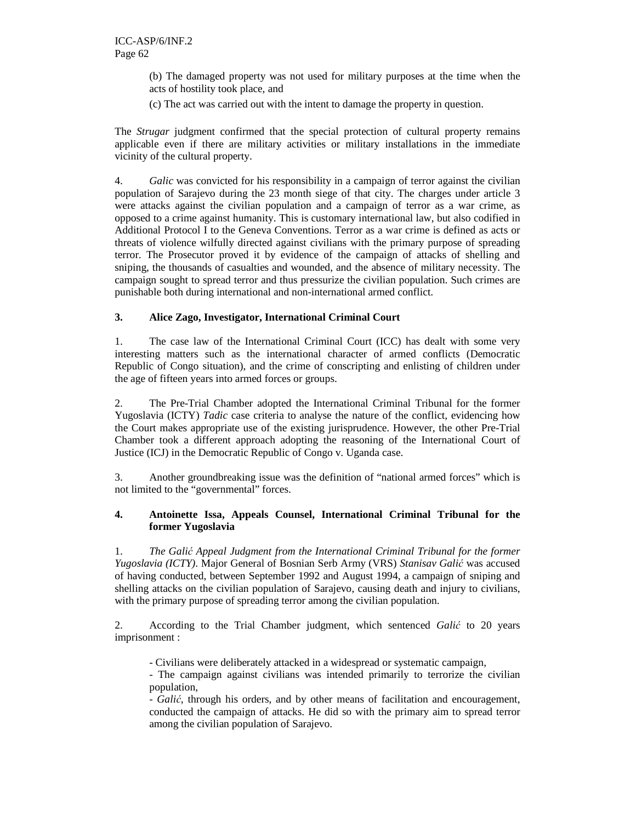(b) The damaged property was not used for military purposes at the time when the acts of hostility took place, and

(c) The act was carried out with the intent to damage the property in question.

The *Strugar* judgment confirmed that the special protection of cultural property remains applicable even if there are military activities or military installations in the immediate vicinity of the cultural property.

4. *Galic* was convicted for his responsibility in a campaign of terror against the civilian population of Sarajevo during the 23 month siege of that city. The charges under article 3 were attacks against the civilian population and a campaign of terror as a war crime, as opposed to a crime against humanity. This is customary international law, but also codified in Additional Protocol I to the Geneva Conventions. Terror as a war crime is defined as acts or threats of violence wilfully directed against civilians with the primary purpose of spreading terror. The Prosecutor proved it by evidence of the campaign of attacks of shelling and sniping, the thousands of casualties and wounded, and the absence of military necessity. The campaign sought to spread terror and thus pressurize the civilian population. Such crimes are punishable both during international and non-international armed conflict.

## **3. Alice Zago, Investigator, International Criminal Court**

1. The case law of the International Criminal Court (ICC) has dealt with some very interesting matters such as the international character of armed conflicts (Democratic Republic of Congo situation), and the crime of conscripting and enlisting of children under the age of fifteen years into armed forces or groups.

2. The Pre-Trial Chamber adopted the International Criminal Tribunal for the former Yugoslavia (ICTY) *Tadic* case criteria to analyse the nature of the conflict, evidencing how the Court makes appropriate use of the existing jurisprudence. However, the other Pre-Trial Chamber took a different approach adopting the reasoning of the International Court of Justice (ICJ) in the Democratic Republic of Congo v. Uganda case.

3. Another groundbreaking issue was the definition of "national armed forces" which is not limited to the "governmental" forces.

#### **4. Antoinette Issa, Appeals Counsel, International Criminal Tribunal for the former Yugoslavia**

1. *The Gali*ć *Appeal Judgment from the International Criminal Tribunal for the former Yugoslavia (ICTY)*. Major General of Bosnian Serb Army (VRS) *Stanisav Gali*ć was accused of having conducted, between September 1992 and August 1994, a campaign of sniping and shelling attacks on the civilian population of Sarajevo, causing death and injury to civilians, with the primary purpose of spreading terror among the civilian population.

2. According to the Trial Chamber judgment, which sentenced *Gali*ć to 20 years imprisonment :

- Civilians were deliberately attacked in a widespread or systematic campaign,

- The campaign against civilians was intended primarily to terrorize the civilian population,

- *Gali*ć, through his orders, and by other means of facilitation and encouragement, conducted the campaign of attacks. He did so with the primary aim to spread terror among the civilian population of Sarajevo.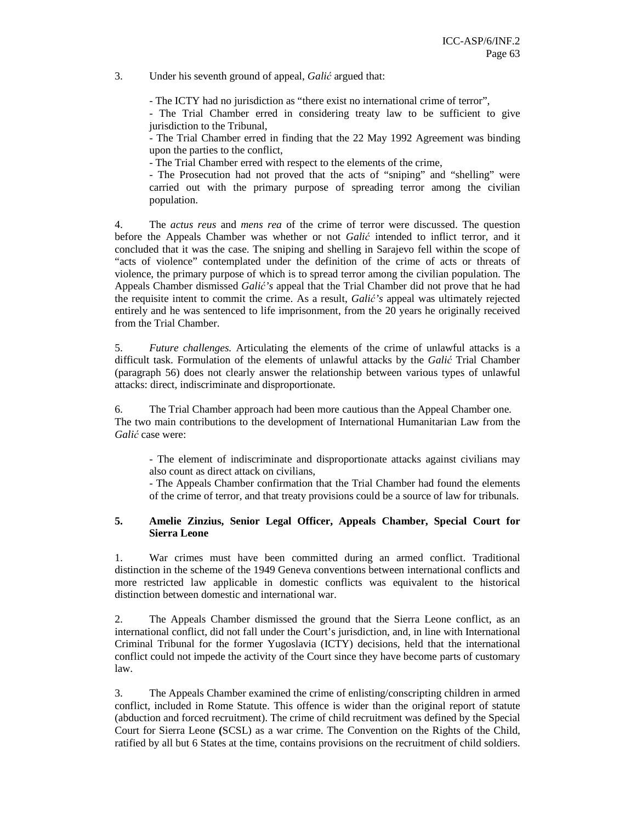3. Under his seventh ground of appeal, *Gali*ć argued that:

- The ICTY had no jurisdiction as "there exist no international crime of terror",

- The Trial Chamber erred in considering treaty law to be sufficient to give jurisdiction to the Tribunal,

- The Trial Chamber erred in finding that the 22 May 1992 Agreement was binding upon the parties to the conflict,

- The Trial Chamber erred with respect to the elements of the crime,

- The Prosecution had not proved that the acts of "sniping" and "shelling" were carried out with the primary purpose of spreading terror among the civilian population.

4. The *actus reus* and *mens rea* of the crime of terror were discussed. The question before the Appeals Chamber was whether or not *Gali*ć intended to inflict terror, and it concluded that it was the case. The sniping and shelling in Sarajevo fell within the scope of "acts of violence" contemplated under the definition of the crime of acts or threats of violence, the primary purpose of which is to spread terror among the civilian population. The Appeals Chamber dismissed *Gali*ć*'s* appeal that the Trial Chamber did not prove that he had the requisite intent to commit the crime. As a result, *Gali*ć*'s* appeal was ultimately rejected entirely and he was sentenced to life imprisonment, from the 20 years he originally received from the Trial Chamber.

5. *Future challenges.* Articulating the elements of the crime of unlawful attacks is a difficult task. Formulation of the elements of unlawful attacks by the *Gali*ć Trial Chamber (paragraph 56) does not clearly answer the relationship between various types of unlawful attacks: direct, indiscriminate and disproportionate.

6. The Trial Chamber approach had been more cautious than the Appeal Chamber one. The two main contributions to the development of International Humanitarian Law from the *Gali*ć case were:

- The element of indiscriminate and disproportionate attacks against civilians may also count as direct attack on civilians,

- The Appeals Chamber confirmation that the Trial Chamber had found the elements of the crime of terror, and that treaty provisions could be a source of law for tribunals.

### **5. Amelie Zinzius, Senior Legal Officer, Appeals Chamber, Special Court for Sierra Leone**

1. War crimes must have been committed during an armed conflict. Traditional distinction in the scheme of the 1949 Geneva conventions between international conflicts and more restricted law applicable in domestic conflicts was equivalent to the historical distinction between domestic and international war.

2. The Appeals Chamber dismissed the ground that the Sierra Leone conflict, as an international conflict, did not fall under the Court's jurisdiction, and, in line with International Criminal Tribunal for the former Yugoslavia (ICTY) decisions, held that the international conflict could not impede the activity of the Court since they have become parts of customary law.

3. The Appeals Chamber examined the crime of enlisting/conscripting children in armed conflict, included in Rome Statute. This offence is wider than the original report of statute (abduction and forced recruitment). The crime of child recruitment was defined by the Special Court for Sierra Leone **(**SCSL) as a war crime. The Convention on the Rights of the Child, ratified by all but 6 States at the time, contains provisions on the recruitment of child soldiers.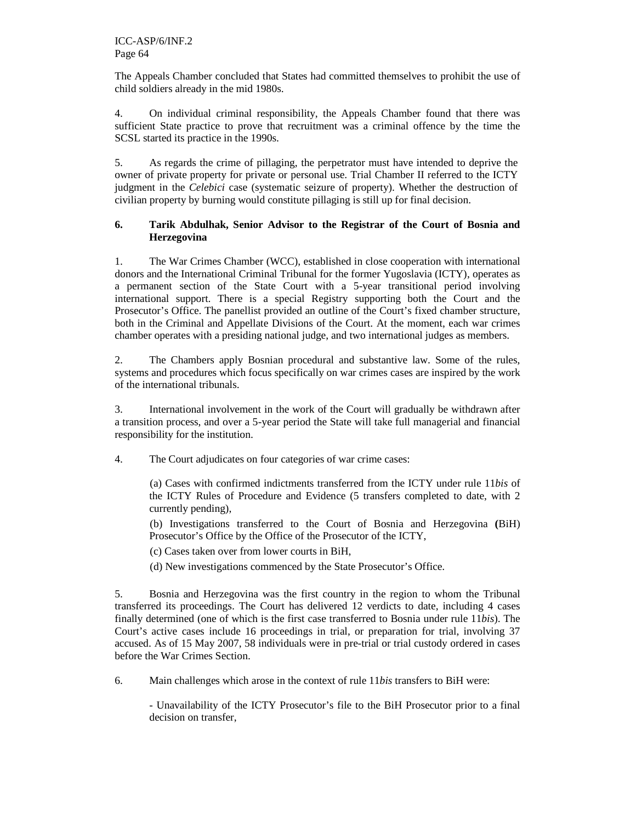The Appeals Chamber concluded that States had committed themselves to prohibit the use of child soldiers already in the mid 1980s.

4. On individual criminal responsibility, the Appeals Chamber found that there was sufficient State practice to prove that recruitment was a criminal offence by the time the SCSL started its practice in the 1990s.

5. As regards the crime of pillaging, the perpetrator must have intended to deprive the owner of private property for private or personal use. Trial Chamber II referred to the ICTY judgment in the *Celebici* case (systematic seizure of property). Whether the destruction of civilian property by burning would constitute pillaging is still up for final decision.

### **6. Tarik Abdulhak, Senior Advisor to the Registrar of the Court of Bosnia and Herzegovina**

1. The War Crimes Chamber (WCC), established in close cooperation with international donors and the International Criminal Tribunal for the former Yugoslavia (ICTY), operates as a permanent section of the State Court with a 5-year transitional period involving international support. There is a special Registry supporting both the Court and the Prosecutor's Office. The panellist provided an outline of the Court's fixed chamber structure, both in the Criminal and Appellate Divisions of the Court. At the moment, each war crimes chamber operates with a presiding national judge, and two international judges as members.

2. The Chambers apply Bosnian procedural and substantive law. Some of the rules, systems and procedures which focus specifically on war crimes cases are inspired by the work of the international tribunals.

3. International involvement in the work of the Court will gradually be withdrawn after a transition process, and over a 5-year period the State will take full managerial and financial responsibility for the institution.

4. The Court adjudicates on four categories of war crime cases:

 (a) Cases with confirmed indictments transferred from the ICTY under rule 11*bis* of the ICTY Rules of Procedure and Evidence (5 transfers completed to date, with 2 currently pending),

 (b) Investigations transferred to the Court of Bosnia and Herzegovina **(**BiH) Prosecutor's Office by the Office of the Prosecutor of the ICTY,

(c) Cases taken over from lower courts in BiH,

(d) New investigations commenced by the State Prosecutor's Office.

5. Bosnia and Herzegovina was the first country in the region to whom the Tribunal transferred its proceedings. The Court has delivered 12 verdicts to date, including 4 cases finally determined (one of which is the first case transferred to Bosnia under rule 11*bis*). The Court's active cases include 16 proceedings in trial, or preparation for trial, involving 37 accused. As of 15 May 2007, 58 individuals were in pre-trial or trial custody ordered in cases before the War Crimes Section.

6. Main challenges which arose in the context of rule 11*bis* transfers to BiH were:

- Unavailability of the ICTY Prosecutor's file to the BiH Prosecutor prior to a final decision on transfer,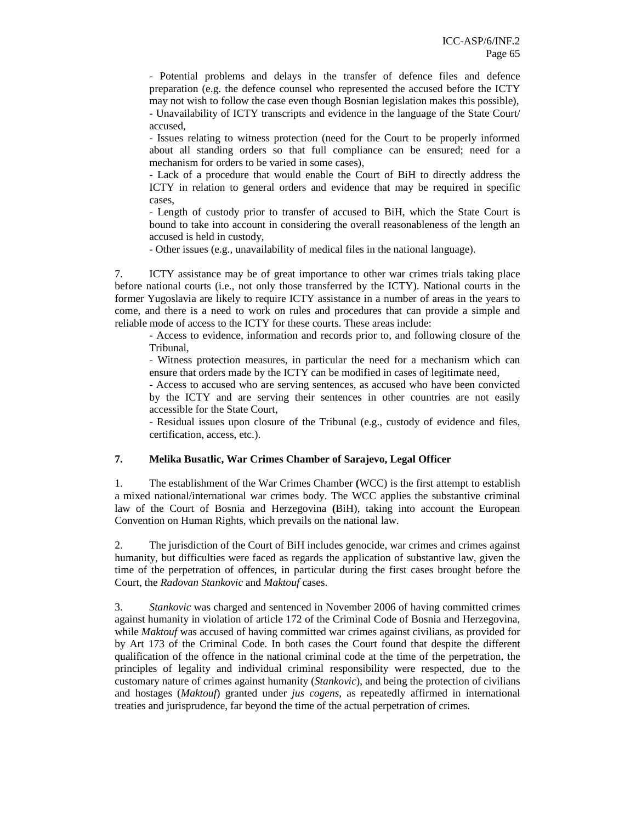- Potential problems and delays in the transfer of defence files and defence preparation (e.g. the defence counsel who represented the accused before the ICTY may not wish to follow the case even though Bosnian legislation makes this possible), - Unavailability of ICTY transcripts and evidence in the language of the State Court/ accused,

- Issues relating to witness protection (need for the Court to be properly informed about all standing orders so that full compliance can be ensured; need for a mechanism for orders to be varied in some cases),

- Lack of a procedure that would enable the Court of BiH to directly address the ICTY in relation to general orders and evidence that may be required in specific cases,

- Length of custody prior to transfer of accused to BiH, which the State Court is bound to take into account in considering the overall reasonableness of the length an accused is held in custody,

- Other issues (e.g., unavailability of medical files in the national language).

7. ICTY assistance may be of great importance to other war crimes trials taking place before national courts (i.e., not only those transferred by the ICTY). National courts in the former Yugoslavia are likely to require ICTY assistance in a number of areas in the years to come, and there is a need to work on rules and procedures that can provide a simple and reliable mode of access to the ICTY for these courts. These areas include:

- Access to evidence, information and records prior to, and following closure of the Tribunal,

- Witness protection measures, in particular the need for a mechanism which can ensure that orders made by the ICTY can be modified in cases of legitimate need,

- Access to accused who are serving sentences, as accused who have been convicted by the ICTY and are serving their sentences in other countries are not easily accessible for the State Court,

- Residual issues upon closure of the Tribunal (e.g., custody of evidence and files, certification, access, etc.).

### **7. Melika Busatlic, War Crimes Chamber of Sarajevo, Legal Officer**

1. The establishment of the War Crimes Chamber **(**WCC) is the first attempt to establish a mixed national/international war crimes body. The WCC applies the substantive criminal law of the Court of Bosnia and Herzegovina **(**BiH), taking into account the European Convention on Human Rights, which prevails on the national law.

2. The jurisdiction of the Court of BiH includes genocide, war crimes and crimes against humanity, but difficulties were faced as regards the application of substantive law, given the time of the perpetration of offences, in particular during the first cases brought before the Court, the *Radovan Stankovic* and *Maktouf* cases.

3. *Stankovic* was charged and sentenced in November 2006 of having committed crimes against humanity in violation of article 172 of the Criminal Code of Bosnia and Herzegovina, while *Maktouf* was accused of having committed war crimes against civilians, as provided for by Art 173 of the Criminal Code. In both cases the Court found that despite the different qualification of the offence in the national criminal code at the time of the perpetration, the principles of legality and individual criminal responsibility were respected, due to the customary nature of crimes against humanity (*Stankovic*), and being the protection of civilians and hostages (*Maktouf*) granted under *jus cogens*, as repeatedly affirmed in international treaties and jurisprudence, far beyond the time of the actual perpetration of crimes.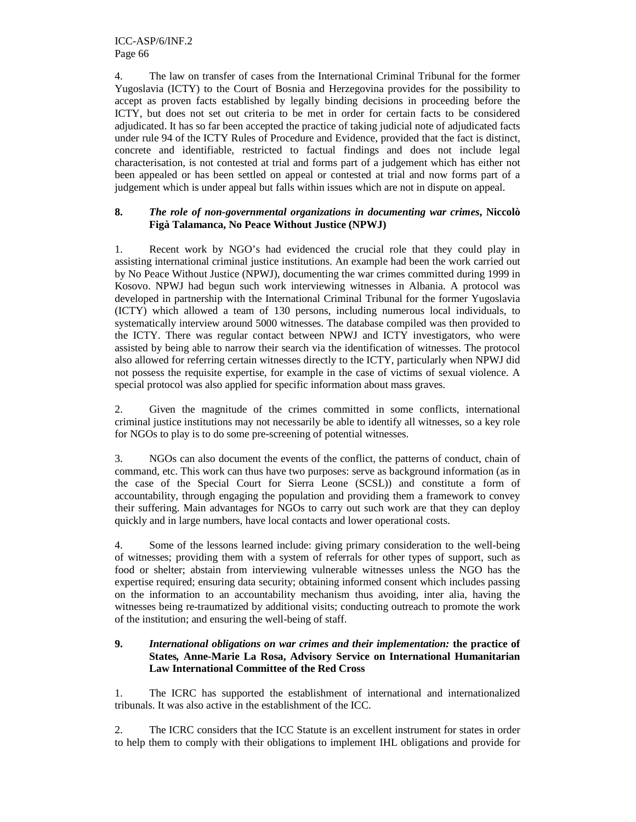4. The law on transfer of cases from the International Criminal Tribunal for the former Yugoslavia (ICTY) to the Court of Bosnia and Herzegovina provides for the possibility to accept as proven facts established by legally binding decisions in proceeding before the ICTY, but does not set out criteria to be met in order for certain facts to be considered adjudicated. It has so far been accepted the practice of taking judicial note of adjudicated facts under rule 94 of the ICTY Rules of Procedure and Evidence, provided that the fact is distinct, concrete and identifiable, restricted to factual findings and does not include legal characterisation, is not contested at trial and forms part of a judgement which has either not been appealed or has been settled on appeal or contested at trial and now forms part of a judgement which is under appeal but falls within issues which are not in dispute on appeal.

### **8.** *The role of non-governmental organizations in documenting war crimes***, Niccolò Figà Talamanca, No Peace Without Justice (NPWJ)**

1. Recent work by NGO's had evidenced the crucial role that they could play in assisting international criminal justice institutions. An example had been the work carried out by No Peace Without Justice (NPWJ), documenting the war crimes committed during 1999 in Kosovo. NPWJ had begun such work interviewing witnesses in Albania. A protocol was developed in partnership with the International Criminal Tribunal for the former Yugoslavia (ICTY) which allowed a team of 130 persons, including numerous local individuals, to systematically interview around 5000 witnesses. The database compiled was then provided to the ICTY. There was regular contact between NPWJ and ICTY investigators, who were assisted by being able to narrow their search via the identification of witnesses. The protocol also allowed for referring certain witnesses directly to the ICTY, particularly when NPWJ did not possess the requisite expertise, for example in the case of victims of sexual violence. A special protocol was also applied for specific information about mass graves.

2. Given the magnitude of the crimes committed in some conflicts, international criminal justice institutions may not necessarily be able to identify all witnesses, so a key role for NGOs to play is to do some pre-screening of potential witnesses.

3. NGOs can also document the events of the conflict, the patterns of conduct, chain of command, etc. This work can thus have two purposes: serve as background information (as in the case of the Special Court for Sierra Leone (SCSL)) and constitute a form of accountability, through engaging the population and providing them a framework to convey their suffering. Main advantages for NGOs to carry out such work are that they can deploy quickly and in large numbers, have local contacts and lower operational costs.

4. Some of the lessons learned include: giving primary consideration to the well-being of witnesses; providing them with a system of referrals for other types of support, such as food or shelter; abstain from interviewing vulnerable witnesses unless the NGO has the expertise required; ensuring data security; obtaining informed consent which includes passing on the information to an accountability mechanism thus avoiding, inter alia, having the witnesses being re-traumatized by additional visits; conducting outreach to promote the work of the institution; and ensuring the well-being of staff.

#### **9.** *International obligations on war crimes and their implementation:* **the practice of States***,* **Anne-Marie La Rosa, Advisory Service on International Humanitarian Law International Committee of the Red Cross**

1. The ICRC has supported the establishment of international and internationalized tribunals. It was also active in the establishment of the ICC.

2. The ICRC considers that the ICC Statute is an excellent instrument for states in order to help them to comply with their obligations to implement IHL obligations and provide for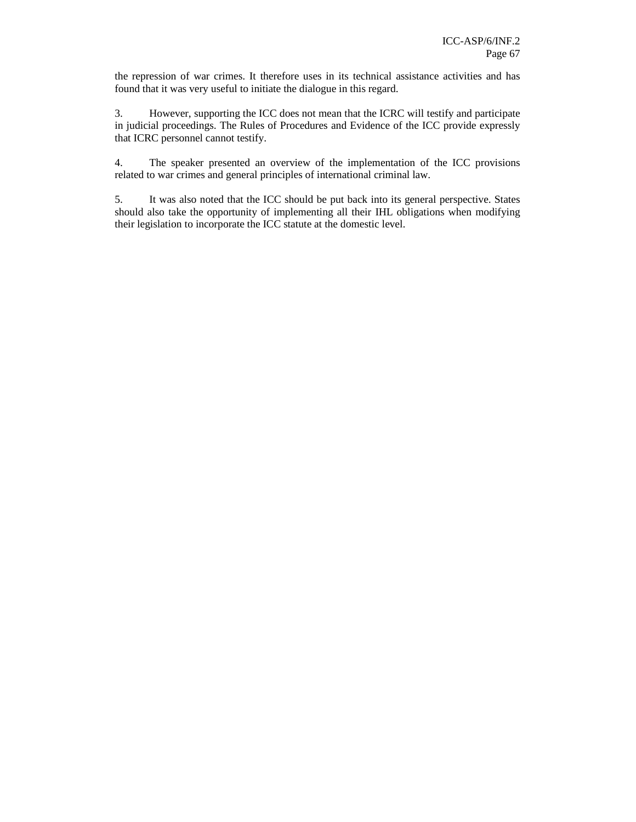the repression of war crimes. It therefore uses in its technical assistance activities and has found that it was very useful to initiate the dialogue in this regard.

3. However, supporting the ICC does not mean that the ICRC will testify and participate in judicial proceedings. The Rules of Procedures and Evidence of the ICC provide expressly that ICRC personnel cannot testify.

4. The speaker presented an overview of the implementation of the ICC provisions related to war crimes and general principles of international criminal law.

5. It was also noted that the ICC should be put back into its general perspective. States should also take the opportunity of implementing all their IHL obligations when modifying their legislation to incorporate the ICC statute at the domestic level.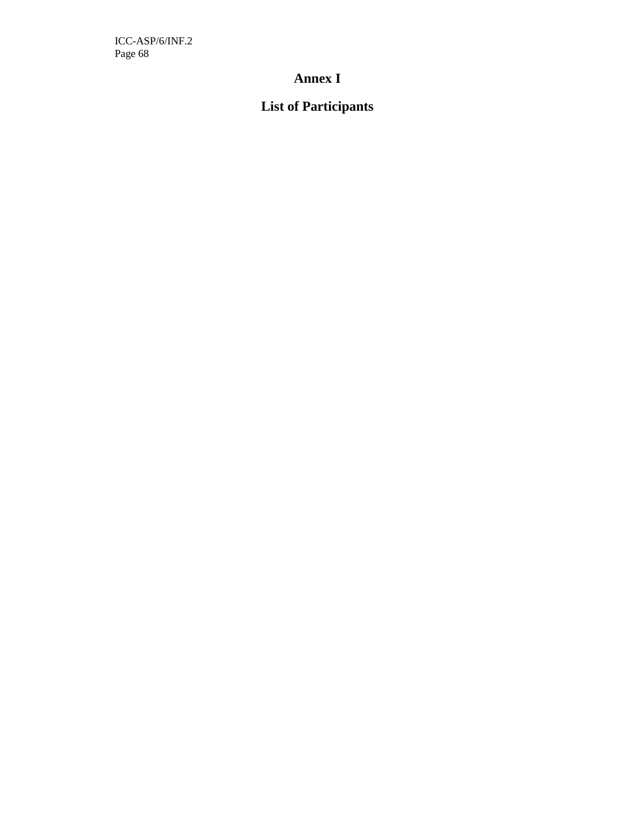ICC-ASP/6/INF.2 Page 68

## **Annex I**

# **List of Participants**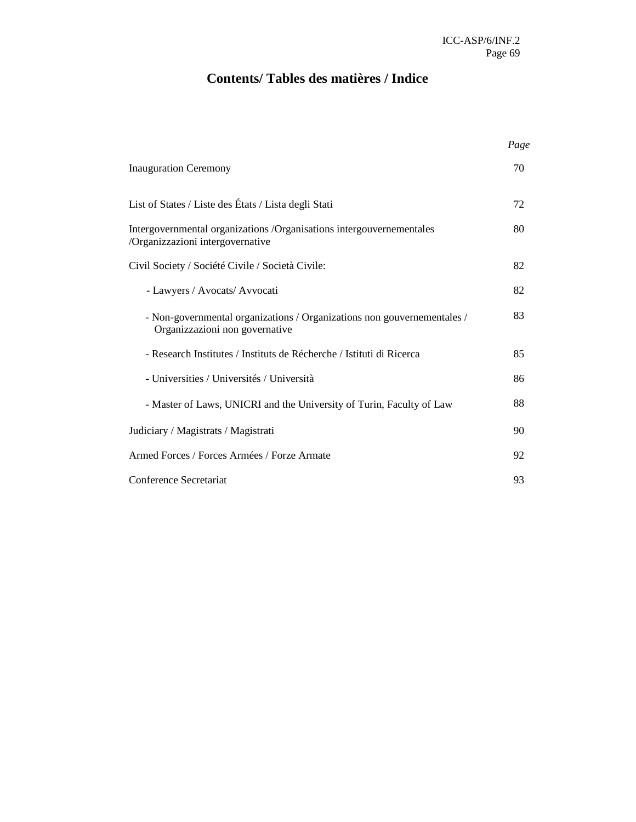# **Contents/ Tables des matières / Indice**

|                                                                                                           | Page |
|-----------------------------------------------------------------------------------------------------------|------|
| <b>Inauguration Ceremony</b>                                                                              | 70   |
| List of States / Liste des États / Lista degli Stati                                                      | 72   |
| Intergovernmental organizations /Organisations intergouvernementales<br>/Organizzazioni intergovernative  | 80   |
| Civil Society / Société Civile / Società Civile:                                                          | 82   |
| - Lawyers / Avocats/ Avvocati                                                                             | 82   |
| - Non-governmental organizations / Organizations non gouvernementales /<br>Organizzazioni non governative | 83   |
| - Research Institutes / Instituts de Récherche / Istituti di Ricerca                                      | 85   |
| - Universities / Universités / Università                                                                 | 86   |
| - Master of Laws, UNICRI and the University of Turin, Faculty of Law                                      | 88   |
| Judiciary / Magistrats / Magistrati                                                                       | 90   |
| Armed Forces / Forces Armées / Forze Armate                                                               | 92   |
| Conference Secretariat                                                                                    | 93   |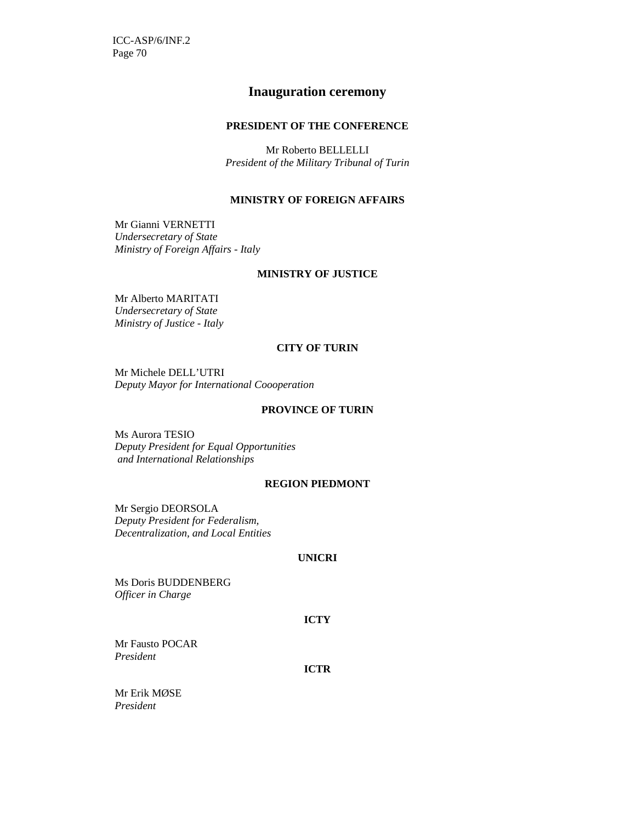ICC-ASP/6/INF.2 Page 70

## **Inauguration ceremony**

#### **PRESIDENT OF THE CONFERENCE**

Mr Roberto BELLELLI *President of the Military Tribunal of Turin* 

#### **MINISTRY OF FOREIGN AFFAIRS**

Mr Gianni VERNETTI *Undersecretary of State Ministry of Foreign Affairs - Italy* 

#### **MINISTRY OF JUSTICE**

Mr Alberto MARITATI *Undersecretary of State Ministry of Justice - Italy* 

### **CITY OF TURIN**

Mr Michele DELL'UTRI *Deputy Mayor for International Coooperation* 

#### **PROVINCE OF TURIN**

Ms Aurora TESIO *Deputy President for Equal Opportunities and International Relationships* 

#### **REGION PIEDMONT**

Mr Sergio DEORSOLA *Deputy President for Federalism, Decentralization, and Local Entities* 

#### **UNICRI**

Ms Doris BUDDENBERG *Officer in Charge* 

#### **ICTY**

Mr Fausto POCAR *President* 

**ICTR** 

Mr Erik MØSE *President*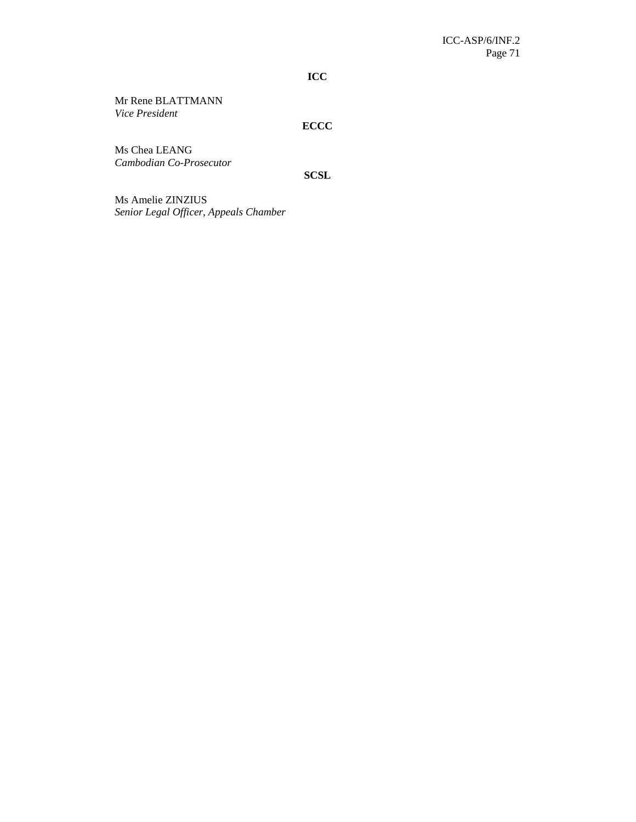**ICC** 

Mr Rene BLATTMANN *Vice President* 

## **ECCC**

Ms Chea LEANG *Cambodian Co-Prosecutor* 

**SCSL** 

Ms Amelie ZINZIUS *Senior Legal Officer, Appeals Chamber*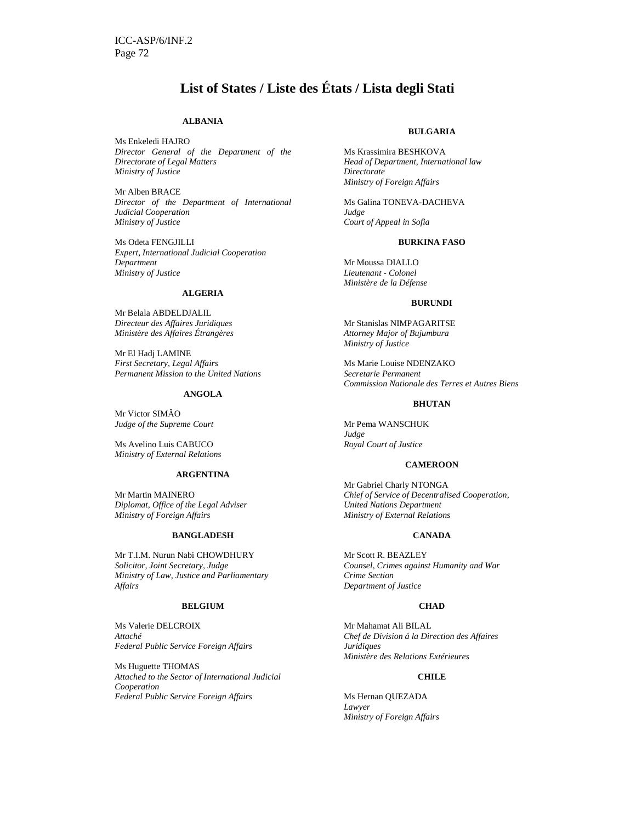## **List of States / Liste des États / Lista degli Stati**

#### **ALBANIA**

Ms Enkeledi HAJRO *Director General of the Department of the Directorate of Legal Matters Ministry of Justice* 

Mr Alben BRACE *Director of the Department of International Judicial Cooperation Ministry of Justice* 

Ms Odeta FENGJILLI *Expert, International Judicial Cooperation Department Ministry of Justice* 

#### **ALGERIA**

Mr Belala ABDELDJALIL *Directeur des Affaires Juridiques Ministère des Affaires Étrangères* 

Mr El Hadj LAMINE *First Secretary, Legal Affairs Permanent Mission to the United Nations* 

#### **ANGOLA**

Mr Victor SIMĂO *Judge of the Supreme Court* 

Ms Avelino Luis CABUCO *Ministry of External Relations* 

#### **ARGENTINA**

Mr Martin MAINERO *Diplomat, Office of the Legal Adviser Ministry of Foreign Affairs* 

#### **BANGLADESH**

Mr T.I.M. Nurun Nabi CHOWDHURY *Solicitor, Joint Secretary, Judge Ministry of Law, Justice and Parliamentary Affairs* 

#### **BELGIUM**

Ms Valerie DELCROIX *Attaché Federal Public Service Foreign Affairs* 

Ms Huguette THOMAS *Attached to the Sector of International Judicial Cooperation Federal Public Service Foreign Affairs* 

#### **BULGARIA**

Ms Krassimira BESHKOVA *Head of Department, International law Directorate Ministry of Foreign Affairs* 

Ms Galina TONEVA-DACHEVA *Judge Court of Appeal in Sofia* 

#### **BURKINA FASO**

Mr Moussa DIALLO *Lieutenant - Colonel Ministère de la Défense* 

#### **BURUNDI**

Mr Stanislas NIMPAGARITSE *Attorney Major of Bujumbura Ministry of Justice* 

Ms Marie Louise NDENZAKO *Secretarie Permanent Commission Nationale des Terres et Autres Biens* 

#### **BHUTAN**

Mr Pema WANSCHUK *Judge Royal Court of Justice*

#### **CAMEROON**

Mr Gabriel Charly NTONGA *Chief of Service of Decentralised Cooperation, United Nations Department Ministry of External Relations* 

#### **CANADA**

Mr Scott R. BEAZLEY *Counsel, Crimes against Humanity and War Crime Section Department of Justice* 

#### **CHAD**

Mr Mahamat Ali BILAL *Chef de Division á la Direction des Affaires Juridiques Ministère des Relations Extérieures* 

#### **CHILE**

Ms Hernan QUEZADA *Lawyer Ministry of Foreign Affairs*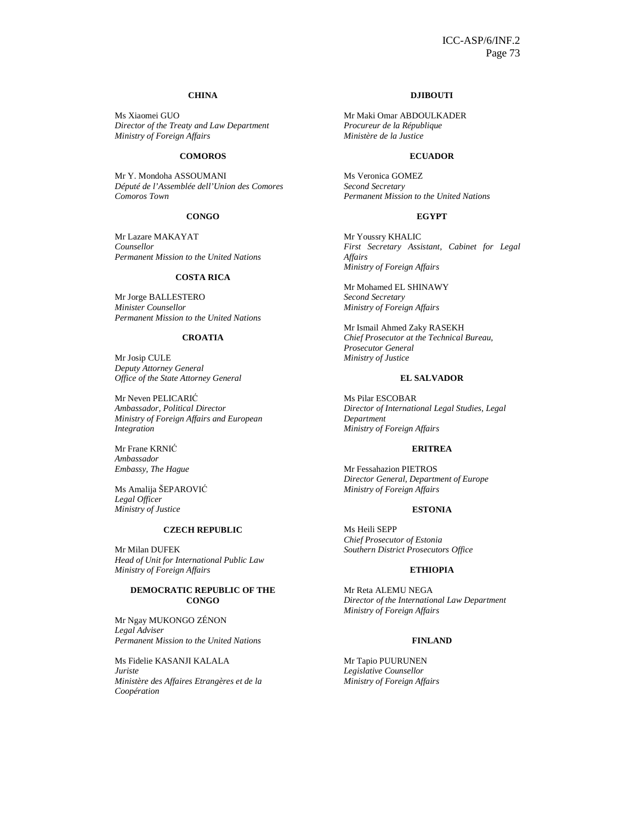#### **CHINA**

Ms Xiaomei GUO *Director of the Treaty and Law Department Ministry of Foreign Affairs* 

## **COMOROS**

Mr Y. Mondoha ASSOUMANI *Député de l'Assemblée dell'Union des Comores Comoros Town* 

#### **CONGO**

Mr Lazare MAKAYAT *Counsellor Permanent Mission to the United Nations* 

## **COSTA RICA**

Mr Jorge BALLESTERO *Minister Counsellor Permanent Mission to the United Nations* 

#### **CROATIA**

Mr Josip CULE *Deputy Attorney General Office of the State Attorney General* 

Mr Neven PELICARIĆ *Ambassador, Political Director Ministry of Foreign Affairs and European Integration* 

Mr Frane KRNIĆ *Ambassador Embassy, The Hague* 

Ms Amalija ŠEPAROVIĆ *Legal Officer Ministry of Justice* 

## **CZECH REPUBLIC**

Mr Milan DUFEK *Head of Unit for International Public Law Ministry of Foreign Affairs* 

## **DEMOCRATIC REPUBLIC OF THE CONGO**

Mr Ngay MUKONGO ZÉNON *Legal Adviser Permanent Mission to the United Nations* 

Ms Fidelie KASANJI KALALA *Juriste Ministère des Affaires Etrangères et de la Coopération* 

#### **DJIBOUTI**

Mr Maki Omar ABDOULKADER *Procureur de la République Ministère de la Justice* 

#### **ECUADOR**

Ms Veronica GOMEZ *Second Secretary Permanent Mission to the United Nations* 

#### **EGYPT**

Mr Youssry KHALIC *First Secretary Assistant, Cabinet for Legal Affairs Ministry of Foreign Affairs* 

Mr Mohamed EL SHINAWY *Second Secretary Ministry of Foreign Affairs* 

Mr Ismail Ahmed Zaky RASEKH *Chief Prosecutor at the Technical Bureau, Prosecutor General Ministry of Justice*

#### **EL SALVADOR**

Ms Pilar ESCOBAR *Director of International Legal Studies, Legal Department Ministry of Foreign Affairs* 

### **ERITREA**

Mr Fessahazion PIETROS *Director General, Department of Europe Ministry of Foreign Affairs*

#### **ESTONIA**

Ms Heili SEPP *Chief Prosecutor of Estonia Southern District Prosecutors Office* 

#### **ETHIOPIA**

Mr Reta ALEMU NEGA *Director of the International Law Department Ministry of Foreign Affairs* 

#### **FINLAND**

Mr Tapio PUURUNEN *Legislative Counsellor Ministry of Foreign Affairs*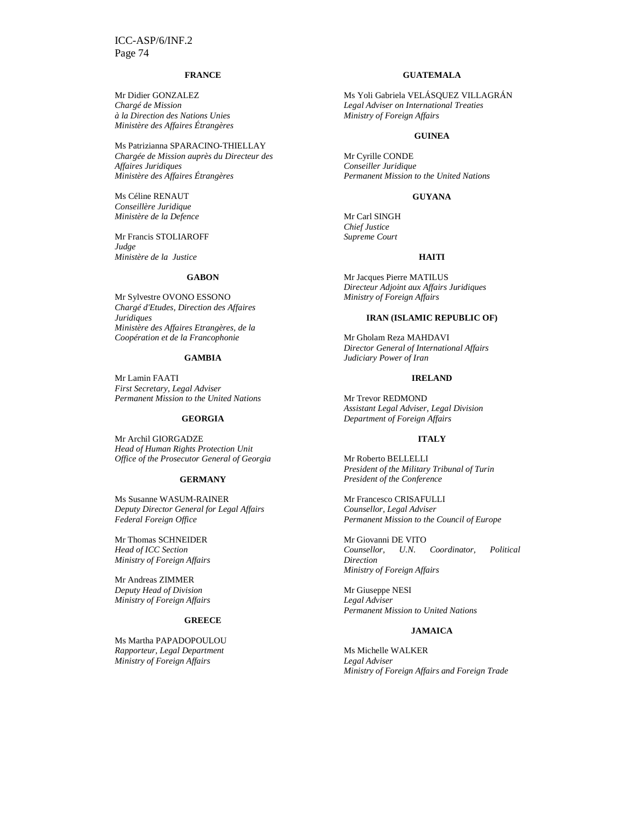#### **FRANCE**

Mr Didier GONZALEZ *Chargé de Mission à la Direction des Nations Unies Ministère des Affaires Étrangères* 

Ms Patrizianna SPARACINO-THIELLAY *Chargée de Mission auprès du Directeur des Affaires Juridiques Ministère des Affaires Étrangères* 

Ms Céline RENAUT *Conseillère Juridique Ministère de la Defence* 

Mr Francis STOLIAROFF *Judge Ministère de la Justice* 

#### **GABON**

Mr Sylvestre OVONO ESSONO *Chargé d'Etudes, Direction des Affaires Juridiques Ministère des Affaires Etrangères, de la Coopération et de la Francophonie* 

#### **GAMBIA**

Mr Lamin FAATI *First Secretary, Legal Adviser Permanent Mission to the United Nations* 

#### **GEORGIA**

Mr Archil GIORGADZE *Head of Human Rights Protection Unit Office of the Prosecutor General of Georgia* 

#### **GERMANY**

Ms Susanne WASUM-RAINER *Deputy Director General for Legal Affairs Federal Foreign Office* 

Mr Thomas SCHNEIDER *Head of ICC Section Ministry of Foreign Affairs* 

Mr Andreas ZIMMER *Deputy Head of Division Ministry of Foreign Affairs* 

## **GREECE**

Ms Martha PAPADOPOULOU *Rapporteur, Legal Department Ministry of Foreign Affairs* 

## **GUATEMALA**

Ms Yoli Gabriela VELÁSQUEZ VILLAGRÁN *Legal Adviser on International Treaties Ministry of Foreign Affairs* 

## **GUINEA**

Mr Cyrille CONDE *Conseiller Juridique Permanent Mission to the United Nations* 

## **GUYANA**

Mr Carl SINGH *Chief Justice Supreme Court* 

#### **HAITI**

Mr Jacques Pierre MATILUS *Directeur Adjoint aux Affairs Juridiques Ministry of Foreign Affairs* 

#### **IRAN (ISLAMIC REPUBLIC OF)**

Mr Gholam Reza MAHDAVI *Director General of International Affairs Judiciary Power of Iran* 

#### **IRELAND**

Mr Trevor REDMOND *Assistant Legal Adviser, Legal Division Department of Foreign Affairs* 

#### **ITALY**

Mr Roberto BELLELLI *President of the Military Tribunal of Turin President of the Conference* 

Mr Francesco CRISAFULLI *Counsellor, Legal Adviser Permanent Mission to the Council of Europe* 

Mr Giovanni DE VITO *Counsellor, U.N. Coordinator, Political Direction Ministry of Foreign Affairs* 

Mr Giuseppe NESI *Legal Adviser Permanent Mission to United Nations* 

#### **JAMAICA**

Ms Michelle WALKER *Legal Adviser Ministry of Foreign Affairs and Foreign Trade*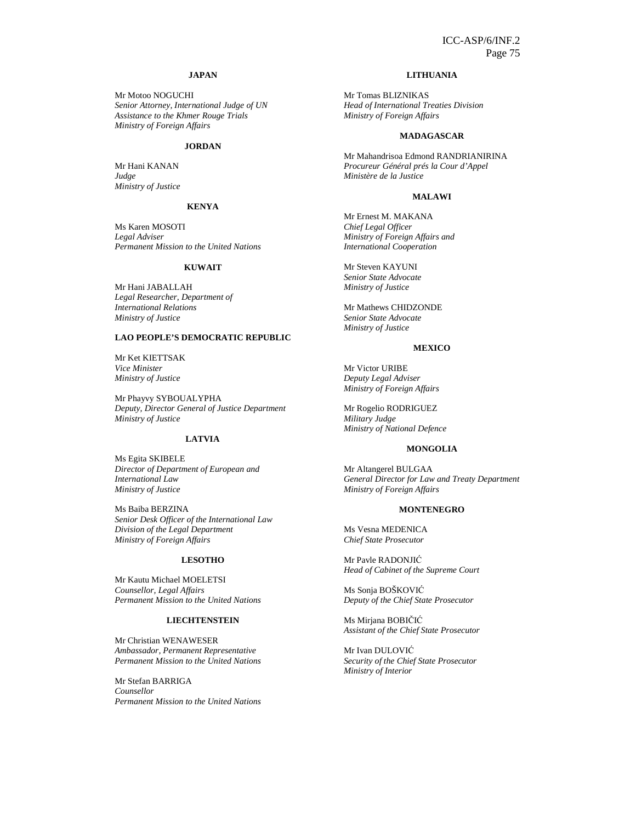## **JAPAN**

Mr Motoo NOGUCHI *Senior Attorney, International Judge of UN Assistance to the Khmer Rouge Trials Ministry of Foreign Affairs* 

#### **JORDAN**

Mr Hani KANAN *Judge Ministry of Justice* 

## **KENYA**

Ms Karen MOSOTI *Legal Adviser Permanent Mission to the United Nations* 

#### **KUWAIT**

Mr Hani JABALLAH *Legal Researcher, Department of International Relations Ministry of Justice* 

## **LAO PEOPLE'S DEMOCRATIC REPUBLIC**

Mr Ket KIETTSAK *Vice Minister Ministry of Justice* 

Mr Phayvy SYBOUALYPHA *Deputy, Director General of Justice Department Ministry of Justice* 

## **LATVIA**

Ms Egita SKIBELE *Director of Department of European and International Law Ministry of Justice* 

Ms Baiba BERZINA *Senior Desk Officer of the International Law Division of the Legal Department Ministry of Foreign Affairs* 

## **LESOTHO**

Mr Kautu Michael MOELETSI *Counsellor, Legal Affairs Permanent Mission to the United Nations*

#### **LIECHTENSTEIN**

Mr Christian WENAWESER *Ambassador, Permanent Representative Permanent Mission to the United Nations* 

Mr Stefan BARRIGA *Counsellor Permanent Mission to the United Nations*

## **LITHUANIA**

Mr Tomas BLIZNIKAS *Head of International Treaties Division Ministry of Foreign Affairs* 

#### **MADAGASCAR**

Mr Mahandrisoa Edmond RANDRIANIRINA *Procureur Général prés la Cour d'Appel Ministère de la Justice* 

#### **MALAWI**

Mr Ernest M. MAKANA *Chief Legal Officer Ministry of Foreign Affairs and International Cooperation* 

Mr Steven KAYUNI *Senior State Advocate Ministry of Justice* 

Mr Mathews CHIDZONDE *Senior State Advocate Ministry of Justice*

#### **MEXICO**

Mr Victor URIBE *Deputy Legal Adviser Ministry of Foreign Affairs* 

Mr Rogelio RODRIGUEZ *Military Judge Ministry of National Defence* 

#### **MONGOLIA**

Mr Altangerel BULGAA *General Director for Law and Treaty Department Ministry of Foreign Affairs* 

#### **MONTENEGRO**

Ms Vesna MEDENICA *Chief State Prosecutor* 

Mr Pavle RADONJIĆ *Head of Cabinet of the Supreme Court* 

Ms Sonja BOŠKOVIĆ *Deputy of the Chief State Prosecutor* 

Ms Mirjana BOBIČIĆ *Assistant of the Chief State Prosecutor* 

Mr Ivan DULOVIĆ *Security of the Chief State Prosecutor Ministry of Interior*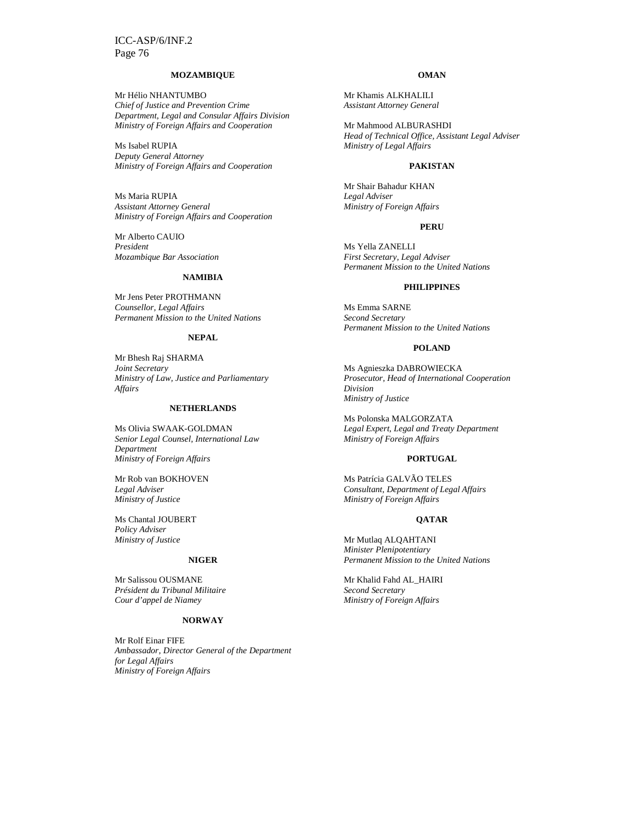#### **MOZAMBIQUE**

Mr Hélio NHANTUMBO *Chief of Justice and Prevention Crime Department, Legal and Consular Affairs Division Ministry of Foreign Affairs and Cooperation* 

Ms Isabel RUPIA *Deputy General Attorney Ministry of Foreign Affairs and Cooperation* 

Ms Maria RUPIA *Assistant Attorney General Ministry of Foreign Affairs and Cooperation* 

Mr Alberto CAUIO *President Mozambique Bar Association* 

## **NAMIBIA**

Mr Jens Peter PROTHMANN *Counsellor, Legal Affairs Permanent Mission to the United Nations* 

#### **NEPAL**

Mr Bhesh Raj SHARMA *Joint Secretary Ministry of Law, Justice and Parliamentary Affairs* 

## **NETHERLANDS**

Ms Olivia SWAAK-GOLDMAN *Senior Legal Counsel, International Law Department Ministry of Foreign Affairs* 

Mr Rob van BOKHOVEN *Legal Adviser Ministry of Justice* 

Ms Chantal JOUBERT *Policy Adviser Ministry of Justice* 

## **NIGER**

Mr Salissou OUSMANE *Président du Tribunal Militaire Cour d'appel de Niamey* 

## **NORWAY**

Mr Rolf Einar FIFE *Ambassador, Director General of the Department for Legal Affairs Ministry of Foreign Affairs* 

#### **OMAN**

Mr Khamis ALKHALILI *Assistant Attorney General* 

Mr Mahmood ALBURASHDI *Head of Technical Office, Assistant Legal Adviser Ministry of Legal Affairs* 

#### **PAKISTAN**

Mr Shair Bahadur KHAN *Legal Adviser Ministry of Foreign Affairs*

#### **PERU**

Ms Yella ZANELLI *First Secretary, Legal Adviser Permanent Mission to the United Nations* 

#### **PHILIPPINES**

Ms Emma SARNE *Second Secretary Permanent Mission to the United Nations* 

#### **POLAND**

Ms Agnieszka DABROWIECKA *Prosecutor, Head of International Cooperation Division Ministry of Justice* 

Ms Polonska MALGORZATA *Legal Expert, Legal and Treaty Department Ministry of Foreign Affairs* 

#### **PORTUGAL**

Ms Patrícia GALVÃO TELES *Consultant, Department of Legal Affairs Ministry of Foreign Affairs*

#### **QATAR**

Mr Mutlaq ALQAHTANI *Minister Plenipotentiary Permanent Mission to the United Nations* 

Mr Khalid Fahd AL\_HAIRI *Second Secretary Ministry of Foreign Affairs*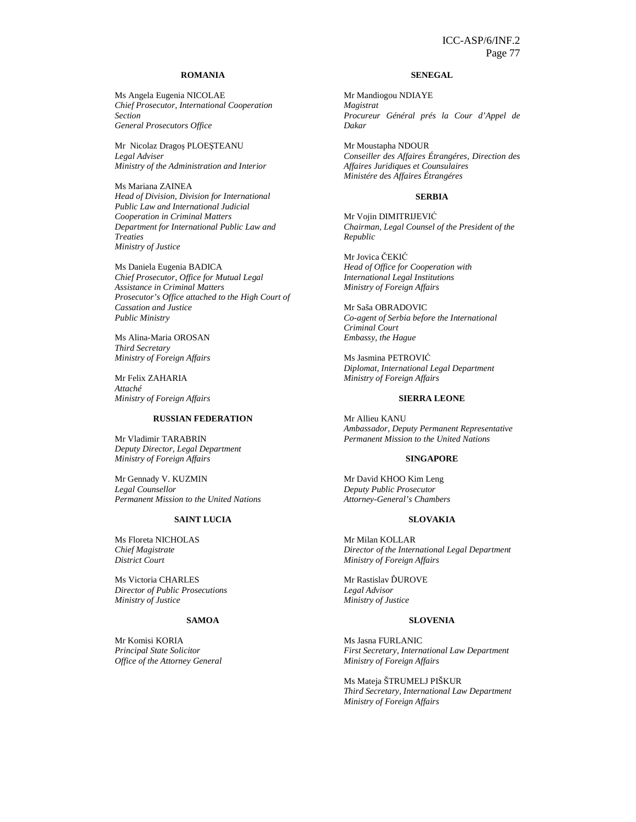## **ROMANIA**

Ms Angela Eugenia NICOLAE *Chief Prosecutor, International Cooperation Section General Prosecutors Office* 

Mr Nicolaz Dragoş PLOEŞTEANU *Legal Adviser Ministry of the Administration and Interior* 

Ms Mariana ZAINEA *Head of Division, Division for International Public Law and International Judicial Cooperation in Criminal Matters Department for International Public Law and Treaties Ministry of Justice*

Ms Daniela Eugenia BADICA *Chief Prosecutor, Office for Mutual Legal Assistance in Criminal Matters Prosecutor's Office attached to the High Court of Cassation and Justice Public Ministry* 

Ms Alina-Maria OROSAN *Third Secretary Ministry of Foreign Affairs* 

Mr Felix ZAHARIA *Attaché Ministry of Foreign Affairs* 

#### **RUSSIAN FEDERATION**

Mr Vladimir TARABRIN *Deputy Director, Legal Department Ministry of Foreign Affairs* 

Mr Gennady V. KUZMIN *Legal Counsellor Permanent Mission to the United Nations* 

#### **SAINT LUCIA**

Ms Floreta NICHOLAS *Chief Magistrate District Court* 

Ms Victoria CHARLES *Director of Public Prosecutions Ministry of Justice* 

## **SAMOA**

Mr Komisi KORIA *Principal State Solicitor Office of the Attorney General* 

#### **SENEGAL**

Mr Mandiogou NDIAYE *Magistrat Procureur Général prés la Cour d'Appel de Dakar* 

Mr Moustapha NDOUR *Conseiller des Affaires Étrangéres, Direction des Affaires Juridiques et Counsulaires Ministére des Affaires Étrangéres*

## **SERBIA**

Mr Vojin DIMITRIJEVIĆ *Chairman, Legal Counsel of the President of the Republic* 

Mr Jovica ČEKIĆ *Head of Office for Cooperation with International Legal Institutions Ministry of Foreign Affairs* 

Mr Saša OBRADOVIC *Co-agent of Serbia before the International Criminal Court Embassy, the Hague* 

Ms Jasmina PETROVIĆ *Diplomat, International Legal Department Ministry of Foreign Affairs* 

#### **SIERRA LEONE**

Mr Allieu KANU *Ambassador, Deputy Permanent Representative Permanent Mission to the United Nations* 

#### **SINGAPORE**

Mr David KHOO Kim Leng *Deputy Public Prosecutor Attorney-General's Chambers* 

#### **SLOVAKIA**

Mr Milan KOLLAR *Director of the International Legal Department Ministry of Foreign Affairs* 

Mr Rastislav ĎUROVE *Legal Advisor Ministry of Justice* 

#### **SLOVENIA**

Ms Jasna FURLANIC *First Secretary, International Law Department Ministry of Foreign Affairs* 

Ms Mateja ŠTRUMELJ PIŠKUR *Third Secretary, International Law Department Ministry of Foreign Affairs*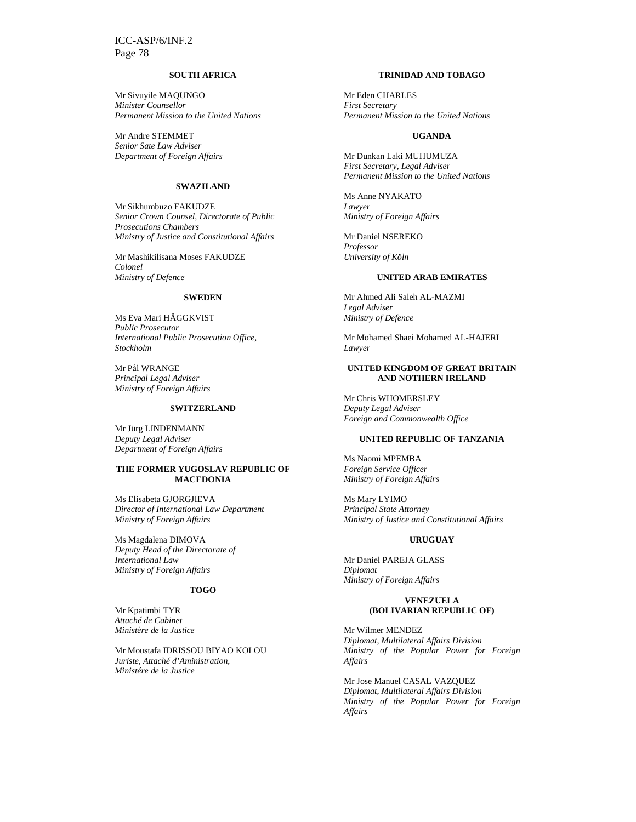## **SOUTH AFRICA**

Mr Sivuyile MAQUNGO *Minister Counsellor Permanent Mission to the United Nations* 

Mr Andre STEMMET *Senior Sate Law Adviser Department of Foreign Affairs* 

#### **SWAZILAND**

Mr Sikhumbuzo FAKUDZE *Senior Crown Counsel, Directorate of Public Prosecutions Chambers Ministry of Justice and Constitutional Affairs* 

Mr Mashikilisana Moses FAKUDZE *Colonel Ministry of Defence* 

## **SWEDEN**

Ms Eva Mari HÄGGKVIST *Public Prosecutor International Public Prosecution Office, Stockholm* 

Mr Pål WRANGE *Principal Legal Adviser Ministry of Foreign Affairs* 

#### **SWITZERLAND**

Mr Jürg LINDENMANN *Deputy Legal Adviser Department of Foreign Affairs* 

#### **THE FORMER YUGOSLAV REPUBLIC OF MACEDONIA**

Ms Elisabeta GJORGJIEVA *Director of International Law Department Ministry of Foreign Affairs* 

Ms Magdalena DIMOVA *Deputy Head of the Directorate of International Law Ministry of Foreign Affairs* 

## **TOGO**

Mr Kpatimbi TYR *Attaché de Cabinet Ministère de la Justice* 

Mr Moustafa IDRISSOU BIYAO KOLOU *Juriste, Attaché d'Aministration, Ministére de la Justice* 

## **TRINIDAD AND TOBAGO**

Mr Eden CHARLES *First Secretary Permanent Mission to the United Nations* 

#### **UGANDA**

Mr Dunkan Laki MUHUMUZA *First Secretary, Legal Adviser Permanent Mission to the United Nations* 

Ms Anne NYAKATO *Lawyer Ministry of Foreign Affairs* 

Mr Daniel NSEREKO *Professor University of Köln* 

#### **UNITED ARAB EMIRATES**

Mr Ahmed Ali Saleh AL-MAZMI *Legal Adviser Ministry of Defence* 

Mr Mohamed Shaei Mohamed AL-HAJERI *Lawyer* 

#### **UNITED KINGDOM OF GREAT BRITAIN AND NOTHERN IRELAND**

Mr Chris WHOMERSLEY *Deputy Legal Adviser Foreign and Commonwealth Office* 

## **UNITED REPUBLIC OF TANZANIA**

Ms Naomi MPEMBA *Foreign Service Officer Ministry of Foreign Affairs* 

Ms Mary LYIMO *Principal State Attorney Ministry of Justice and Constitutional Affairs* 

### **URUGUAY**

Mr Daniel PAREJA GLASS *Diplomat Ministry of Foreign Affairs* 

## **VENEZUELA (BOLIVARIAN REPUBLIC OF)**

Mr Wilmer MENDEZ *Diplomat, Multilateral Affairs Division Ministry of the Popular Power for Foreign Affairs* 

Mr Jose Manuel CASAL VAZQUEZ *Diplomat, Multilateral Affairs Division Ministry of the Popular Power for Foreign Affairs*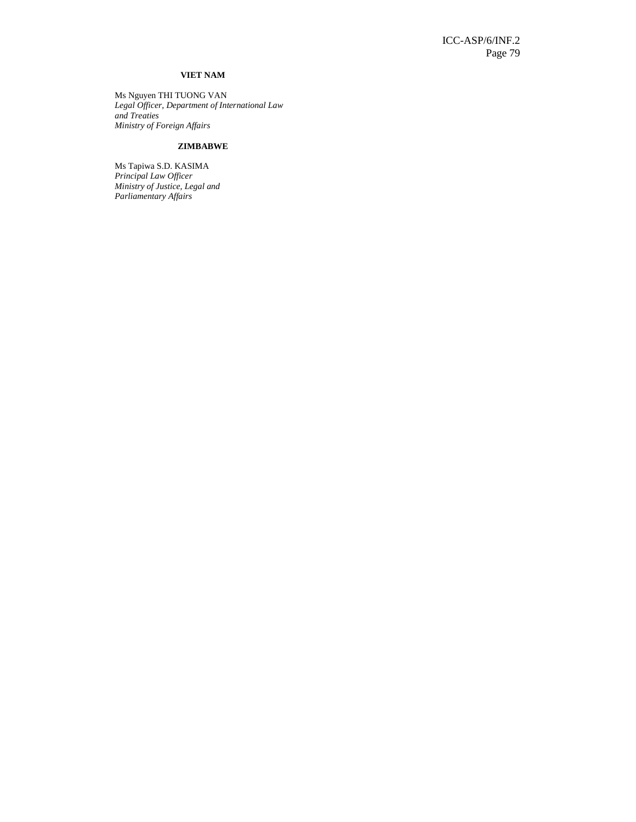## **VIET NAM**

Ms Nguyen THI TUONG VAN *Legal Officer, Department of International Law and Treaties Ministry of Foreign Affairs*

## **ZIMBABWE**

Ms Tapiwa S.D. KASIMA *Principal Law Officer Ministry of Justice, Legal and Parliamentary Affairs*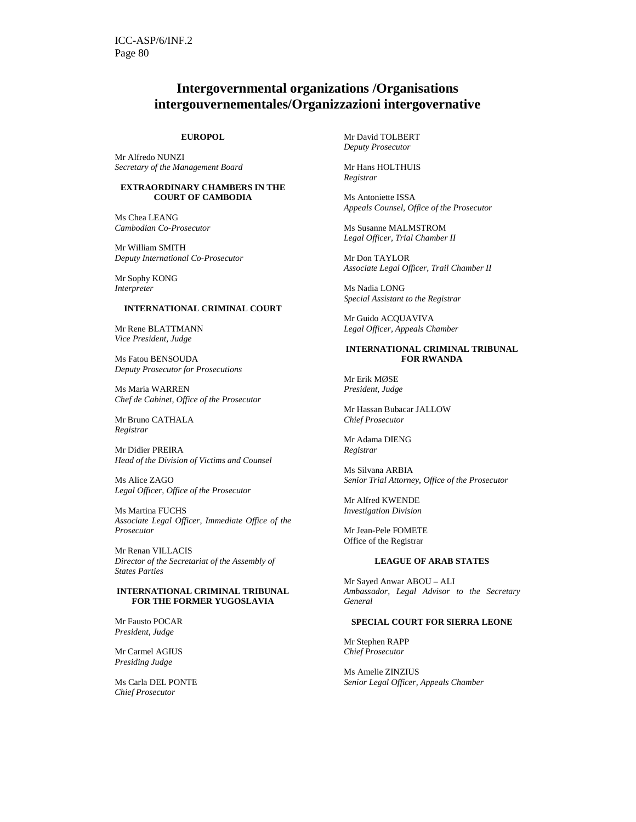## **Intergovernmental organizations /Organisations intergouvernementales/Organizzazioni intergovernative**

#### **EUROPOL**

Mr Alfredo NUNZI *Secretary of the Management Board* 

## **EXTRAORDINARY CHAMBERS IN THE COURT OF CAMBODIA**

Ms Chea LEANG *Cambodian Co-Prosecutor* 

Mr William SMITH *Deputy International Co-Prosecutor* 

Mr Sophy KONG *Interpreter* 

### **INTERNATIONAL CRIMINAL COURT**

Mr Rene BLATTMANN *Vice President, Judge* 

Ms Fatou BENSOUDA *Deputy Prosecutor for Prosecutions* 

Ms Maria WARREN *Chef de Cabinet, Office of the Prosecutor* 

Mr Bruno CATHALA *Registrar* 

Mr Didier PREIRA *Head of the Division of Victims and Counsel* 

Ms Alice ZAGO *Legal Officer, Office of the Prosecutor* 

Ms Martina FUCHS *Associate Legal Officer, Immediate Office of the Prosecutor* 

Mr Renan VILLACIS *Director of the Secretariat of the Assembly of States Parties*

#### **INTERNATIONAL CRIMINAL TRIBUNAL FOR THE FORMER YUGOSLAVIA**

Mr Fausto POCAR *President, Judge* 

Mr Carmel AGIUS *Presiding Judge* 

Ms Carla DEL PONTE *Chief Prosecutor* 

Mr David TOLBERT *Deputy Prosecutor* 

Mr Hans HOLTHUIS *Registrar* 

Ms Antoniette ISSA *Appeals Counsel, Office of the Prosecutor* 

Ms Susanne MALMSTROM *Legal Officer, Trial Chamber II* 

Mr Don TAYLOR *Associate Legal Officer, Trail Chamber II* 

Ms Nadia LONG *Special Assistant to the Registrar* 

Mr Guido ACQUAVIVA *Legal Officer, Appeals Chamber* 

#### **INTERNATIONAL CRIMINAL TRIBUNAL FOR RWANDA**

Mr Erik MØSE *President, Judge* 

Mr Hassan Bubacar JALLOW *Chief Prosecutor* 

Mr Adama DIENG *Registrar* 

Ms Silvana ARBIA *Senior Trial Attorney, Office of the Prosecutor* 

Mr Alfred KWENDE *Investigation Division* 

Mr Jean-Pele FOMETE Office of the Registrar

#### **LEAGUE OF ARAB STATES**

Mr Sayed Anwar ABOU – ALI *Ambassador, Legal Advisor to the Secretary General* 

## **SPECIAL COURT FOR SIERRA LEONE**

Mr Stephen RAPP *Chief Prosecutor* 

Ms Amelie ZINZIUS *Senior Legal Officer, Appeals Chamber*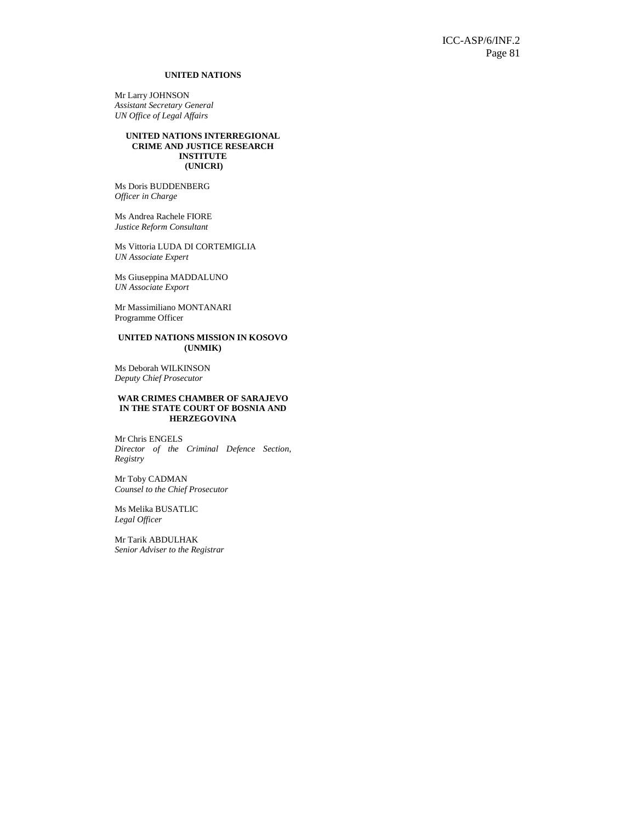## **UNITED NATIONS**

Mr Larry JOHNSON *Assistant Secretary General UN Office of Legal Affairs* 

## **UNITED NATIONS INTERREGIONAL CRIME AND JUSTICE RESEARCH INSTITUTE (UNICRI)**

Ms Doris BUDDENBERG *Officer in Charge* 

Ms Andrea Rachele FIORE *Justice Reform Consultant* 

Ms Vittoria LUDA DI CORTEMIGLIA *UN Associate Expert* 

Ms Giuseppina MADDALUNO *UN Associate Export* 

Mr Massimiliano MONTANARI Programme Officer

#### **UNITED NATIONS MISSION IN KOSOVO (UNMIK)**

Ms Deborah WILKINSON *Deputy Chief Prosecutor* 

#### **WAR CRIMES CHAMBER OF SARAJEVO IN THE STATE COURT OF BOSNIA AND HERZEGOVINA**

Mr Chris ENGELS *Director of the Criminal Defence Section, Registry* 

Mr Toby CADMAN *Counsel to the Chief Prosecutor* 

Ms Melika BUSATLIC *Legal Officer* 

Mr Tarik ABDULHAK *Senior Adviser to the Registrar*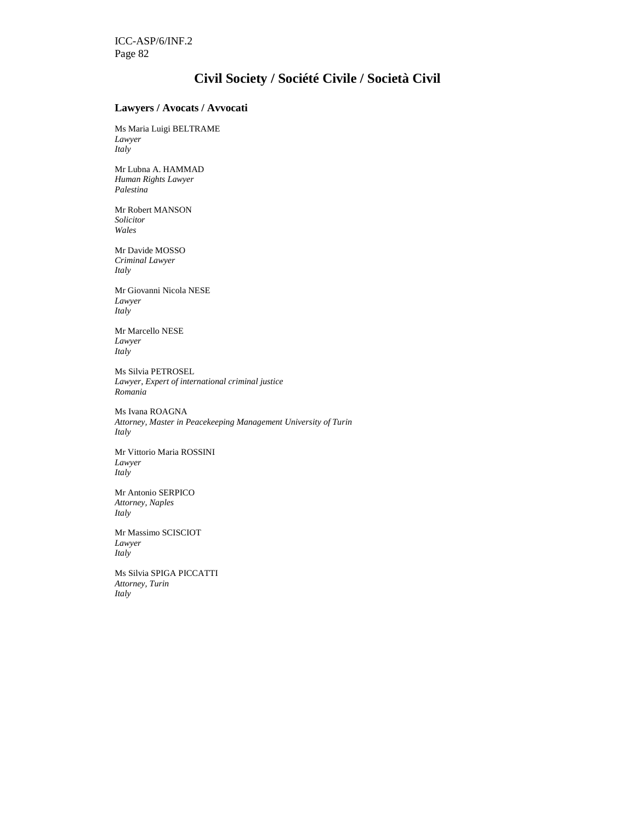## **Civil Society / Société Civile / Società Civil**

## **Lawyers / Avocats / Avvocati**

Ms Maria Luigi BELTRAME *Lawyer Italy* 

Mr Lubna A. HAMMAD *Human Rights Lawyer Palestina* 

Mr Robert MANSON *Solicitor Wales* 

Mr Davide MOSSO *Criminal Lawyer Italy* 

Mr Giovanni Nicola NESE *Lawyer Italy* 

Mr Marcello NESE *Lawyer Italy* 

Ms Silvia PETROSEL *Lawyer, Expert of international criminal justice Romania* 

Ms Ivana ROAGNA *Attorney, Master in Peacekeeping Management University of Turin Italy* 

Mr Vittorio Maria ROSSINI *Lawyer Italy* 

Mr Antonio SERPICO *Attorney, Naples Italy* 

Mr Massimo SCISCIOT *Lawyer Italy* 

Ms Silvia SPIGA PICCATTI *Attorney, Turin Italy*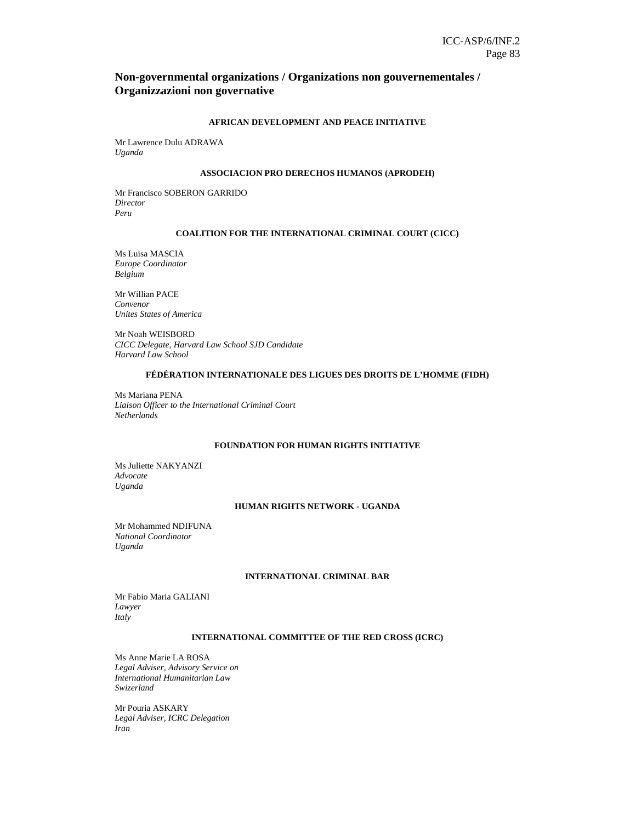## **Non-governmental organizations / Organizations non gouvernementales / Organizzazioni non governative**

## **AFRICAN DEVELOPMENT AND PEACE INITIATIVE**

Mr Lawrence Dulu ADRAWA *Uganda* 

### **ASSOCIACION PRO DERECHOS HUMANOS (APRODEH)**

Mr Francisco SOBERON GARRIDO *Director Peru* 

## **COALITION FOR THE INTERNATIONAL CRIMINAL COURT (CICC)**

Ms Luisa MASCIA *Europe Coordinator Belgium* 

Mr Willian PACE *Convenor Unites States of America* 

Mr Noah WEISBORD *CICC Delegate, Harvard Law School SJD Candidate Harvard Law School* 

## **FÉDÉRATION INTERNATIONALE DES LIGUES DES DROITS DE L'HOMME (FIDH)**

Ms Mariana PENA *Liaison Officer to the International Criminal Court Netherlands* 

## **FOUNDATION FOR HUMAN RIGHTS INITIATIVE**

Ms Juliette NAKYANZI *Advocate Uganda* 

## **HUMAN RIGHTS NETWORK - UGANDA**

Mr Mohammed NDIFUNA *National Coordinator Uganda* 

### **INTERNATIONAL CRIMINAL BAR**

Mr Fabio Maria GALIANI *Lawyer Italy* 

## **INTERNATIONAL COMMITTEE OF THE RED CROSS (ICRC)**

Ms Anne Marie LA ROSA *Legal Adviser, Advisory Service on International Humanitarian Law Swizerland* 

Mr Pouria ASKARY *Legal Adviser, ICRC Delegation Iran*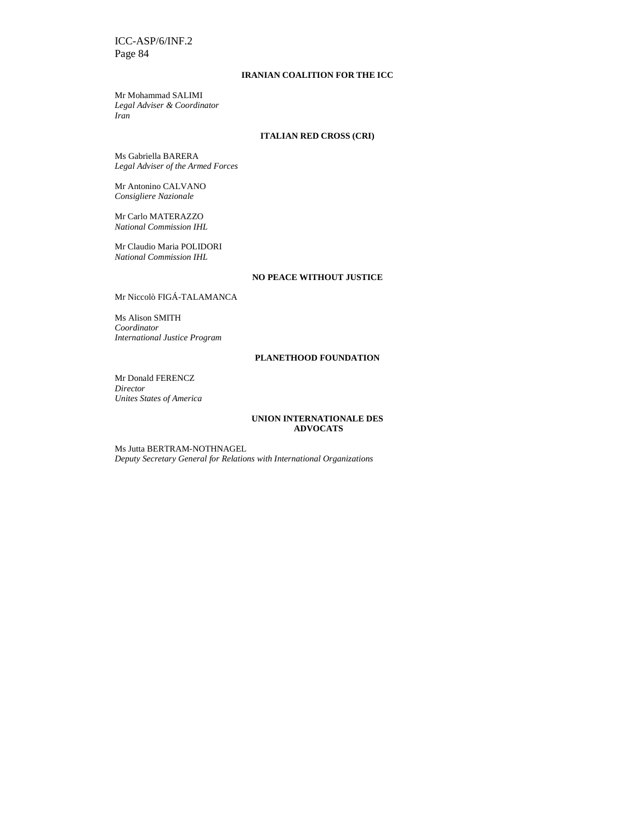## **IRANIAN COALITION FOR THE ICC**

Mr Mohammad SALIMI *Legal Adviser & Coordinator Iran* 

## **ITALIAN RED CROSS (CRI)**

Ms Gabriella BARERA *Legal Adviser of the Armed Forces* 

Mr Antonino CALVANO *Consigliere Nazionale* 

Mr Carlo MATERAZZO *National Commission IHL* 

Mr Claudio Maria POLIDORI *National Commission IHL* 

## **NO PEACE WITHOUT JUSTICE**

Mr Niccolò FIGÁ-TALAMANCA

Ms Alison SMITH *Coordinator International Justice Program* 

## **PLANETHOOD FOUNDATION**

Mr Donald FERENCZ *Director Unites States of America* 

#### **UNION INTERNATIONALE DES ADVOCATS**

Ms Jutta BERTRAM-NOTHNAGEL *Deputy Secretary General for Relations with International Organizations*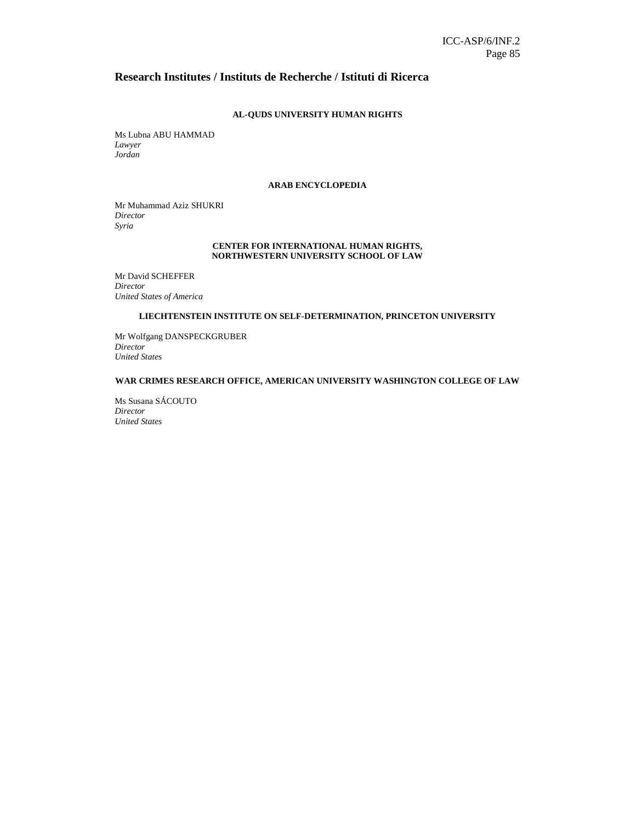## **Research Institutes / Instituts de Recherche / Istituti di Ricerca**

## **AL-QUDS UNIVERSITY HUMAN RIGHTS**

Ms Lubna ABU HAMMAD *Lawyer Jordan*

## **ARAB ENCYCLOPEDIA**

Mr Muhammad Aziz SHUKRI *Director Syria* 

#### **CENTER FOR INTERNATIONAL HUMAN RIGHTS, NORTHWESTERN UNIVERSITY SCHOOL OF LAW**

Mr David SCHEFFER *Director United States of America* 

## **LIECHTENSTEIN INSTITUTE ON SELF-DETERMINATION, PRINCETON UNIVERSITY**

Mr Wolfgang DANSPECKGRUBER *Director United States* 

#### **WAR CRIMES RESEARCH OFFICE, AMERICAN UNIVERSITY WASHINGTON COLLEGE OF LAW**

Ms Susana SÁCOUTO *Director United States*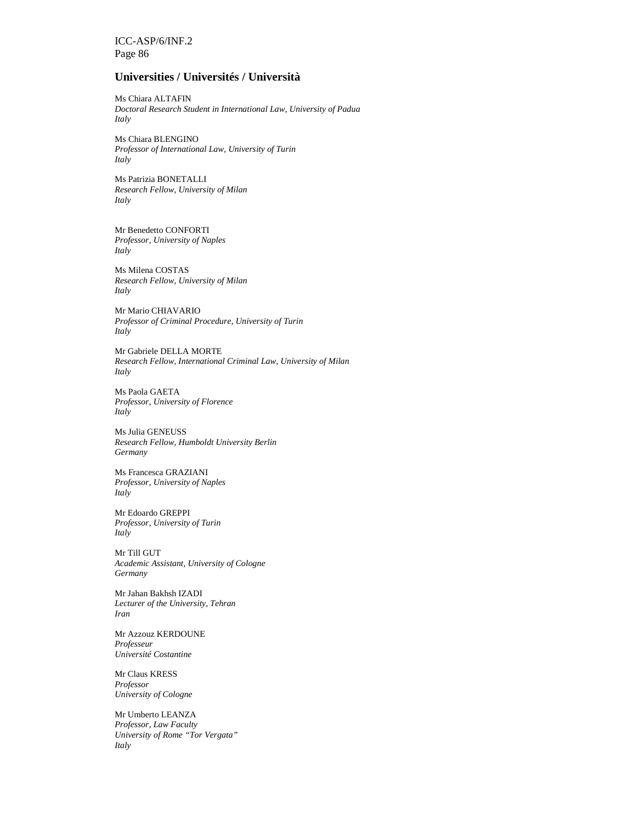## **Universities / Universités / Università**

Ms Chiara ALTAFIN *Doctoral Research Student in International Law, University of Padua Italy* 

Ms Chiara BLENGINO *Professor of International Law, University of Turin Italy* 

Ms Patrizia BONETALLI *Research Fellow, University of Milan Italy* 

Mr Benedetto CONFORTI *Professor, University of Naples Italy* 

Ms Milena COSTAS *Research Fellow, University of Milan Italy* 

Mr Mario CHIAVARIO *Professor of Criminal Procedure, University of Turin Italy* 

Mr Gabriele DELLA MORTE *Research Fellow, International Criminal Law, University of Milan Italy*

Ms Paola GAETA *Professor, University of Florence Italy* 

Ms Julia GENEUSS *Research Fellow, Humboldt University Berlin Germany*

Ms Francesca GRAZIANI *Professor, University of Naples Italy* 

Mr Edoardo GREPPI *Professor, University of Turin Italy* 

Mr Till GUT *Academic Assistant, University of Cologne Germany* 

Mr Jahan Bakhsh IZADI *Lecturer of the University, Tehran Iran* 

Mr Azzouz KERDOUNE *Professeur Université Costantine* 

Mr Claus KRESS *Professor University of Cologne* 

Mr Umberto LEANZA *Professor, Law Faculty University of Rome "Tor Vergata" Italy*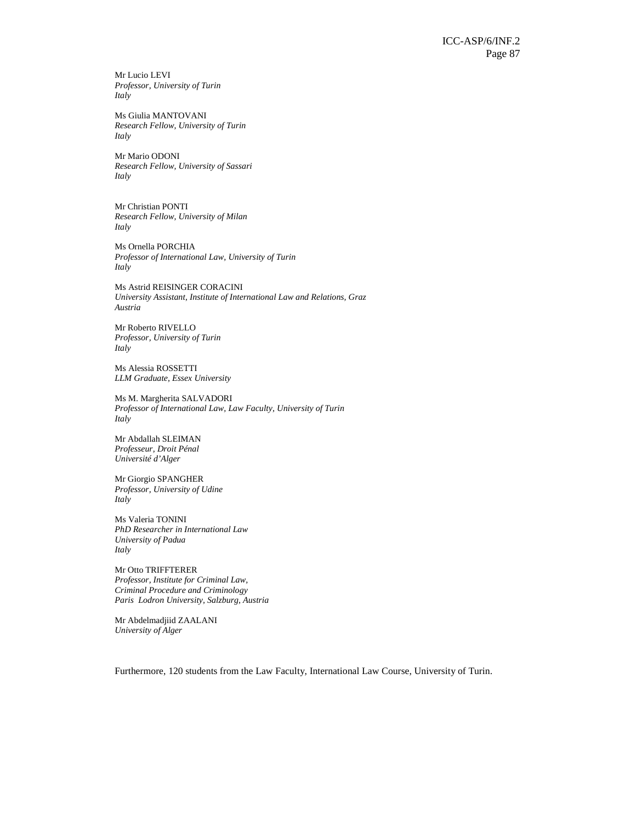Mr Lucio LEVI *Professor, University of Turin Italy* 

Ms Giulia MANTOVANI *Research Fellow, University of Turin Italy* 

Mr Mario ODONI *Research Fellow, University of Sassari Italy* 

Mr Christian PONTI *Research Fellow, University of Milan Italy* 

Ms Ornella PORCHIA *Professor of International Law, University of Turin Italy* 

Ms Astrid REISINGER CORACINI *University Assistant, Institute of International Law and Relations, Graz Austria* 

Mr Roberto RIVELLO *Professor, University of Turin Italy* 

Ms Alessia ROSSETTI *LLM Graduate, Essex University* 

Ms M. Margherita SALVADORI *Professor of International Law, Law Faculty, University of Turin Italy* 

Mr Abdallah SLEIMAN *Professeur, Droit Pénal Université d'Alger* 

Mr Giorgio SPANGHER *Professor, University of Udine Italy* 

Ms Valeria TONINI *PhD Researcher in International Law University of Padua Italy* 

Mr Otto TRIFFTERER *Professor, Institute for Criminal Law, Criminal Procedure and Criminology Paris Lodron University, Salzburg, Austria*

Mr Abdelmadjiid ZAALANI *University of Alger* 

Furthermore, 120 students from the Law Faculty, International Law Course, University of Turin.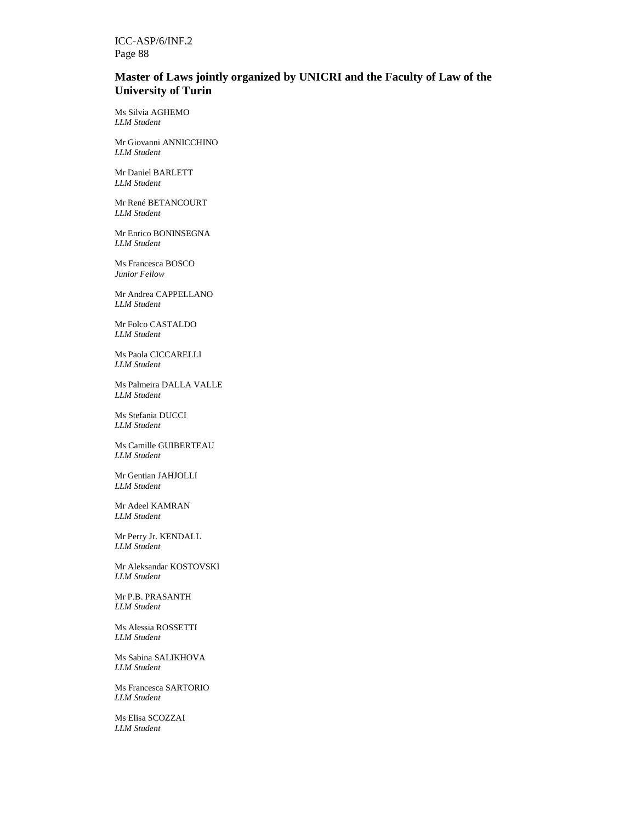## **Master of Laws jointly organized by UNICRI and the Faculty of Law of the University of Turin**

Ms Silvia AGHEMO *LLM Student* 

Mr Giovanni ANNICCHINO *LLM Student* 

Mr Daniel BARLETT *LLM Student* 

Mr René BETANCOURT *LLM Student*

Mr Enrico BONINSEGNA *LLM Student* 

Ms Francesca BOSCO *Junior Fellow* 

Mr Andrea CAPPELLANO *LLM Student* 

Mr Folco CASTALDO *LLM Student* 

Ms Paola CICCARELLI *LLM Student* 

Ms Palmeira DALLA VALLE *LLM Student* 

Ms Stefania DUCCI *LLM Student*

Ms Camille GUIBERTEAU *LLM Student* 

Mr Gentian JAHJOLLI *LLM Student* 

Mr Adeel KAMRAN *LLM Student* 

Mr Perry Jr. KENDALL *LLM Student* 

Mr Aleksandar KOSTOVSKI *LLM Student* 

Mr P.B. PRASANTH *LLM Student* 

Ms Alessia ROSSETTI *LLM Student*

Ms Sabina SALIKHOVA *LLM Student* 

Ms Francesca SARTORIO *LLM Student* 

Ms Elisa SCOZZAI *LLM Student*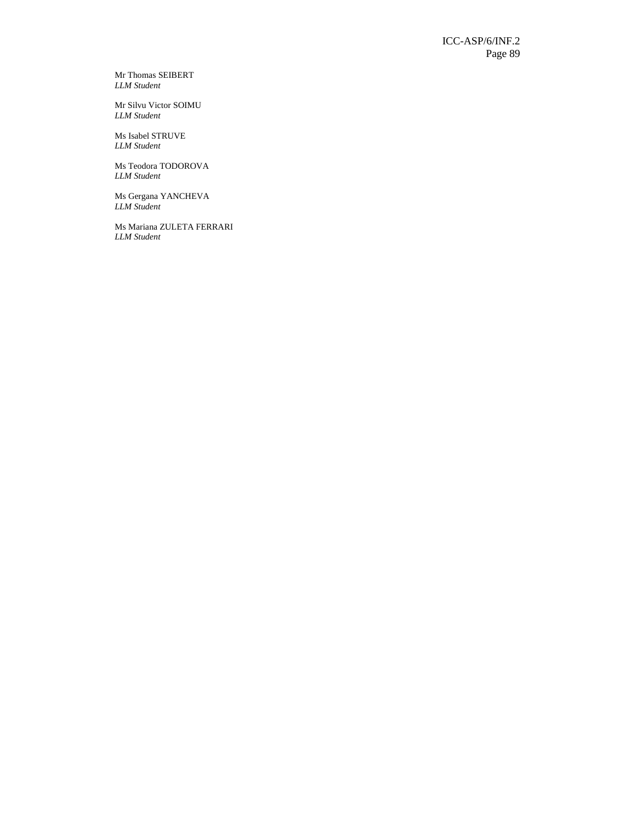Mr Thomas SEIBERT *LLM Student* 

Mr Silvu Victor SOIMU *LLM Student* 

Ms Isabel STRUVE *LLM Student* 

Ms Teodora TODOROVA *LLM Student* 

Ms Gergana YANCHEVA *LLM Student* 

Ms Mariana ZULETA FERRARI *LLM Student*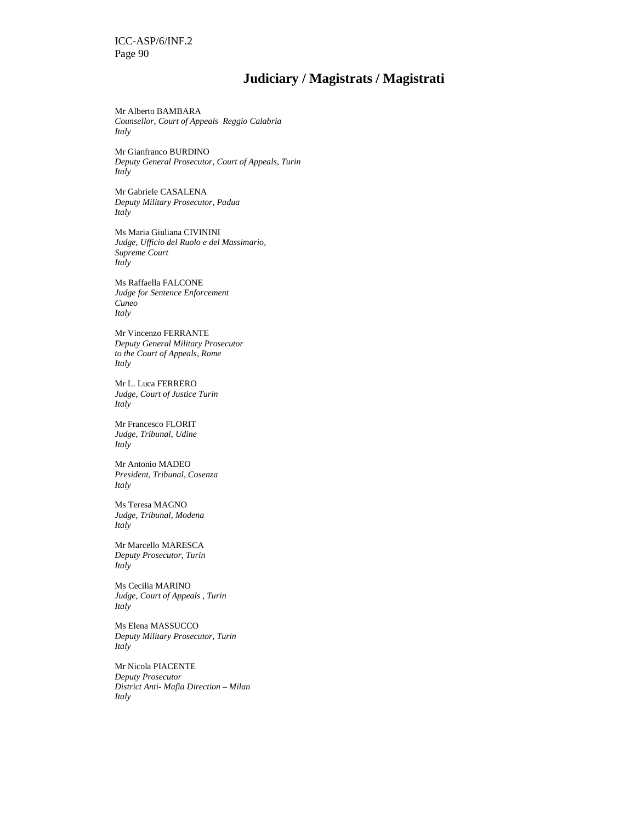## **Judiciary / Magistrats / Magistrati**

Mr Alberto BAMBARA *Counsellor, Court of Appeals Reggio Calabria Italy* 

Mr Gianfranco BURDINO *Deputy General Prosecutor, Court of Appeals, Turin Italy* 

Mr Gabriele CASALENA *Deputy Military Prosecutor, Padua Italy* 

Ms Maria Giuliana CIVININI *Judge, Ufficio del Ruolo e del Massimario, Supreme Court Italy* 

Ms Raffaella FALCONE *Judge for Sentence Enforcement Cuneo Italy* 

Mr Vincenzo FERRANTE *Deputy General Military Prosecutor to the Court of Appeals, Rome Italy* 

Mr L. Luca FERRERO *Judge, Court of Justice Turin Italy* 

Mr Francesco FLORIT *Judge, Tribunal, Udine Italy* 

Mr Antonio MADEO *President, Tribunal, Cosenza Italy* 

Ms Teresa MAGNO *Judge, Tribunal, Modena Italy* 

Mr Marcello MARESCA *Deputy Prosecutor, Turin Italy* 

Ms Cecilia MARINO *Judge, Court of Appeals , Turin Italy* 

Ms Elena MASSUCCO *Deputy Military Prosecutor, Turin Italy* 

Mr Nicola PIACENTE *Deputy Prosecutor District Anti- Mafia Direction – Milan Italy*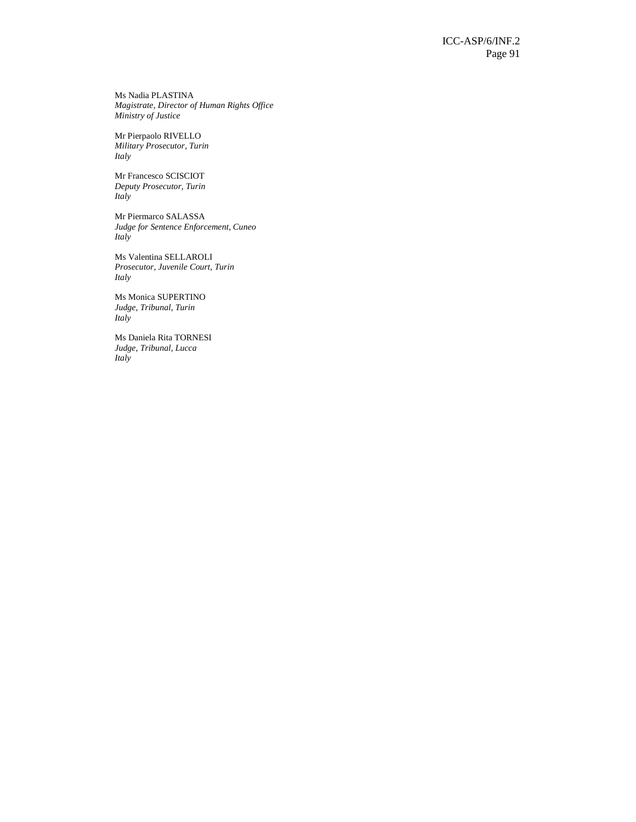Ms Nadia PLASTINA *Magistrate, Director of Human Rights Office Ministry of Justice* 

Mr Pierpaolo RIVELLO *Military Prosecutor, Turin Italy* 

Mr Francesco SCISCIOT *Deputy Prosecutor, Turin Italy* 

Mr Piermarco SALASSA *Judge for Sentence Enforcement, Cuneo Italy* 

Ms Valentina SELLAROLI *Prosecutor, Juvenile Court, Turin Italy* 

Ms Monica SUPERTINO *Judge, Tribunal, Turin Italy* 

Ms Daniela Rita TORNESI *Judge, Tribunal, Lucca Italy*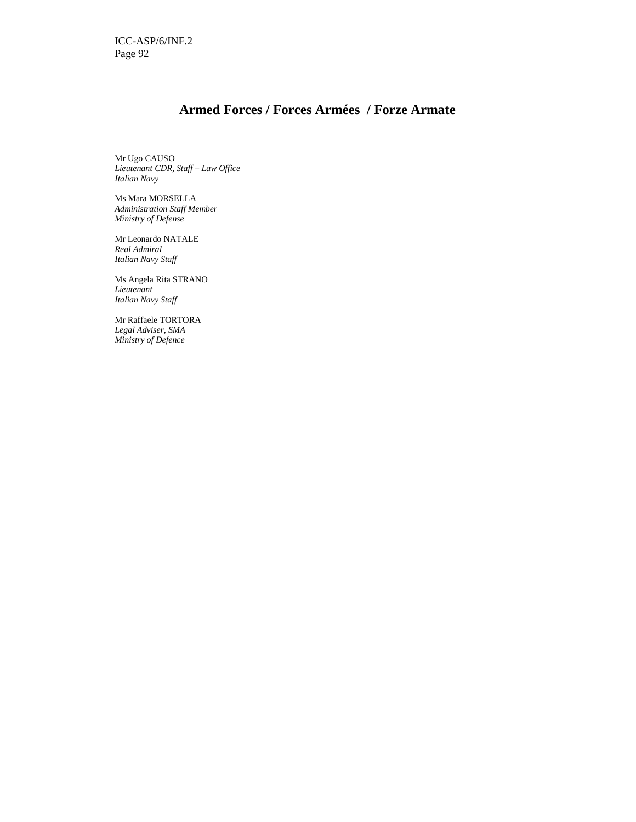## **Armed Forces / Forces Armées / Forze Armate**

Mr Ugo CAUSO *Lieutenant CDR, Staff – Law Office Italian Navy* 

Ms Mara MORSELLA *Administration Staff Member Ministry of Defense* 

Mr Leonardo NATALE *Real Admiral Italian Navy Staff* 

Ms Angela Rita STRANO *Lieutenant Italian Navy Staff* 

Mr Raffaele TORTORA *Legal Adviser, SMA Ministry of Defence*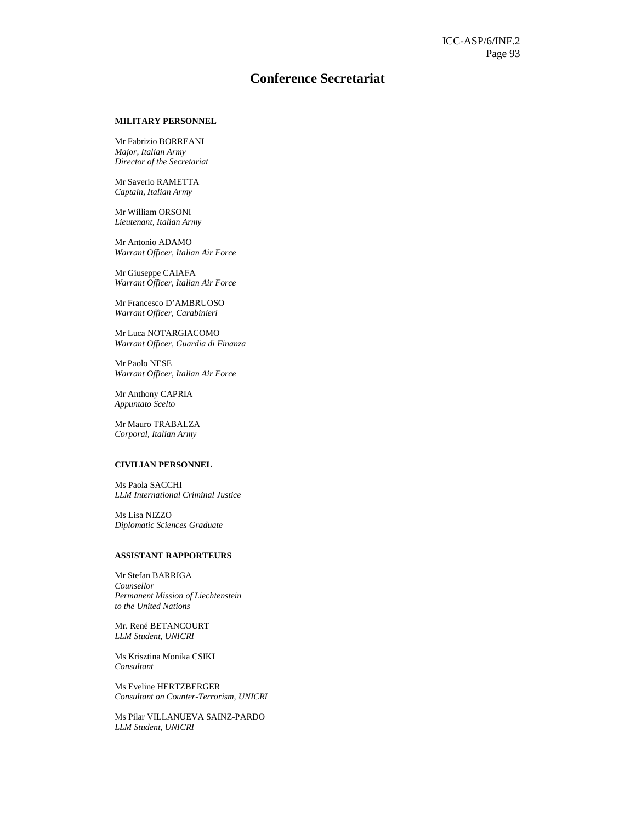## **Conference Secretariat**

## **MILITARY PERSONNEL**

Mr Fabrizio BORREANI *Major, Italian Army Director of the Secretariat* 

Mr Saverio RAMETTA *Captain, Italian Army* 

Mr William ORSONI *Lieutenant, Italian Army* 

Mr Antonio ADAMO *Warrant Officer, Italian Air Force* 

Mr Giuseppe CAIAFA *Warrant Officer, Italian Air Force* 

Mr Francesco D'AMBRUOSO *Warrant Officer, Carabinieri* 

Mr Luca NOTARGIACOMO *Warrant Officer, Guardia di Finanza* 

Mr Paolo NESE *Warrant Officer, Italian Air Force* 

Mr Anthony CAPRIA *Appuntato Scelto* 

Mr Mauro TRABALZA *Corporal, Italian Army* 

## **CIVILIAN PERSONNEL**

Ms Paola SACCHI *LLM International Criminal Justice* 

Ms Lisa NIZZO *Diplomatic Sciences Graduate* 

## **ASSISTANT RAPPORTEURS**

Mr Stefan BARRIGA *Counsellor Permanent Mission of Liechtenstein to the United Nations*

Mr. René BETANCOURT *LLM Student, UNICRI* 

Ms Krisztina Monika CSIKI *Consultant*

Ms Eveline HERTZBERGER *Consultant on Counter-Terrorism, UNICRI* 

Ms Pilar VILLANUEVA SAINZ-PARDO *LLM Student, UNICRI*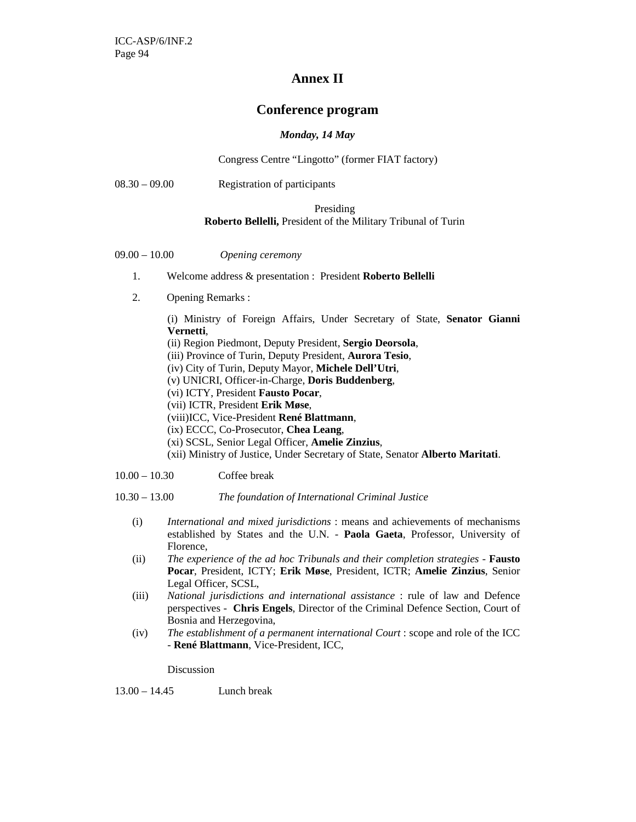## **Annex II**

## **Conference program**

## *Monday, 14 May*

Congress Centre "Lingotto" (former FIAT factory)

08.30 – 09.00 Registration of participants

## Presiding **Roberto Bellelli,** President of the Military Tribunal of Turin

- 09.00 10.00 *Opening ceremony*
	- 1. Welcome address & presentation : President **Roberto Bellelli**
	- 2. Opening Remarks :

(i) Ministry of Foreign Affairs, Under Secretary of State, **Senator Gianni Vernetti**,

- (ii) Region Piedmont, Deputy President, **Sergio Deorsola**,
- (iii) Province of Turin, Deputy President, **Aurora Tesio**,
- (iv) City of Turin, Deputy Mayor, **Michele Dell'Utri**,
- (v) UNICRI, Officer-in-Charge, **Doris Buddenberg**,
- (vi) ICTY, President **Fausto Pocar**,
- (vii) ICTR, President **Erik Møse**,
- (viii)ICC, Vice-President **René Blattmann**,
- (ix) ECCC, Co-Prosecutor, **Chea Leang**,
- (xi) SCSL, Senior Legal Officer, **Amelie Zinzius**,
- (xii) Ministry of Justice, Under Secretary of State, Senator **Alberto Maritati**.

10.00 – 10.30 Coffee break

10.30 – 13.00 *The foundation of International Criminal Justice* 

- (i) *International and mixed jurisdictions* : means and achievements of mechanisms established by States and the U.N. - **Paola Gaeta**, Professor, University of Florence,
- (ii) *The experience of the ad hoc Tribunals and their completion strategies* **Fausto Pocar**, President, ICTY; **Erik Møse**, President, ICTR; **Amelie Zinzius**, Senior Legal Officer, SCSL,
- (iii) *National jurisdictions and international assistance* : rule of law and Defence perspectives - **Chris Engels**, Director of the Criminal Defence Section, Court of Bosnia and Herzegovina,
- (iv) *The establishment of a permanent international Court* : scope and role of the ICC - **René Blattmann**, Vice-President, ICC,

Discussion

13.00 – 14.45 Lunch break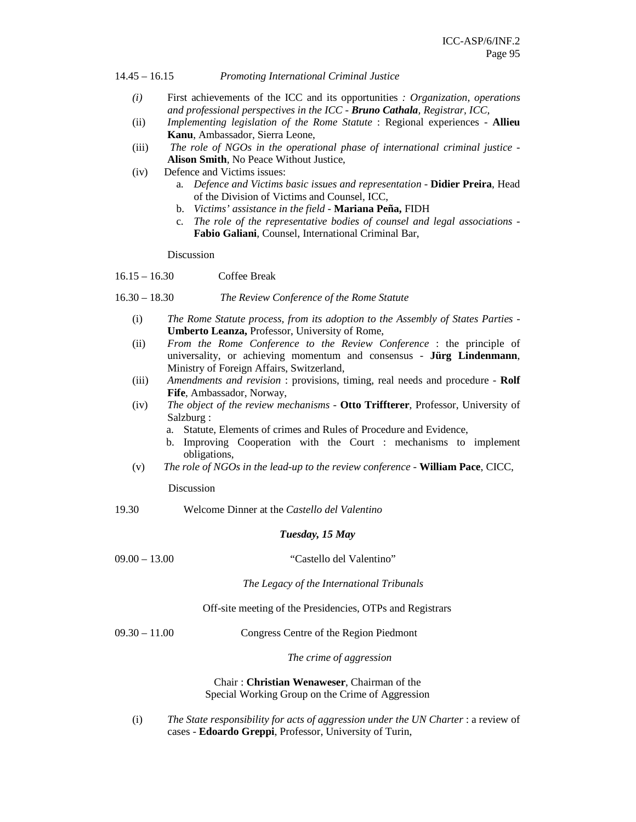14.45 – 16.15 *Promoting International Criminal Justice* 

- *(i)* First achievements of the ICC and its opportunities *: Organization, operations and professional perspectives in the ICC - Bruno Cathala, Registrar, ICC,*
- (ii) *Implementing legislation of the Rome Statute* : Regional experiences **Allieu Kanu**, Ambassador, Sierra Leone,
- (iii) *The role of NGOs in the operational phase of international criminal justice* **Alison Smith**, No Peace Without Justice,
- (iv) Defence and Victims issues:
	- a. *Defence and Victims basic issues and representation* **Didier Preira**, Head of the Division of Victims and Counsel, ICC,
	- b. *Victims' assistance in the field*  **Mariana Peña,** FIDH
	- c. *The role of the representative bodies of counsel and legal associations* **Fabio Galiani**, Counsel, International Criminal Bar,

Discussion

- 16.15 16.30 Coffee Break
- 16.30 18.30 *The Review Conference of the Rome Statute*
	- (i) *The Rome Statute process, from its adoption to the Assembly of States Parties* **Umberto Leanza,** Professor, University of Rome,
	- (ii) *From the Rome Conference to the Review Conference* : the principle of universality, or achieving momentum and consensus - **Jürg Lindenmann**, Ministry of Foreign Affairs, Switzerland,
	- (iii) *Amendments and revision* : provisions, timing, real needs and procedure **Rolf Fife**, Ambassador, Norway,
	- (iv) *The object of the review mechanisms*  **Otto Triffterer**, Professor, University of Salzburg :
		- a. Statute, Elements of crimes and Rules of Procedure and Evidence,
		- b. Improving Cooperation with the Court : mechanisms to implement obligations,
	- (v) *The role of NGOs in the lead-up to the review conference* **William Pace**, CICC,

Discussion

19.30 Welcome Dinner at the *Castello del Valentino*

## *Tuesday, 15 May*

| 09.00 | 13.00 |
|-------|-------|
|       |       |

"Castello del Valentino"

*The Legacy of the International Tribunals* 

Off-site meeting of the Presidencies, OTPs and Registrars

09.30 – 11.00 Congress Centre of the Region Piedmont

*The crime of aggression* 

Chair : **Christian Wenaweser**, Chairman of the Special Working Group on the Crime of Aggression

(i) *The State responsibility for acts of aggression under the UN Charter* : a review of cases - **Edoardo Greppi**, Professor, University of Turin,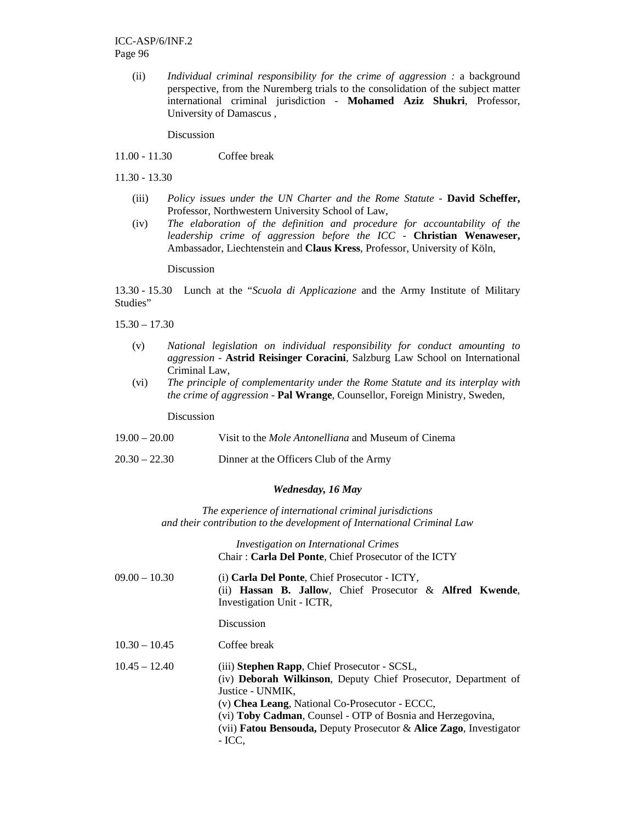(ii) *Individual criminal responsibility for the crime of aggression :* a background perspective, from the Nuremberg trials to the consolidation of the subject matter international criminal jurisdiction - **Mohamed Aziz Shukri**, Professor, University of Damascus ,

Discussion

11.00 - 11.30 Coffee break

11.30 - 13.30

- (iii) *Policy issues under the UN Charter and the Rome Statute* **David Scheffer,**  Professor, Northwestern University School of Law,
- (iv) *The elaboration of the definition and procedure for accountability of the leadership crime of aggression before the ICC* - **Christian Wenaweser,**  Ambassador, Liechtenstein and **Claus Kress**, Professor, University of Köln,

Discussion

13.30 - 15.30 Lunch at the "*Scuola di Applicazione* and the Army Institute of Military Studies"

 $15.30 - 17.30$ 

- (v) *National legislation on individual responsibility for conduct amounting to aggression* - **Astrid Reisinger Coracini**, Salzburg Law School on International Criminal Law,
- (vi) *The principle of complementarity under the Rome Statute and its interplay with the crime of aggression* - **Pal Wrange**, Counsellor, Foreign Ministry, Sweden,

Discussion

- 19.00 20.00 Visit to the *Mole Antonelliana* and Museum of Cinema
- 20.30 22.30 Dinner at the Officers Club of the Army

## *Wednesday, 16 May*

*The experience of international criminal jurisdictions and their contribution to the development of International Criminal Law* 

> *Investigation on International Crimes* Chair : **Carla Del Ponte**, Chief Prosecutor of the ICTY

| $09.00 - 10.30$ | (i) Carla Del Ponte, Chief Prosecutor - ICTY,<br>(ii) <b>Hassan B. Jallow</b> , Chief Prosecutor $\&$ <b>Alfred Kwende</b> ,<br>Investigation Unit - ICTR, |
|-----------------|------------------------------------------------------------------------------------------------------------------------------------------------------------|
|                 | Discussion                                                                                                                                                 |
| $10.30 - 10.45$ | Coffee break                                                                                                                                               |
| $10.45 - 12.40$ | (iii) <b>Stephen Rapp</b> , Chief Prosecutor - SCSL,<br>(iv) <b>Deborah Wilkinson</b> , Deputy Chief Prosecutor, Department of                             |

- Justice UNMIK, (v) **Chea Leang**, National Co-Prosecutor - ECCC, (vi) **Toby Cadman**, Counsel - OTP of Bosnia and Herzegovina, (vii) **Fatou Bensouda,** Deputy Prosecutor & **Alice Zago**, Investigator
	- ICC,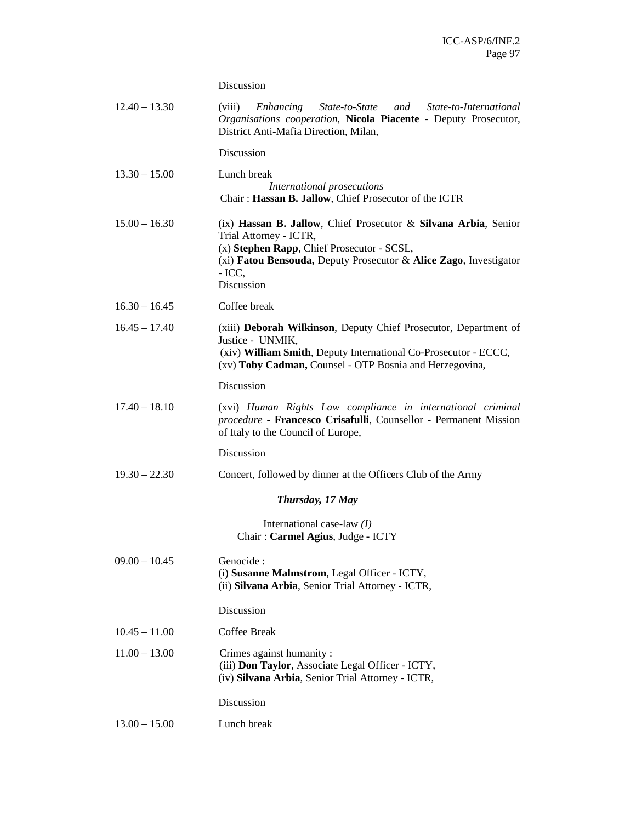Discussion

| $12.40 - 13.30$ | Enhancing State-to-State and State-to-International<br>(viii)<br>Organisations cooperation, Nicola Piacente - Deputy Prosecutor,<br>District Anti-Mafia Direction, Milan,                                                              |
|-----------------|----------------------------------------------------------------------------------------------------------------------------------------------------------------------------------------------------------------------------------------|
|                 | Discussion                                                                                                                                                                                                                             |
| $13.30 - 15.00$ | Lunch break<br>International prosecutions<br>Chair: Hassan B. Jallow, Chief Prosecutor of the ICTR                                                                                                                                     |
| $15.00 - 16.30$ | (ix) Hassan B. Jallow, Chief Prosecutor & Silvana Arbia, Senior<br>Trial Attorney - ICTR,<br>(x) Stephen Rapp, Chief Prosecutor - SCSL,<br>(xi) Fatou Bensouda, Deputy Prosecutor & Alice Zago, Investigator<br>$-$ ICC,<br>Discussion |
| $16.30 - 16.45$ | Coffee break                                                                                                                                                                                                                           |
| $16.45 - 17.40$ | (xiii) Deborah Wilkinson, Deputy Chief Prosecutor, Department of<br>Justice - UNMIK,<br>(xiv) William Smith, Deputy International Co-Prosecutor - ECCC,<br>(xv) Toby Cadman, Counsel - OTP Bosnia and Herzegovina,                     |
|                 | Discussion                                                                                                                                                                                                                             |
| $17.40 - 18.10$ | (xvi) Human Rights Law compliance in international criminal<br>procedure - Francesco Crisafulli, Counsellor - Permanent Mission<br>of Italy to the Council of Europe,                                                                  |
|                 | Discussion                                                                                                                                                                                                                             |
| $19.30 - 22.30$ | Concert, followed by dinner at the Officers Club of the Army                                                                                                                                                                           |
|                 | Thursday, 17 May                                                                                                                                                                                                                       |
|                 | International case-law $(I)$<br>Chair: Carmel Agius, Judge - ICTY                                                                                                                                                                      |
| $09.00 - 10.45$ | Genocide :<br>(i) Susanne Malmstrom, Legal Officer - ICTY,<br>(ii) Silvana Arbia, Senior Trial Attorney - ICTR,                                                                                                                        |
|                 | Discussion                                                                                                                                                                                                                             |
| $10.45 - 11.00$ | <b>Coffee Break</b>                                                                                                                                                                                                                    |
| $11.00 - 13.00$ | Crimes against humanity:<br>(iii) Don Taylor, Associate Legal Officer - ICTY,<br>(iv) Silvana Arbia, Senior Trial Attorney - ICTR,                                                                                                     |
|                 | Discussion                                                                                                                                                                                                                             |
| $13.00 - 15.00$ | Lunch break                                                                                                                                                                                                                            |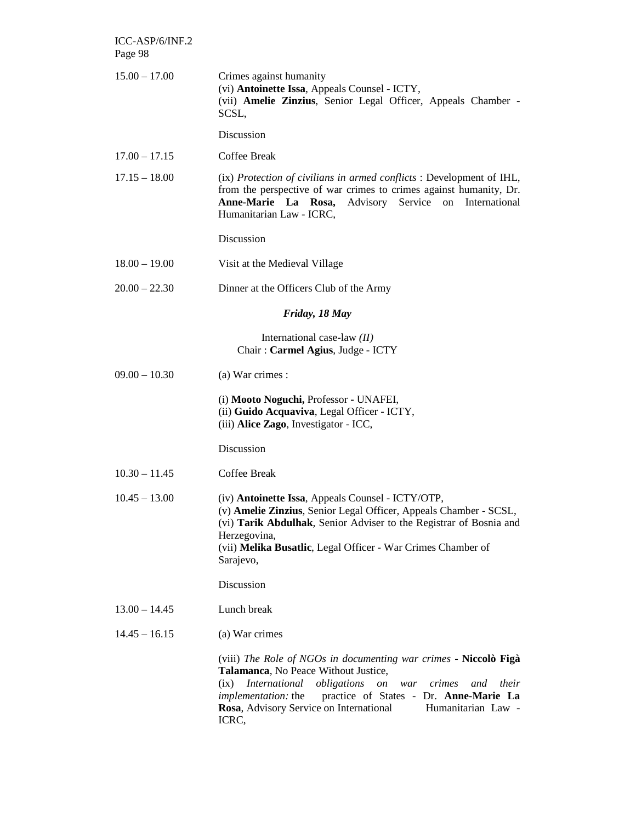| ICC-ASP/6/INF.2<br>Page 98 |                                                                                                                                                                                                                                                                                                                                                    |
|----------------------------|----------------------------------------------------------------------------------------------------------------------------------------------------------------------------------------------------------------------------------------------------------------------------------------------------------------------------------------------------|
| $15.00 - 17.00$            | Crimes against humanity<br>(vi) Antoinette Issa, Appeals Counsel - ICTY,<br>(vii) Amelie Zinzius, Senior Legal Officer, Appeals Chamber -<br>SCSL,                                                                                                                                                                                                 |
|                            | Discussion                                                                                                                                                                                                                                                                                                                                         |
| $17.00 - 17.15$            | Coffee Break                                                                                                                                                                                                                                                                                                                                       |
| $17.15 - 18.00$            | (ix) Protection of civilians in armed conflicts : Development of IHL,<br>from the perspective of war crimes to crimes against humanity, Dr.<br>Advisory Service<br>Anne-Marie La Rosa,<br>on<br>International<br>Humanitarian Law - ICRC,                                                                                                          |
|                            | Discussion                                                                                                                                                                                                                                                                                                                                         |
| $18.00 - 19.00$            | Visit at the Medieval Village                                                                                                                                                                                                                                                                                                                      |
| $20.00 - 22.30$            | Dinner at the Officers Club of the Army                                                                                                                                                                                                                                                                                                            |
|                            | Friday, 18 May                                                                                                                                                                                                                                                                                                                                     |
|                            | International case-law $(II)$<br>Chair: Carmel Agius, Judge - ICTY                                                                                                                                                                                                                                                                                 |
| $09.00 - 10.30$            | (a) War crimes :                                                                                                                                                                                                                                                                                                                                   |
|                            | (i) Mooto Noguchi, Professor - UNAFEI,<br>(ii) Guido Acquaviva, Legal Officer - ICTY,<br>(iii) Alice Zago, Investigator - ICC,                                                                                                                                                                                                                     |
|                            | Discussion                                                                                                                                                                                                                                                                                                                                         |
| $10.30 - 11.45$            | Coffee Break                                                                                                                                                                                                                                                                                                                                       |
| $10.45 - 13.00$            | (iv) <b>Antoinette Issa</b> , Appeals Counsel - ICTY/OTP<br>(v) Amelie Zinzius, Senior Legal Officer, Appeals Chamber - SCSL,<br>(vi) Tarik Abdulhak, Senior Adviser to the Registrar of Bosnia and<br>Herzegovina,<br>(vii) Melika Busatlic, Legal Officer - War Crimes Chamber of<br>Sarajevo,                                                   |
|                            | Discussion                                                                                                                                                                                                                                                                                                                                         |
| $13.00 - 14.45$            | Lunch break                                                                                                                                                                                                                                                                                                                                        |
| $14.45 - 16.15$            | (a) War crimes                                                                                                                                                                                                                                                                                                                                     |
|                            | (viii) The Role of NGOs in documenting war crimes - Niccolò Figà<br>Talamanca, No Peace Without Justice,<br>International<br>obligations<br>$\emph{on}$<br>crimes<br>their<br>(ix)<br>war<br>and<br>practice of States - Dr. Anne-Marie La<br><i>implementation:</i> the<br>Rosa, Advisory Service on International<br>Humanitarian Law -<br>ICRC, |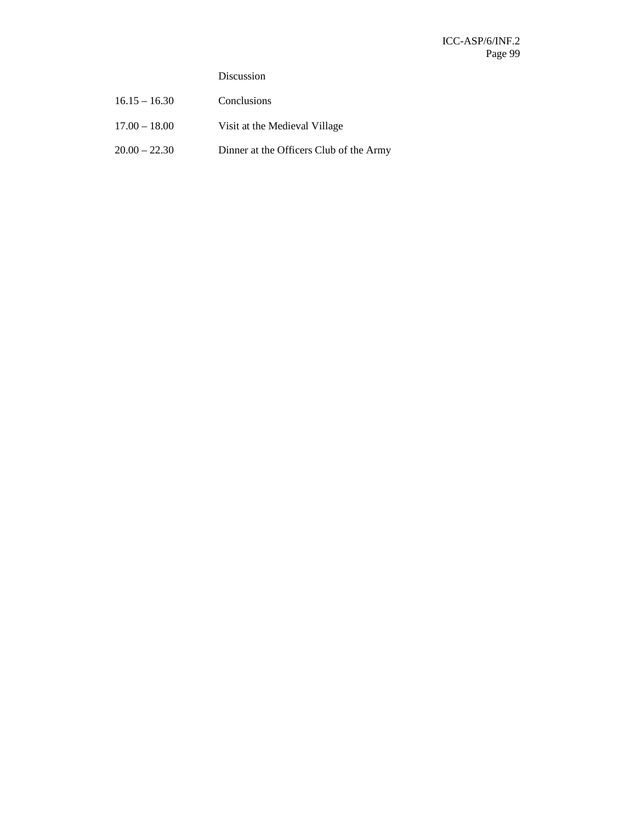## Discussion

| $16.15 - 16.30$ | Conclusions                             |
|-----------------|-----------------------------------------|
| $17.00 - 18.00$ | Visit at the Medieval Village           |
| $20.00 - 22.30$ | Dinner at the Officers Club of the Army |